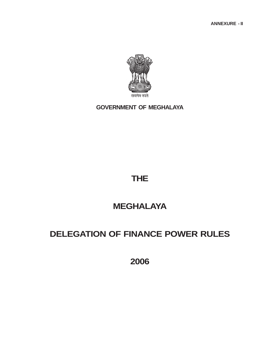**ANNEXURE - II**



**GOVERNMENT OF MEGHALAYA**

# **THE**

# **MEGHALAYA**

# **DELEGATION OF FINANCE POWER RULES**

**2006**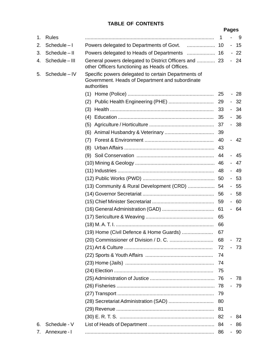## **TABLE OF CONTENTS**

#### **Pages**

| 1. | Rules         |                                                                                                                       | 1  |        | 9     |
|----|---------------|-----------------------------------------------------------------------------------------------------------------------|----|--------|-------|
| 2. | Schedule-I    | Powers delegated to Departments of Govt.                                                                              | 10 |        | - 15  |
| 3. | Schedule-II   | Powers delegated to Heads of Departments                                                                              | 16 |        | $-22$ |
| 4. | Schedule-III  | General powers delegated to District Officers and  23<br>other Officers functioning as Heads of Offices.              |    |        | $-24$ |
| 5. | Schedule - IV | Specific powers delegated to certain Departments of<br>Government. Heads of Department and subordinate<br>authorities |    |        |       |
|    |               | (1)                                                                                                                   | 25 |        | - 28  |
|    |               | (2)                                                                                                                   | 29 |        | $-32$ |
|    |               | (3)                                                                                                                   | 33 |        | - 34  |
|    |               | (4)                                                                                                                   | 35 |        | $-36$ |
|    |               | (5)                                                                                                                   | 37 |        | - 38  |
|    |               | (6)                                                                                                                   | 39 |        |       |
|    |               | (7)                                                                                                                   | 40 |        | - 42  |
|    |               | (8)                                                                                                                   | 43 |        |       |
|    |               | (9)                                                                                                                   | 44 |        | - 45  |
|    |               |                                                                                                                       | 46 |        | - 47  |
|    |               |                                                                                                                       | 48 |        | - 49  |
|    |               |                                                                                                                       | 50 |        | - 53  |
|    |               | (13) Community & Rural Development (CRD)                                                                              | 54 |        | - 55  |
|    |               |                                                                                                                       | 56 |        | $-58$ |
|    |               |                                                                                                                       | 59 |        | - 60  |
|    |               |                                                                                                                       |    |        | - 64  |
|    |               |                                                                                                                       | 65 |        |       |
|    |               |                                                                                                                       | 66 |        |       |
|    |               | (19) Home (Civil Defence & Home Guards)                                                                               | 67 |        |       |
|    |               |                                                                                                                       | 68 |        | $-72$ |
|    |               |                                                                                                                       | 72 |        | - 73  |
|    |               |                                                                                                                       | 74 |        |       |
|    |               |                                                                                                                       | 74 |        |       |
|    |               |                                                                                                                       | 75 |        |       |
|    |               |                                                                                                                       | 76 |        | - 78  |
|    |               |                                                                                                                       | 78 |        | - 79  |
|    |               |                                                                                                                       | 79 |        |       |
|    |               |                                                                                                                       | 80 |        |       |
|    |               |                                                                                                                       | 81 |        |       |
|    |               |                                                                                                                       | 82 | $\sim$ | 84    |
| 6. | Schedule - V  |                                                                                                                       | 84 |        | - 86  |
| 7. | Annexure - I  |                                                                                                                       | 86 | н.     | 90    |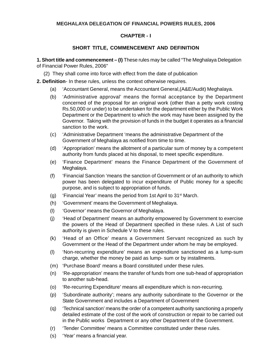#### **MEGHALAYA DELEGATION OF FINANCIAL POWERS RULES, 2006**

### **CHAPTER - I**

### **SHORT TITLE, COMMENCEMENT AND DEFINITION**

- **1. Short title and commencement (I)** These rules may be called "The Meghalaya Delegation of Financial Power Rules, 2006"
	- (2) They shall come into force with effect from the date of publication
- **2. Definition** In these rules, unless the context otherwise requires.
	- (a) 'Accountant General, means the Accountant General,(A&E/Audit) Meghalaya.
	- (b) 'Administrative approval' means the formal acceptance by the Department concerned of the proposal for an original work (other than a petty work costing Rs.50,000 or under) to be undertaken for the department either by the Public Work Department or the Department to which the work may have been assigned by the Governor. Taking with the provision of funds in the budget it operates as a financial sanction to the work.
	- (c) 'Administrative Department 'means the administrative Department of the Government of Meghalaya as notified from time to time.
	- (d) 'Appropriation' means the allotment of a particular sum of money by a competent authority from funds placed at his disposal, to meet specific expenditure.
	- (e) 'Finance Department' means the Finance Department of the Government of Meghalaya.
	- (f) 'Financial Sanction 'means the sanction of Government or of an authority to which power has been delegated to incur expenditure of Public money for a specific purpose, and is subject to appropriation of funds.
	- (g) 'Financial Year' means the period from 1st April to  $31<sup>st</sup>$  March.
	- (h) 'Government' means the Government of Meghalaya.
	- (I) 'Governor' means the Governor of Meghalaya.
	- (j) 'Head of Department' means an authority empowered by Government to exercise the powers of the Head of Department specified in these rules. A List of such authority is given in Schedule V to these rules.
	- (k) 'Head of an Office' means a Government Servant recognized as such by Government or the Head of the Department under whom he may be employed.
	- (l) 'Non-recurring expenditure' means an expenditure sanctioned as a lump-sum charge, whether the money be paid as lump- sum or by installments.
	- (m) 'Purchase Board' means a Board constituted under these rules.
	- (n) 'Re-appropriation' means the transfer of funds from one sub-head of appropriation to another sub-head.
	- (o) 'Re-recurring Expenditure' means all expenditure which is non-recurring.
	- (p) 'Subordinate authority'; means any authority subordinate to the Governor or the State Government and includes a Department of Government
	- (q) 'Technical sanction' means the order of a competent authority sanctioning a properly detailed estimate of the cost of the work of construction or repair to be carried out in the Public works Department or any other Department of the Government.
	- (r) 'Tender Committee' means a Committee constituted under these rules.
	- (s) 'Year' means a financial year.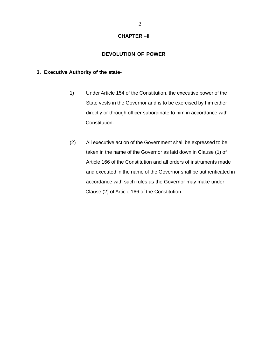#### **CHAPTER –II**

#### **DEVOLUTION OF POWER**

#### **3. Executive Authority of the state-**

- 1) Under Article 154 of the Constitution, the executive power of the State vests in the Governor and is to be exercised by him either directly or through officer subordinate to him in accordance with Constitution.
- (2) All executive action of the Government shall be expressed to be taken in the name of the Governor as laid down in Clause (1) of Article 166 of the Constitution and all orders of instruments made and executed in the name of the Governor shall be authenticated in accordance with such rules as the Governor may make under Clause (2) of Article 166 of the Constitution.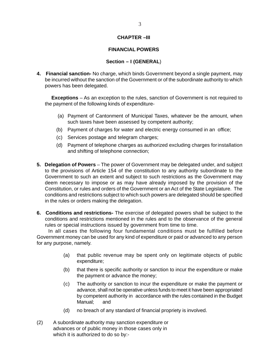#### **CHAPTER –III**

#### **FINANCIAL POWERS**

#### **Section – I (GENERAL**)

**4. Financial sanction-** No charge, which binds Government beyond a single payment, may be incurred without the sanction of the Government or of the subordinate authority to which powers has been delegated.

 **Exceptions** – As an exception to the rules, sanction of Government is not required to the payment of the following kinds of expenditure-

- (a) Payment of Cantonment of Municipal Taxes, whatever be the amount, when such taxes have been assessed by competent authority;
- (b) Payment of charges for water and electric energy consumed in an office;
- (c) Services postage and telegram charges;
- (d) Payment of telephone charges as authorized excluding charges forinstallation and shifting of telephone connection;
- **5. Delegation of Powers** The power of Government may be delegated under, and subject to the provisions of Article 154 of the constitution to any authority subordinate to the Government to such an extent and subject to such restrictions as the Government may deem necessary to impose or as may have already imposed by the provision of the Constitution, or rules and orders of the Government or an Act of the State Legislature. The conditions and restrictions subject to which such powers are delegated should be specified in the rules or orders making the delegation.
- **6. Conditions and restrictions-** The exercise of delegated powers shall be subject to the conditions and restrictions mentioned in the rules and to the observance of the general rules or special instructions issued by government from time to time.

 In all cases the following four fundamental conditions must be fulfilled before Government money can be used for any kind of expenditure or paid or advanced to any person for any purpose, namely.

- (a) that public revenue may be spent only on legitimate objects of public expenditure;
- (b) that there is specific authority or sanction to incur the expenditure or make the payment or advance the money;
- (c) The authority or sanction to incur the expenditure or make the payment or advance, shall not be operative unless funds to meet it have been appropriated by competent authority in accordance with the rules contained in the Budget Manual; and
- (d) no breach of any standard of financial propriety is involved.
- (2) A subordinate authority may sanction expenditure or advances or of public money in those cases only in which it is authorized to do so by:-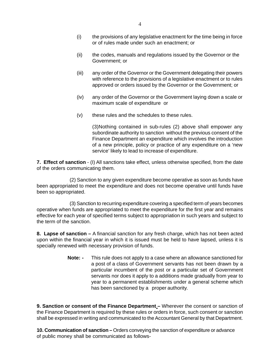- (i) the provisions of any legislative enactment for the time being in force or of rules made under such an enactment; or
- (ii) the codes, manuals and regulations issued by the Governor or the Government; or
- (iii) any order of the Governor or the Government delegating their powers with reference to the provisions of a legislative enactment or to rules approved or orders issued by the Governor or the Government; or
- (iv) any order of the Governor or the Government laying down a scale or maximum scale of expenditure or
- (v) these rules and the schedules to these rules.

(3)Nothing contained in sub-rules (2) above shall empower any subordinate authority to sanction without the previous consent of the Finance Department an expenditure which involves the introduction of a new principle, policy or practice of any expenditure on a 'new service' likely to lead to increase of expenditure.

**7. Effect of sanction** - (I) All sanctions take effect, unless otherwise specified, from the date of the orders communicating them.

(2) Sanction to any given expenditure become operative as soon as funds have been appropriated to meet the expenditure and does not become operative until funds have been so appropriated.

(3) Sanction to recurring expenditure covering a specified term of years becomes operative when funds are appropriated to meet the expenditure for the first year and remains effective for each year of specified terms subject to appropriation in such years and subject to the term of the sanction.

**8. Lapse of sanction –** A financial sanction for any fresh charge, which has not been acted upon within the financial year in which it is issued must be held to have lapsed, unless it is specially renewed with necessary provision of funds.

> **Note: -** This rule does not apply to a case where an allowance sanctioned for a post of a class of Government servants has not been drawn by a particular incumbent of the post or a particular set of Government servants nor does it apply to a additions made gradually from year to year to a permanent establishments under a general scheme which has been sanctioned by a proper authority.

**9. Sanction or consent of the Finance Department –** Wherever the consent or sanction of the Finance Department is required by these rules or orders in force, such consent or sanction shall be expressed in writing and communicated to the Accountant General by that Department.

**10. Communication of sanction –** Orders conveying the sanction of expenditure or advance of public money shall be communicated as follows-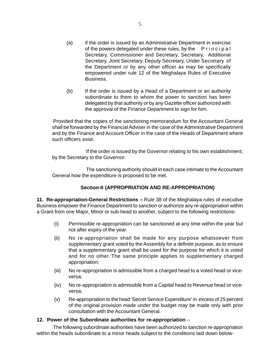- (a) if the order is issued by an Administrative Department in exercise of the powers delegated under these rules, by the Principal Secretary, Commissioner and Secretary, Secretary, Additional Secretary, Joint Secretary, Deputy Secretary, Under Secretary of the Department or by any other officer as may be specifically empowered under rule 12 of the Meghalaya Rules of Executive Business.
- (b) If the order is issued by a Head of a Department or an authority subordinate to them to whom the power to sanction has been delegated by that authority or by any Gazette officer authorized with the approval of the Finance Department to sign for him.

Provided that the copies of the sanctioning memorandum for the Accountant General shall be forwarded by the Financial Adviser in the case of the Administrative Department and by the Finance and Account Officer in the case of the Heads of Department where such officers exist.

If the order is issued by the Governor relating to his own establishment, by the Secretary to the Governor.

The sanctioning authority should in each case intimate to the Accountant General how the expenditure is proposed to be met.

## **Section-II (APPROPRIATION AND RE-APPROPRIATION)**

**11. Re-appropriation-General Restrictions –** Rule 38 of the Meghalaya rules of executive Business empower the Finance Department to sanction or authorize any re-appropriation within a Grant from one Major, Minor or sub-head to another, subject to the following restrictions-

- (i) Permissible re-appropriation can be sanctioned at any time within the year but not after expiry of the year.
- (ii) No re-appropriation shall be made for any purpose whatsoever from supplementary grant voted by the Assembly for a definite purpose, as to ensure that a supplementary grant shall be used for the purpose for which it is voted and for no other.'The same principle applies to supplementary charged appropriation;
- (iii) No re-appropriation is admissible from a charged head to a voted head or viceversa;
- (iv) No re-appropriation is admissible from a Capital head to Revenue head or viceversa;
- (v) Re-appropriation to the head 'Secret Service Expenditure' in excess of 25 percent of the original provision made under the budget may be made only with prior consultation with the Accountant General.

#### **12. Power of the Subordinate authorities for re-appropriation** –

The following subordinate authorities have been authorized to sanction re-appropriation within the heads subordinate to a minor heads subject to the conditions laid down below-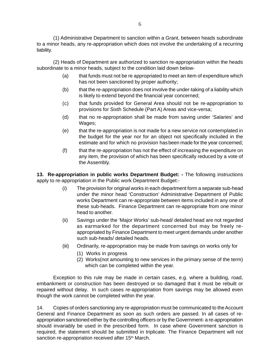(1) Administrative Department to sanction within a Grant, between heads subordinate to a minor heads, any re-appropriation which does not involve the undertaking of a recurring liability.

(2) Heads of Department are authorized to sanction re-appropriation within the heads subordinate to a minor heads, subject to the condition laid down below-

- (a) that funds must not be re appropriated to meet an item of expenditure which has not been sanctioned by proper authority;
- (b) that the re-appropriation does not involve the under-taking of a liability which is likely to extend beyond the financial year concerned;
- (c) that funds provided for General Area should not be re-appropriation to provisions for Sixth Schedule (Part A) Areas and vice-versa;
- (d) that no re-appropriation shall be made from saving under 'Salaries' and Wages;
- (e) that the re-appropriation is not made for a new service not contemplated in the budget for the year nor for an object not specifically included in the estimate and for which no provision hasbeen made for the year concerned;
- (f) that the re-appropriation has not the effect of increasing the expenditure on any item, the provision of which has been specifically reduced by a vote of the Assembly.

**13. Re-appropriation in public works Department Budget: -** The following instructions apply to re-appropriation in the Public work Department Budget:-

- (i) The provision for original works in each department form a separate sub-head under the minor head 'Construction' Administrative Department of Public works Department can re-appropriate between items included in any one of these sub-heads. Finance Department can re-appropriate from one minor head to another.
- (ii) Savings under the 'Major Works' sub-head/ detailed head are not regarded as earmarked for the department concerned but may be freely reappropriated by Finance Department to meet urgent demands under another such sub-heads/ detailed heads.
- (iii) Ordinarily, re-appropriation may be made from savings on works only for
	- (1) Works in progress
	- (2) Works(not amounting to new services in the primary sense of the term) which can be completed within the year.

Exception to this rule may be made in certain cases, e.g. where a building, road, embankment or construction has been destroyed or so damaged that it must be rebuilt or repaired without delay. In such cases re-appropriation from savings may be allowed even though the work cannot be completed within the year.

14. Copies of orders sanctioning any re-appropriation must be communicated to the Account General and Finance Department as soon as such orders are passed. In all cases of reappropriation sanctioned either by the controlling officers or by the Government- a re-appropriation should invariably be used in the prescribed form. In case where Government sanction is required, the statement should be submitted in triplicate. The Finance Department will not sanction re-appropriation received after 15<sup>th</sup> March.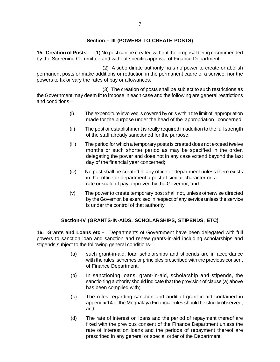### **Section – III (POWERS TO CREATE POSTS)**

**15. Creation of Posts -** (1) No post can be created without the proposal being recommended by the Screening Committee and without specific approval of Finance Department.

(2) A subordinate authority ha s no power to create or abolish permanent posts or make additions or reduction in the permanent cadre of a service, nor the powers to fix or vary the rates of pay or allowances.

(3) The creation of posts shall be subject to such restrictions as the Government may deem fit to impose in each case and the following are general restrictions and conditions –

- (i) The expenditure involved is covered by or is within the limit of, appropriation made for the purpose under the head of the appropriation concerned
- (ii) The post or establishment is really required in addition to the full strength of the staff already sanctioned for the purpose;
- (iii) The period for which a temporary posts is created does not exceed twelve months or such shorter period as may be specified in the order, delegating the power and does not in any case extend beyond the last day of the financial year concerned;
- (iv) No post shall be created in any office or department unless there exists in that office or department a post of similar character on a rate or scale of pay approved by the Governor; and
- (v) The power to create temporary post shall not, unless otherwise directed by the Governor, be exercised in respect of any service unless the service is under the control of that authority.

#### **Section-IV (GRANTS-IN-AIDS, SCHOLARSHIPS, STIPENDS, ETC)**

**16. Grants and Loans etc -** Departments of Government have been delegated with full powers to sanction loan and sanction and renew grants-in-aid including scholarships and stipends subject to the following general conditions-

- (a) such grant-in-aid, loan scholarships and stipends are in accordance with the rules, schemes or principles prescribed with the previous consent of Finance Department.
- (b) In sanctioning loans, grant-in-aid, scholarship and stipends, the sanctioning authority should indicate that the provision of clause (a) above has been complied with;
- (c) The rules regarding sanction and audit of grant-in-aid contained in appendix 14 of the Meghalaya Financial rules should be strictly observed; and
- (d) The rate of interest on loans and the period of repayment thereof are fixed with the previous consent of the Finance Department unless the rate of interest on loans and the periods of repayment thereof are prescribed in any general or special order of the Department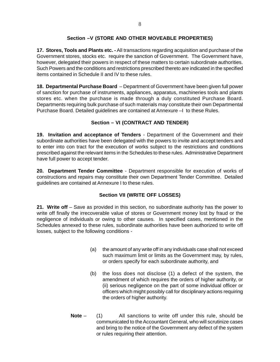## **Section –V (STORE AND OTHER MOVEABLE PROPERTIES)**

**17. Stores, Tools and Plants etc. -** All transactions regarding acquisition and purchase of the Government stores, stocks etc. require the sanction of Government. The Government have, however, delegated their powers in respect of these matters to certain subordinate authorities. Such Powers and the conditions and restrictions prescribed thereto are indicated in the specified items contained in Schedule II and IV to these rules.

**18. Departmental Purchase Board** – Department of Government have been given full power of sanction for purchase of instruments, appliances, apparatus, machineries tools and plants stores etc. when the purchase is made through a duly constituted Purchase Board. Departments requiring bulk purchase of such materials may constitute their own Departmental Purchase Board. Detailed guidelines are contained at Annexure –I to these Rules.

## **Section – VI (CONTRACT AND TENDER)**

**19. Invitation and acceptance of Tenders** - Department of the Government and their subordinate authorities have been delegated with the powers to invite and accept tenders and to enter into con tract for the execution of works subject to the restrictions and conditions prescribed against the relevant items in the Schedules to these rules. Administrative Department have full power to accept tender.

**20. Department Tender Committee** - Department responsible for execution of works of constructions and repairs may constitute their own Department Tender Committee. Detailed guidelines are contained at Annexure I to these rules.

## **Section VII (WRITE OFF LOSSES)**

**21. Write off** – Save as provided in this section, no subordinate authority has the power to write off finally the irrecoverable value of stores or Government money lost by fraud or the negligence of individuals or owing to other causes. In specified cases, mentioned in the Schedules annexed to these rules, subordinate authorities have been authorized to write off losses, subject to the following conditions -

- (a) the amount of any write off in any individuals case shall not exceed such maximum limit or limits as the Government may, by rules, or orders specify for each subordinate authority, and
- (b) the loss does not disclose (1) a defect of the system, the amendment of which requires the orders of higher authority, or (ii) serious negligence on the part of some individual officer or officers which might possibly call for disciplinary actions requiring the orders of higher authority.
- **Note** (1) All sanctions to write off under this rule, should be communicated to the Accountant General, who will scrutinize cases and bring to the notice of the Government any defect of the system or rules requiring their attention.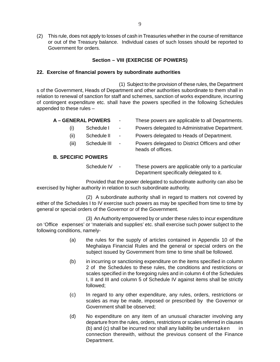(2) This rule, does not apply to losses of cash in Treasuries whether in the course of remittance or out of the Treasury balance. Individual cases of such losses should be reported to Government for orders.

### **Section – VIII (EXERCISE OF POWERS)**

#### **22. Exercise of financial powers by subordinate authorities**

(1) Subject to the provision of these rules, the Department s of the Government, Heads of Department and other authorities subordinate to them shall in relation to renewal of sanction for staff and schemes, sanction of works expenditure, incurring of contingent expenditure etc. shall have the powers specified in the following Schedules appended to these rules –

|                   | <b>A – GENERAL POWERS</b> | $\overline{\phantom{a}}$     | These powers are applicable to all Departments.                                              |  |  |
|-------------------|---------------------------|------------------------------|----------------------------------------------------------------------------------------------|--|--|
| Schedule I<br>(i) |                           | $\overline{\phantom{a}}$     | Powers delegated to Administrative Department.                                               |  |  |
| (ii)              | Schedule II               | $\overline{\phantom{a}}$     | Powers delegated to Heads of Department.                                                     |  |  |
| (iii)             | Schedule III              | $\qquad \qquad \blacksquare$ | Powers delegated to District Officers and other<br>heads of offices.                         |  |  |
|                   | <b>B. SPECIFIC POWERS</b> |                              |                                                                                              |  |  |
|                   | Schedule IV               | $\overline{\phantom{a}}$     | These powers are applicable only to a particular<br>Department specifically delegated to it. |  |  |

Provided that the power delegated to subordinate authority can also be exercised by higher authority in relation to such subordinate authority.

(2) A subordinate authority shall in regard to matters not covered by either of the Schedules I to IV exercise such powers as may be specified from time to time by general or special orders of the Governor or of the Government.

(3) An Authority empowered by or under these rules to incur expenditure on 'Office expenses' or 'materials and supplies' etc. shall exercise such power subject to the following conditions, namely-

- (a) the rules for the supply of articles contained in Appendix 10 of the Meghalaya Financial Rules and the general or special orders on the subject issued by Government from time to time shall be followed.
- (b) in incurring or sanctioning expenditure on the items specified in column 2 of the Schedules to these rules, the conditions and restrictions or scales specified in the foregoing rules and in column 4 of the Schedules I, II and III and column 5 of Schedule IV against items shall be strictly followed;
- (c) In regard to any other expenditure, any rules, orders, restrictions or scales as may be made, imposed or prescribed by the Governor or Government shall be observed;
- (d) No expenditure on any item of an unusual character involving any departure from the rules, orders, restrictions or scales referred in clauses  $(b)$  and  $(c)$  shall be incurred nor shall any liability be undertaken in connection therewith, without the previous consent of the Finance Department.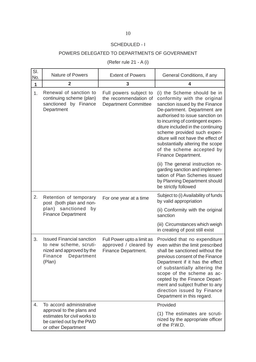## SCHEDULED - I

## POWERS DELEGATED TO DEPARTMENTS OF GOVERNMENT

(Refer rule 21 - A (i)

| SI.<br>No.   | <b>Nature of Powers</b>                                                                                                    | <b>Extent of Powers</b>                                                        | General Conditions, if any                                                                                                                                                                                                                                                                                                                                                                              |
|--------------|----------------------------------------------------------------------------------------------------------------------------|--------------------------------------------------------------------------------|---------------------------------------------------------------------------------------------------------------------------------------------------------------------------------------------------------------------------------------------------------------------------------------------------------------------------------------------------------------------------------------------------------|
| $\mathbf{1}$ | $\mathbf{2}$                                                                                                               | 3                                                                              | 4                                                                                                                                                                                                                                                                                                                                                                                                       |
| 1.           | Renewal of sanction to<br>continuing scheme (plan)<br>sanctioned by Finance<br>Department                                  | Full powers subject to<br>the recommendation of<br><b>Department Committee</b> | (i) the Scheme should be in<br>conformity with the original<br>sanction issued by the Finance<br>De-partrment. Department are<br>authorised to issue sanction on<br>to incurring of contingent expen-<br>diture included in the continuing<br>scheme provided such expen-<br>diture will not have the effect of<br>substantially altering the scope<br>of the scheme accepted by<br>Finance Department. |
|              |                                                                                                                            |                                                                                | (ii) The general instruction re-<br>garding sanction and implemen-<br>tation of Plan Schemes issued<br>by Planning Department should<br>be strictly followed                                                                                                                                                                                                                                            |
| 2.           | Retention of temporary<br>post (both plan and non-                                                                         | For one year at a time                                                         | Subject to (i) Availability of funds<br>by valid appropriation                                                                                                                                                                                                                                                                                                                                          |
|              | plan) sanctioned<br>by<br><b>Finance Department</b>                                                                        |                                                                                | (ii) Conformity with the original<br>sanction                                                                                                                                                                                                                                                                                                                                                           |
|              |                                                                                                                            |                                                                                | (iii) Circumstances which weigh<br>in creating of post still exist                                                                                                                                                                                                                                                                                                                                      |
| 3.           | <b>Issued Financial sanction</b><br>to new scheme, scruti-<br>nized and approved by the<br>Finance<br>Department<br>(Plan) | Full Power upto a limit as<br>approved / cleared by<br>Finance Department.     | Provided that no expenditure<br>even within the limit prescribed<br>shall be sanctioned without the<br>previous consent of the Finance<br>Department if it has the effect<br>of substantially altering the<br>scope of the scheme as ac-<br>cepted by the Finance Depart-<br>ment and subject fruther to any<br>direction issued by Finance<br>Department in this regard.                               |
| 4.           | To accord administrative<br>approval to the plans and                                                                      |                                                                                | Provided                                                                                                                                                                                                                                                                                                                                                                                                |
|              | estimates for civil works to<br>be carried out by the PWD<br>or other Department                                           |                                                                                | (1) The estimates are scruti-<br>nized by the appropriate officer<br>of the P.W.D.                                                                                                                                                                                                                                                                                                                      |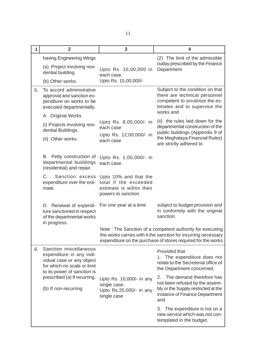| $\mathbf 1$ | $\overline{2}$                                                                                                                                | $\overline{3}$                                                                                    | 4                                                                                                                                                                                           |
|-------------|-----------------------------------------------------------------------------------------------------------------------------------------------|---------------------------------------------------------------------------------------------------|---------------------------------------------------------------------------------------------------------------------------------------------------------------------------------------------|
|             | having Engineering Wings<br>(a) Project involving resi-<br>dential building                                                                   | Upto Rs. 10,00,000 in                                                                             | (2) The limit of the admissible<br>outlay prescribed by the Finance<br>Department                                                                                                           |
|             | (b) Other works.                                                                                                                              | each case.<br>Upto Rs. 15,00,000/-                                                                |                                                                                                                                                                                             |
| 5.          | To accord administrative<br>approval and sanction ex-<br>penditure on works to be<br>executed departmentally.                                 |                                                                                                   | Subject to the condition on that<br>there are technical personnel<br>competent to scrutinize the es-<br>timates and to supervice the                                                        |
|             | A. Original Works                                                                                                                             |                                                                                                   | works and                                                                                                                                                                                   |
|             | (i) Projects involving resi-<br>dential Buildings                                                                                             | Upto Rs. 8,00,000/- in<br>each case                                                               | (ii) the rules laid down for the<br>departmental construction of the<br>public buildings (Appendix 9 of                                                                                     |
|             | (ii) Other works.                                                                                                                             | Upto Rs. 12,00,000/- in<br>each case                                                              | the Meghalaya Financial Rules)<br>are strictly adhered to                                                                                                                                   |
|             | B. Petty construction of<br>departmental buildings<br>(residential) and repair.                                                               | Upto Rs. 1,00,000/- in<br>each case.                                                              |                                                                                                                                                                                             |
|             | Sanction excess<br>С.<br>expenditure over the esti-<br>mate.                                                                                  | Upto 10% and that the<br>total if the exceeded<br>estimate is within their<br>powers to sanction. |                                                                                                                                                                                             |
|             | D. Renewal of expendi-<br>ture sanctioned in respect<br>of the departmental works<br>in progress.                                             | For one year at a time                                                                            | subject to budget provision and<br>in conformity with the original<br>sanction.                                                                                                             |
|             |                                                                                                                                               |                                                                                                   | Note: The Sanction of a competent authority for executing<br>the works carries with it the sanction for incurring necessary<br>expenditure on the purchase of stores required for the works |
| 6.          | Sanction miscellaneous<br>expenditure in any indi-<br>vidual case or any object<br>for which no scale or limit<br>to its power of sanction is |                                                                                                   | Provided that<br>1. The expenditure does not<br>relate to the Secreteriat office of<br>the Department concerned.                                                                            |
|             | prescribed (a) If recurring.<br>(b) If non-recurring                                                                                          | Upto Rs. 10,000/- in any<br>single case.<br>Upto Rs.20,000/- in any<br>single case                | The demand therefore has<br>2.<br>not been refused by the assem-<br>bly or the Supply restricted at the<br>instance of Finance Department<br>and                                            |
|             |                                                                                                                                               |                                                                                                   | 3. The expenditure is not on a<br>new service which was not con-<br>templated in the budget.                                                                                                |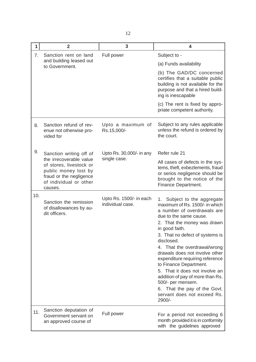| 1   | $\overline{2}$                                                                                                                             | 3                                           | 4                                                                                                                                                                                                                                                                                                                                                                                                                                                                                                                              |
|-----|--------------------------------------------------------------------------------------------------------------------------------------------|---------------------------------------------|--------------------------------------------------------------------------------------------------------------------------------------------------------------------------------------------------------------------------------------------------------------------------------------------------------------------------------------------------------------------------------------------------------------------------------------------------------------------------------------------------------------------------------|
| 7.  | Sanction rent on land<br>and building leased out<br>to Government.                                                                         | Full power                                  | Subject to -                                                                                                                                                                                                                                                                                                                                                                                                                                                                                                                   |
|     |                                                                                                                                            |                                             | (a) Funds availability                                                                                                                                                                                                                                                                                                                                                                                                                                                                                                         |
|     |                                                                                                                                            |                                             | (b) The GAD/DC concerned<br>certifies that a suitable public<br>building is not available for the<br>purpose and that a hired build-<br>ing is inescapable                                                                                                                                                                                                                                                                                                                                                                     |
|     |                                                                                                                                            |                                             | (c) The rent is fixed by appro-<br>priate competent authority.                                                                                                                                                                                                                                                                                                                                                                                                                                                                 |
| 8.  | Sanction refund of rev-<br>enue not otherwise pro-<br>vided for                                                                            | Upto a maximum of<br>Rs.15,000/-            | Subject to any rules applicable<br>unless the refund is ordered by<br>the court.                                                                                                                                                                                                                                                                                                                                                                                                                                               |
| 9.  | Sanction writing off of                                                                                                                    | Upto Rs. 30,000/- in any                    | Refer rule 21                                                                                                                                                                                                                                                                                                                                                                                                                                                                                                                  |
|     | the irrecoverable value<br>of stores, livestock or<br>public money lost by<br>fraud or the negligence<br>of individual or other<br>causes. | single case.                                | All cases of defects in the sys-<br>tems, theft, exbezlements, fraud<br>or serios negligence should be<br>brought to the notice of the<br>Finance Department.                                                                                                                                                                                                                                                                                                                                                                  |
| 10. | Sanction the remission<br>of disallowances by au-<br>dit officers.                                                                         | Upto Rs. 1500/- in each<br>individual case. | Subject to the aggregate<br>1.<br>maximum of Rs. 1500/- in which<br>a number of overdrawals are<br>due to the same cause.<br>2. That the money was drawn<br>in good faith.<br>3. That no defect of systems is<br>disclosed.<br>4. That the overdrawal/wrong<br>drawals does not involve other<br>expenditure requiring reference<br>to Finance Department.<br>5. That it does not involve an<br>addition of pay of more than Rs.<br>500/- per mensem.<br>6. That the pay of the Govt.<br>servant does not exceed Rs.<br>2900/- |
| 11. | Sanction deputation of<br>Government servant on<br>an approved course of                                                                   | Full power                                  | For a period not exceeding 6<br>month provided it is in conformity<br>with the guidelines approved                                                                                                                                                                                                                                                                                                                                                                                                                             |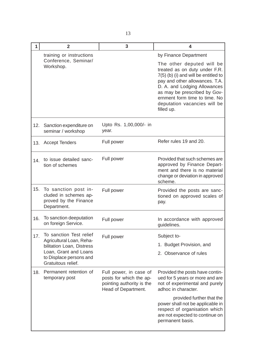| 1   | $\mathbf{2}$                                                                          | 3                                                                                                     | 4                                                                                                                                                                                                                                                                                   |
|-----|---------------------------------------------------------------------------------------|-------------------------------------------------------------------------------------------------------|-------------------------------------------------------------------------------------------------------------------------------------------------------------------------------------------------------------------------------------------------------------------------------------|
|     | training or instructions                                                              |                                                                                                       | by Finance Department                                                                                                                                                                                                                                                               |
|     | Conference, Seminar/<br>Workshop.                                                     |                                                                                                       | The other deputed will be<br>treated as on duty under F.R.<br>7(5) (b) (i) and will be entitled to<br>pay and other allowances. T.A.<br>D. A. and Lodging Allowances<br>as may be prescribed by Gov-<br>ernment form time to time. No<br>deputation vacancies will be<br>filled up. |
| 12. | Sanction expenditure on<br>seminar / workshop                                         | Upto Rs. 1,00,000/- in<br>year.                                                                       |                                                                                                                                                                                                                                                                                     |
| 13. | <b>Accept Tenders</b>                                                                 | Full power                                                                                            | Refer rules 19 and 20.                                                                                                                                                                                                                                                              |
| 14. | to issue detailed sanc-<br>tion of schemes                                            | Full power                                                                                            | Provided that such schemes are<br>approved by Finance Depart-<br>ment and there is no material<br>change or deviation in approved<br>scheme.                                                                                                                                        |
| 15. | To sanction post in-<br>cluded in schemes ap-<br>proved by the Finance<br>Department. | Full power                                                                                            | Provided the posts are sanc-<br>tioned on approved scales of<br>pay.                                                                                                                                                                                                                |
| 16. | To sanction deeputation<br>on foreign Service.                                        | Full power                                                                                            | In accordance with approved<br>guidelines.                                                                                                                                                                                                                                          |
| 17. | To sanction Test relief                                                               | Full power                                                                                            | Subject to-                                                                                                                                                                                                                                                                         |
|     | Agricultural Loan, Reha-<br>bilitation Loan, Distress                                 |                                                                                                       | 1. Budget Provision, and                                                                                                                                                                                                                                                            |
|     | Loan, Grant and Loans<br>to Displace persons and<br>Gratuitous relief.                |                                                                                                       | 2. Observance of rules                                                                                                                                                                                                                                                              |
| 18. | Permanent retention of<br>temporary post                                              | Full power, in case of<br>posts for which the ap-<br>pointing authority is the<br>Head of Department. | Provided the posts have contin-<br>ued for 5 years or more and are<br>not of experimental and purely<br>adhoc in character.                                                                                                                                                         |
|     |                                                                                       |                                                                                                       | provided further that the<br>power shall not be applicable in<br>respect of organisation which<br>are not expected to continue on<br>permanent basis.                                                                                                                               |

 $\overline{\phantom{a}}$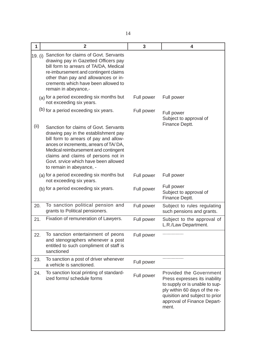| 1       | $\overline{2}$                                                                                                                                                                                                                                                                                                       | 3          | 4                                                                                                                                                                                                     |
|---------|----------------------------------------------------------------------------------------------------------------------------------------------------------------------------------------------------------------------------------------------------------------------------------------------------------------------|------------|-------------------------------------------------------------------------------------------------------------------------------------------------------------------------------------------------------|
| 19. (i) | Sanction for claims of Govt. Servants<br>drawing pay in Gazetted Officers pay<br>bill form to arrears of TA/DA, Medical<br>re-imbursement and contingent claims<br>other than pay and allowances or in-<br>crements which have been allowed to<br>remain in abeyance,-                                               |            |                                                                                                                                                                                                       |
|         | (a) for a period exceeding six months but<br>not exceeding six years.                                                                                                                                                                                                                                                | Full power | Full power                                                                                                                                                                                            |
|         | (b) for a period exceeding six years.                                                                                                                                                                                                                                                                                | Full power | Full power<br>Subject to approval of<br>Finance Deptt.                                                                                                                                                |
| (ii)    | Sanction for claims of Govt. Servants<br>drawing pay in the establishment pay<br>bill form to arrears of pay and allow-<br>ances or increments, arrears of TA/DA,<br>Medical reimbursement and contingent<br>claims and claims of persons not in<br>Govt. srvice which have been allowed<br>to remain in abeyance, - |            |                                                                                                                                                                                                       |
|         | (a) for a period exceeding six months but<br>not exceeding six years.                                                                                                                                                                                                                                                | Full power | Full power                                                                                                                                                                                            |
|         | (b) for a period exceeding six years.                                                                                                                                                                                                                                                                                | Full power | Full power<br>Subject to approval of<br>Finance Deptt.                                                                                                                                                |
| 20.     | To sanction political pension and<br>grants to Political pensioners.                                                                                                                                                                                                                                                 | Full power | Subject to rules regulating<br>such pensions and grants.                                                                                                                                              |
| 21.     | Fixation of remuneration of Lawyers.                                                                                                                                                                                                                                                                                 | Full power | Subject to the approval of<br>L.R./Law Department.                                                                                                                                                    |
| 22.     | To sanction entertainment of peons<br>and stenographers whenever a post<br>entitled to such compliment of staff is<br>sanctioned                                                                                                                                                                                     | Full power |                                                                                                                                                                                                       |
| 23.     | To sanction a post of driver whenever<br>a vehicle is sanctioned.                                                                                                                                                                                                                                                    | Full power |                                                                                                                                                                                                       |
| 24.     | To sanction local printing of standard-<br>ized forms/ schedule forms                                                                                                                                                                                                                                                | Full power | Provided the Government<br>Press expresses its inability<br>to supply or is unable to sup-<br>ply within 60 days of the re-<br>quisition and subject to prior<br>approval of Finance Depart-<br>ment. |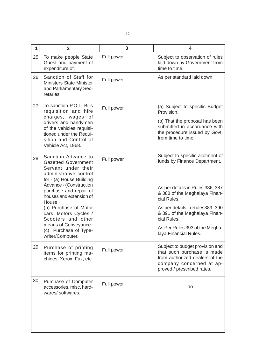| $\mathbf{1}$ | $\overline{2}$                                                                                                                 | $\overline{\mathbf{3}}$ | 4                                                                                                                                                         |
|--------------|--------------------------------------------------------------------------------------------------------------------------------|-------------------------|-----------------------------------------------------------------------------------------------------------------------------------------------------------|
| 25.          | To make people State<br>Guest and payment of<br>expenditure of.                                                                | Full power              | Subject to observation of rules<br>laid down by Government from<br>time to time.                                                                          |
| 26.          | Sanction of Staff for<br>Ministers State Minister<br>and Parliamentary Sec-<br>retaries.                                       | Full power              | As per standard laid down.                                                                                                                                |
| 27.          | To sanction P.O.L. Bills<br>requisition and hire<br>charges, wages<br>οf                                                       | Full power              | (a) Subject to specific Budget<br>Provision.                                                                                                              |
|              | drivers and handymen<br>of the vehicles requisi-<br>tioned under the Requi-<br>sition and Control of<br>Vehicle Act, 1968.     |                         | (b) That the proposal has been<br>submitted in accordance with<br>the procedure issued by Govt.<br>from time to time.                                     |
| 28.          | Sanction Advance to<br><b>Gazetted Government</b><br>Servant under their<br>administrative control<br>for - (a) House Building | Full power              | Subject to specific allotment of<br>funds by Finance Department.                                                                                          |
|              | Advance - (Construction<br>purchase and repair of<br>houses and extension of<br>House.                                         |                         | As per details in Rules 386, 387<br>& 388 of the Meghalaya Finan-<br>cial Rules.                                                                          |
|              | (b) Purchase of Motor<br>cars, Motors Cycles /<br>Scooters and other                                                           |                         | As per details in Rules389, 390<br>& 391 of the Meghalaya Finan-<br>cial Rules.                                                                           |
|              | means of Conveyance<br>(c) Purchase of Type-<br>writer/Computer.                                                               |                         | As Per Rules 393 of the Megha-<br>laya Financial Rules.                                                                                                   |
| 29.          | Purchase of printing<br>items for printing ma-<br>chines, Xerox, Fax, etc.                                                     | Full power              | Subject to budget provision and<br>that such purchase is made<br>from authorized dealers of the<br>company concerned at ap-<br>proved / prescribed rates. |
| 30.          | Purchase of Computer<br>accessories, misc. hard-<br>wares/softwares.                                                           | Full power              | - do -                                                                                                                                                    |
|              |                                                                                                                                |                         |                                                                                                                                                           |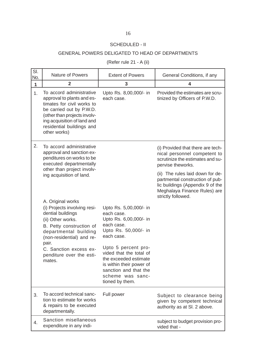## SCHEDULED - II

## GENERAL POWERS DELIGATED TO HEAD OF DEPARTMENTS

(Refer rule 21 - A (ii)

| SI.<br>No. | <b>Nature of Powers</b>                                                                                                                                                                                                      | <b>Extent of Powers</b>                                                                                                                                             | General Conditions, if any                                                                                                                                    |
|------------|------------------------------------------------------------------------------------------------------------------------------------------------------------------------------------------------------------------------------|---------------------------------------------------------------------------------------------------------------------------------------------------------------------|---------------------------------------------------------------------------------------------------------------------------------------------------------------|
| 1          | $\mathbf{2}$                                                                                                                                                                                                                 | 3                                                                                                                                                                   | 4                                                                                                                                                             |
| 1.         | To accord administrative<br>approval to plants and es-<br>timates for civil works to<br>be carried out by P.W.D.<br>(other than projects involv-<br>ing acquisition of land and<br>residential buildings and<br>other works) | Upto Rs. 8,00,000/- in<br>each case.                                                                                                                                | Provided the estimates are scru-<br>tinized by Officers of P.W.D.                                                                                             |
| 2.         | To accord administrative<br>approval and sanction ex-<br>penditures on works to be<br>executed departmentally                                                                                                                |                                                                                                                                                                     | (i) Provided that there are tech-<br>nical personnel competent to<br>scrutinize the estimates and su-<br>pervise theworks.                                    |
|            | other than project involv-<br>ing acquisition of land.                                                                                                                                                                       |                                                                                                                                                                     | (ii) The rules laid down for de-<br>partmental construction of pub-<br>lic buildings (Appendix 9 of the<br>Meghalaya Finance Rules) are<br>strictly followed. |
|            | A. Original works<br>(i) Projects involving resi-<br>dential buildings<br>(ii) Other works.<br>B. Petty construction of<br>departmental building<br>(non-residential) and re-                                                | Upto Rs. 5,00,000/- in<br>each case.<br>Upto Rs. 6,00,000/- in<br>each case.<br>Upto Rs. 50,000/- in<br>each case.                                                  |                                                                                                                                                               |
|            | pair.<br>C. Sanction excess ex-<br>penditure over the esti-<br>mates.                                                                                                                                                        | Upto 5 percent pro-<br>vided that the total of<br>the exceeded estimate<br>is within their power of<br>sanction and that the<br>scheme was sanc-<br>tioned by them. |                                                                                                                                                               |
| 3.         | To accord technical sanc-<br>tion to estimate for works<br>& repairs to be executed<br>departmentally.                                                                                                                       | Full power                                                                                                                                                          | Subject to clearance being<br>given by competent technical<br>authority as at SI. 2 above.                                                                    |
| 4.         | Sanction misellaneous<br>expenditure in any indi-                                                                                                                                                                            |                                                                                                                                                                     | subject to budget provision pro-<br>vided that -                                                                                                              |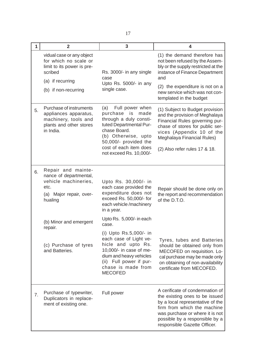| 1  | $\overline{2}$                                                                                                                          | 3                                                                                                                                                                                                                       | 4                                                                                                                                                                                                                                              |
|----|-----------------------------------------------------------------------------------------------------------------------------------------|-------------------------------------------------------------------------------------------------------------------------------------------------------------------------------------------------------------------------|------------------------------------------------------------------------------------------------------------------------------------------------------------------------------------------------------------------------------------------------|
|    | vidual case or any object<br>for which no scale or<br>limit to its power is pre-<br>scribed<br>(a) if recurring<br>(b) if non-recurring | Rs. 3000/- in any single<br>case<br>Upto Rs. 5000/- in any<br>single case.                                                                                                                                              | (1) the demand therefore has<br>not been refused by the Assem-<br>bly or the supply restricted at the<br>instance of Finance Department<br>and<br>(2) the expenditure is not on a<br>new service which was not con-<br>templated in the budget |
| 5. | Purchase of instruments<br>appliances apparatus,<br>machinery, tools and<br>plants and other stores<br>in India.                        | Full power when<br>(a)<br>purchase is<br>made<br>through a duly consti-<br>tuted Departmental Pur-<br>chase Board.<br>(b) Otherwise, upto<br>50,000/- provided the<br>cost of each item does<br>not exceed Rs. 10,000/- | (1) Subject to Budget provision<br>and the provision of Meghalaya<br>Financial Rules governing pur-<br>chase of stores for public ser-<br>vices (Appendix 10 of the<br>Meghalaya Financial Rules)<br>(2) Also refer rules 17 & 18.             |
| 6. | Repair and mainte-<br>nance of departmental,<br>vehicle machineries,<br>etc.<br>(a) Major repair, over-<br>hualing                      | Upto Rs. 30,000/- in<br>each case provided the<br>expenditure does not<br>exceed Rs. 50,000/- for<br>each vehicle/machinery<br>in a year.<br>Upto Rs. 5,000/- in each                                                   | Repair should be done only on<br>the report and recommendation<br>of the D.T.O.                                                                                                                                                                |
|    | (b) Minor and emergent<br>repair.<br>(c) Purchase of tyres<br>and Batteries.                                                            | case.<br>(i) Upto Rs.5,000/- in<br>each case of Light ve-<br>hicle and upto Rs.<br>10,000/- in case of me-<br>dium and heavy vehicles<br>(ii) Full power if pur-<br>chase is made from<br><b>MECOFED</b>                | Tyres, tubes and Batteries<br>should be obtained only from<br>MECOFED on requisition. Lo-<br>cal purchase may be made only<br>on obtaining of non-availability<br>certificate from MECOFED.                                                    |
| 7. | Purchase of typewriter,<br>Duplicators in replace-<br>ment of existing one.                                                             | Full power                                                                                                                                                                                                              | A cerificate of condemnation of<br>the existing ones to be issued<br>by a local representative of the<br>firm from which the machine<br>was purchase or where it is not<br>possible by a responsible by a<br>responsible Gazette Officer.      |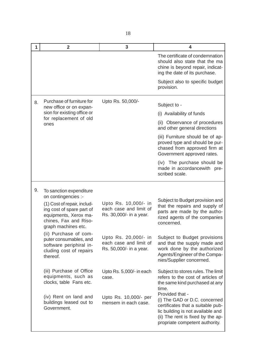| 1  | $\overline{2}$                                                                                                                    | 3                                                                         | 4                                                                                                                                                                                                 |
|----|-----------------------------------------------------------------------------------------------------------------------------------|---------------------------------------------------------------------------|---------------------------------------------------------------------------------------------------------------------------------------------------------------------------------------------------|
|    |                                                                                                                                   |                                                                           | The certificate of condemnation<br>should also state that the ma<br>chine is beyond repair, indicat-<br>ing the date of its purchase.                                                             |
|    |                                                                                                                                   |                                                                           | Subject also to specific budget<br>provision.                                                                                                                                                     |
| 8. | Purchase of furniture for<br>new office or on expan-                                                                              | Upto Rs. 50,000/-                                                         | Subject to -                                                                                                                                                                                      |
|    | sion for existing office or                                                                                                       |                                                                           | (i) Availability of funds                                                                                                                                                                         |
|    | for replacement of old<br>ones                                                                                                    |                                                                           | (ii) Observance of procedures<br>and other general directions                                                                                                                                     |
|    |                                                                                                                                   |                                                                           | (iii) Furniture should be of ap-<br>proved type and should be pur-<br>chased from approved firm at<br>Government approved rates.                                                                  |
|    |                                                                                                                                   |                                                                           | (iv) The purchase should be<br>made in accordancewith pre-<br>scribed scale.                                                                                                                      |
| 9. | To sanction expenditure<br>on contingencies :-                                                                                    |                                                                           |                                                                                                                                                                                                   |
|    | (1) Cost of repair, includ-<br>ing cost of spare part of<br>equipments, Xerox ma-<br>chines, Fax and Riso-<br>graph machines etc. | Upto Rs. 10,000/- in<br>each case and limit of<br>Rs. 30,000/- in a year. | Subject to Budget provision and<br>that the repairs and supply of<br>parts are made by the autho-<br>rized agents of the companies<br>concerned.                                                  |
|    | (ii) Purchase of com-<br>puter consumables, and<br>software periphiral in-<br>cluding cost of repairs<br>thereof.                 | Upto Rs. 20,000/- in<br>each case and limit of<br>Rs. 50,000/- in a year. | Subject to Budget provisions<br>and that the supply made and<br>work done by the authorized<br>Agents/Engineer of the Compa-<br>nies/Supplier concerned.                                          |
|    | (iii) Purchase of Office<br>equipments, such as<br>clocks, table Fans etc.                                                        | Upto Rs. 5,000/- in each<br>case.                                         | Subject to stores rules. The limit<br>refers to the cost of articles of<br>the same kind purchased at any<br>time.                                                                                |
|    | (iv) Rent on land and<br>buildings leased out to<br>Government.                                                                   | Upto Rs. 10,000/- per<br>mensem in each case.                             | Provided that -<br>(i) The GAD or D.C. concerned<br>certificates that a suitable pub-<br>lic building is not available and<br>(ii) The rent is fixed by the ap-<br>propriate competent authority. |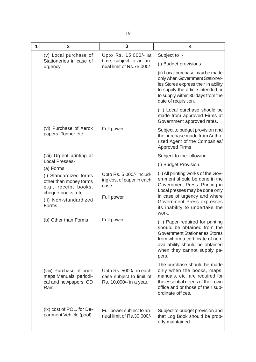| 1 | $\overline{2}$                                                                                                                                | 3                                                                              | 4                                                                                                                                                                                                                                                |
|---|-----------------------------------------------------------------------------------------------------------------------------------------------|--------------------------------------------------------------------------------|--------------------------------------------------------------------------------------------------------------------------------------------------------------------------------------------------------------------------------------------------|
|   | (v) Local purchase of                                                                                                                         | Upto Rs. 15,000/- at                                                           | Subject to :-                                                                                                                                                                                                                                    |
|   | Stationeries in case of<br>urgency.                                                                                                           | time, subject to an an-<br>nual limit of Rs.75,000/-                           | (i) Budget provisions                                                                                                                                                                                                                            |
|   |                                                                                                                                               |                                                                                | (ii) Local purchase may be made<br>only when Government Stationer-<br>ies Stores express their in ability<br>to supply the article intended or<br>to supply within 30 days from the<br>date of requisition.                                      |
|   |                                                                                                                                               |                                                                                | (iii) Local purchase should be<br>made from approved Firms at<br>Government approved rates.                                                                                                                                                      |
|   | (vi) Purchase of Xerox<br>papers, Tonner etc.                                                                                                 | Full power                                                                     | Subject to budget provision and<br>the purchase made from Autho-<br>rized Agent of the Companies/<br><b>Approved Firms</b>                                                                                                                       |
|   | (vii) Urgent printing at                                                                                                                      |                                                                                | Subject to the following -                                                                                                                                                                                                                       |
|   | <b>Local Presses-</b>                                                                                                                         |                                                                                | (i) Budget Provision.                                                                                                                                                                                                                            |
|   | (a) Forms<br>(i) Standardized forms<br>other than money forms<br>e.g., receipt books,<br>cheque books, etc.<br>(ii) Non-standardized<br>Forms | Upto Rs. 5,000/- includ-<br>ing cost of paper in each<br>case.<br>Full power   | (ii) All printing works of the Gov-<br>ernment should be done in the<br>Government Press. Printing in<br>Local presses may be done only<br>in case of urgency and where<br>Government Press expresses<br>its inability to undertake the<br>work. |
|   | (b) Other than Forms                                                                                                                          | Full power                                                                     | (iii) Paper required for printing<br>should be obtained from the<br><b>Government Stationeries Stores</b><br>from whom a certificate of non-<br>availability should be obtained<br>when they cannot supply pa-<br>pers.                          |
|   | (viii) Purchase of book<br>maps Manuals, periodi-<br>cal and newpapers, CD<br>Ram.                                                            | Upto Rs. 5000/- in each<br>case subject to limit of<br>Rs. 10,000/- in a year. | The purchase should be made<br>only when the books, maps,<br>manuals, etc. are required for<br>the essential needs of their own<br>office and or those of their sub-<br>ordinate offices.                                                        |
|   | (ix) cost of POL. for De-<br>partment Vehicle (pool).                                                                                         | Full power subject to an-<br>nual limit of Rs.30,000/-                         | Subject to budget provision and<br>that Log Book should be prop-<br>erly maintained.                                                                                                                                                             |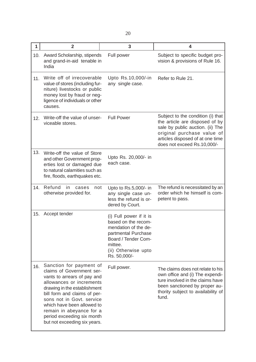| 1   | $\overline{2}$                                                                                                                                                                                                                                                                                                                       | 3                                                                                                                                                                      | 4                                                                                                                                                                                                        |
|-----|--------------------------------------------------------------------------------------------------------------------------------------------------------------------------------------------------------------------------------------------------------------------------------------------------------------------------------------|------------------------------------------------------------------------------------------------------------------------------------------------------------------------|----------------------------------------------------------------------------------------------------------------------------------------------------------------------------------------------------------|
| 10. | Award Scholarship, stipends<br>and grand-in-aid tenable in<br>India                                                                                                                                                                                                                                                                  | Full power                                                                                                                                                             | Subject to specific budget pro-<br>vision & provisions of Rule 16.                                                                                                                                       |
| 11. | Write off of irrecoverable<br>value of stores (including fur-<br>niture) livestocks or public<br>money lost by fraud or neg-<br>ligence of individuals or other<br>causes.                                                                                                                                                           | Upto Rs.10,000/-in<br>any single case.                                                                                                                                 | Refer to Rule 21.                                                                                                                                                                                        |
| 12. | Write-off the value of unser-<br>viceable stores.                                                                                                                                                                                                                                                                                    | <b>Full Power</b>                                                                                                                                                      | Subject to the condition (i) that<br>the article are disposed of by<br>sale by public auction. (ii) The<br>original purchase value of<br>articles disposed of at one time<br>does not exceed Rs.10,000/- |
| 13. | Write-off the value of Store<br>and other Government prop-<br>erties lost or damaged due<br>to natural calamities such as<br>fire, floods, earthquakes etc.                                                                                                                                                                          | Upto Rs. 20,000/- in<br>each case.                                                                                                                                     |                                                                                                                                                                                                          |
| 14. | Refund<br>in<br>cases<br>not<br>otherwise provided for.                                                                                                                                                                                                                                                                              | Upto to Rs.5,000/- in<br>any single case un-<br>less the refund is or-<br>dered by Court.                                                                              | The refund is necessitated by an<br>order which he himself is com-<br>petent to pass.                                                                                                                    |
| 15. | Accept tender                                                                                                                                                                                                                                                                                                                        | (i) Full power if it is<br>based on the recom-<br>mendation of the de-<br>partmental Purchase<br>Board / Tender Com-<br>mittee.<br>(ii) Otherwise upto<br>Rs. 50,000/- |                                                                                                                                                                                                          |
| 16. | Sanction for payment of<br>claims of Government ser-<br>vants to arrears of pay and<br>allowances or increments<br>drawing in the establishment<br>bill form and claims of per-<br>sons not in Govt. service<br>which have been allowed to<br>remain in abeyance for a<br>period exceeding six month<br>but not exceeding six years. | Full power.                                                                                                                                                            | The claims does not relate to his<br>own office and (i) The expendi-<br>ture involved in the claims have<br>been sanctioned by proper au-<br>thority subject to availability of<br>fund.                 |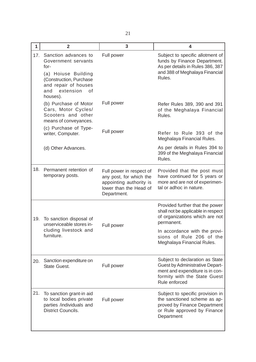| 1   | $\overline{2}$                                                                                                                                                      | 3                                                                                                                       | 4                                                                                                                                                                                  |
|-----|---------------------------------------------------------------------------------------------------------------------------------------------------------------------|-------------------------------------------------------------------------------------------------------------------------|------------------------------------------------------------------------------------------------------------------------------------------------------------------------------------|
| 17. | Sanction advances to<br>Government servants<br>for-<br>(a) Hoiuse Building<br>(Construction, Purchase<br>and repair of houses<br>extension<br>and<br>οf<br>houses). | Full power                                                                                                              | Subject to specific allotment of<br>funds by Finance Department.<br>As per details in Rules 386, 387<br>and 388 of Meghalaya Financial<br>Rules.                                   |
|     | (b) Purchase of Motor<br>Cars, Motor Cycles/<br>Scooters and other<br>means of conveyances.                                                                         | Full power                                                                                                              | Refer Rules 389, 390 and 391<br>of the Meghalaya Financial<br>Rules.                                                                                                               |
|     | (c) Purchase of Type-<br>writer, Computer.                                                                                                                          | Full power                                                                                                              | Refer to Rule 393 of the<br>Meghalaya Financial Rules.                                                                                                                             |
|     | (d) Other Advances.                                                                                                                                                 |                                                                                                                         | As per details in Rules 394 to<br>399 of the Meghalaya Financial<br>Rules.                                                                                                         |
| 18. | Permanent retention of<br>temporary posts.                                                                                                                          | Full power in respect of<br>any post, for which the<br>appointing authority is<br>lower than the Head of<br>Department. | Provided that the post must<br>have continued for 5 years or<br>more and are not of experimen-<br>tal or adhoc in nature.                                                          |
| 19. | To sanction disposal of<br>unserviceable stores in-<br>cluding livestock and<br>furniture.                                                                          | Full power                                                                                                              | Provided further that the power<br>shall not be applicable in respect<br>of organizations which are not<br>permanent.<br>In accordance with the provi-<br>sions of Rule 206 of the |
|     |                                                                                                                                                                     |                                                                                                                         | Meghalaya Financial Rules.                                                                                                                                                         |
| 20. | Sanction expenditure on<br><b>State Guest.</b>                                                                                                                      | Full power                                                                                                              | Subject to declaration as State<br><b>Guest by Administrative Depart-</b><br>ment and expenditure is in con-<br>formity with the State Guest<br>Rule enforced                      |
| 21. | To sanction grant-in aid<br>to local bodies private<br>parties /individuals and<br><b>District Councils.</b>                                                        | Full power                                                                                                              | Subject to specific provision in<br>the sanctioned scheme as ap-<br>proved by Finance Department<br>or Rule approved by Finance<br>Department                                      |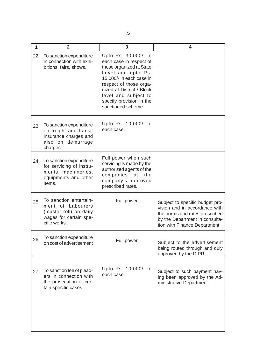| $\mathbf{1}$ | $\overline{2}$                                                                                                  | 3                                                                                                                                                                                                                                                              | 4                                                                                                                                                                     |
|--------------|-----------------------------------------------------------------------------------------------------------------|----------------------------------------------------------------------------------------------------------------------------------------------------------------------------------------------------------------------------------------------------------------|-----------------------------------------------------------------------------------------------------------------------------------------------------------------------|
| 22.          | To sanction expenditure<br>in connection with exhi-<br>bitions, fairs, shows.                                   | Upto Rs. 30,000/- in<br>each case in respect of<br>those organized at State<br>Level and upto Rs.<br>15,000/- in each case in<br>respect of those orga-<br>nized at District / Block<br>level and subject to<br>specify provision in the<br>sanctioned scheme. |                                                                                                                                                                       |
| 23.          | To sanction expenditure<br>on freight and transit<br>insurance charges and<br>also on demurrage<br>charges.     | Upto Rs. 10,000/- in<br>each case.                                                                                                                                                                                                                             |                                                                                                                                                                       |
| 24.          | To sanction expenditure<br>for servicing of instru-<br>ments, machineries,<br>equipments and other<br>items.    | Full power when such<br>servicing is made by the<br>authorized agents of the<br>companies<br>at<br>the<br>company's approved<br>prescribed rates.                                                                                                              |                                                                                                                                                                       |
| 25.          | To sanction entertain-<br>ment of Labourers<br>(muster roll) on daily<br>wages for certain spe-<br>cific works. | Full power                                                                                                                                                                                                                                                     | Subject to specific budget pro-<br>vision and in accordance with<br>the norms and rates prescribed<br>by the Department in consulta-<br>tion with Finance Department. |
| 26.          | To sanction expenditure<br>on cost of advertisement                                                             | Full power                                                                                                                                                                                                                                                     | Subject to the advertisement<br>being routed through and duly<br>approved by the DIPR.                                                                                |
| 27.          | To sanction fee of plead-<br>ers in connection with<br>the prosecution of cer-<br>tain specific cases.          | Upto Rs. 10,000/- in<br>each case.                                                                                                                                                                                                                             | Subject to such payment hav-<br>ing been approved by the Ad-<br>ministrative Department.                                                                              |
|              |                                                                                                                 |                                                                                                                                                                                                                                                                |                                                                                                                                                                       |

I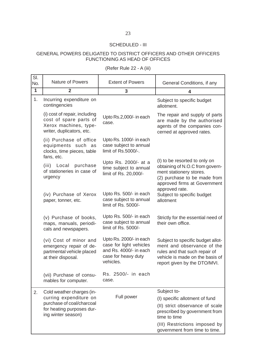## SCHEDULED - III

## GENERAL POWERS DELIGATED TO DISTRICT OFFICERS AND OTHER OFFICERS FUNCTIONING AS HEAD OF OFFICES

(Refer Rule 22 - A (iii)

| SI.<br>No.   | Nature of Powers                                                                                              | <b>Extent of Powers</b>                                                                                          | General Conditions, if any                                                                                                                                          |
|--------------|---------------------------------------------------------------------------------------------------------------|------------------------------------------------------------------------------------------------------------------|---------------------------------------------------------------------------------------------------------------------------------------------------------------------|
| $\mathbf{1}$ | $\overline{2}$                                                                                                | 3                                                                                                                | 4                                                                                                                                                                   |
| 1.           | Incurring expenditure on<br>contingencies                                                                     |                                                                                                                  | Subject to specific budget<br>allotment.                                                                                                                            |
|              | (i) cost of repair, including<br>cost of spare parts of<br>Xerox machines, type-<br>writer, duplicators, etc. | Upto Rs.2,000/- in each<br>case.                                                                                 | The repair and supply of parts<br>are made by the authorised<br>agents of the companies con-<br>cerned at approved rates.                                           |
|              | (ii) Purchase of office<br>equipments such as<br>clocks, time pieces, table<br>fans, etc.                     | Upto Rs. 1000/- in each<br>case subject to annual<br>limit of Rs.5000/-.                                         |                                                                                                                                                                     |
|              | (iii) Local<br>purchase<br>of stationeries in case of<br>urgency                                              | Upto Rs. 2000/- at a<br>time subject to annual<br>limit of Rs. 20,000/-                                          | (I) to be resorted to only on<br>obtaining of N.O.C from govern-<br>ment stationery stores.<br>(2) purchase to be made from<br>approved firms at Government         |
|              | (iv) Purchase of Xerox<br>paper, tonner, etc.                                                                 | Upto Rs. 500/- in each<br>case subject to annual<br>limit of Rs. 5000/-                                          | approved rate.<br>Subject to specific budget<br>allotment                                                                                                           |
|              | (v) Purchase of books,<br>maps, manuals, periodi-<br>cals and newspapers.                                     | Upto Rs. 500/- in each<br>case subject to annual<br>limit of Rs. 5000/-                                          | Strictly for the essential need of<br>their own office.                                                                                                             |
|              | (vi) Cost of minor and<br>emergency repair of de-<br>partmental vehicle placed<br>at their disposal.          | Upto Rs. 2000/- in each<br>case for light vehicles<br>and Rs. 4000/- in each<br>case for heavy duty<br>vehicles. | Subject to specific budget allot-<br>ment and observance of the<br>rules and that such repair of<br>vehicle is made on the basis of<br>report given by the DTO/MVI. |
|              | (vii) Purchase of consu-<br>mables for computer.                                                              | Rs. 2500/- in each<br>case.                                                                                      |                                                                                                                                                                     |
| 2.           | Cold weather charges (in-                                                                                     |                                                                                                                  | Subject to-                                                                                                                                                         |
|              | curring expenditure on                                                                                        | Full power                                                                                                       | (I) specific allotment of fund                                                                                                                                      |
|              | purchase of coal/charcoal<br>for heating purposes dur-<br>ing winter season)                                  |                                                                                                                  | (II) strict observance of scale<br>prescribed by government from<br>time to time                                                                                    |
|              |                                                                                                               |                                                                                                                  | (III) Restrictions imposed by<br>government from time to time.                                                                                                      |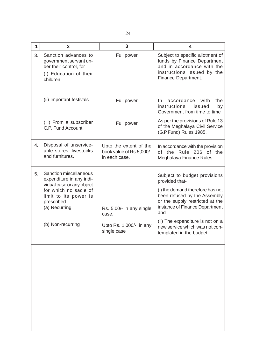| 1  | $\overline{2}$                                                                                                  | 3                                                                   | 4                                                                                                                                                  |
|----|-----------------------------------------------------------------------------------------------------------------|---------------------------------------------------------------------|----------------------------------------------------------------------------------------------------------------------------------------------------|
| 3. | Sanction advances to<br>government servant un-<br>der their control, for<br>(i) Education of their<br>children. | Full power                                                          | Subject to specific allotment of<br>funds by Finance Department<br>and in accordance with the<br>instructions issued by the<br>Finance Department. |
|    | (ii) Important festivals                                                                                        | Full power                                                          | accordance<br>the<br>with<br>In.<br>instructions<br>by<br>issued<br>Government from time to time                                                   |
|    | (iii) From a subscriber<br>G.P. Fund Account                                                                    | Full power                                                          | As per the provisions of Rule 13<br>of the Meghalaya Civil Service<br>(G.P.Fund) Rules 1985.                                                       |
| 4. | Disposal of unservice-<br>able stores, livestocks<br>and furnitures.                                            | Upto the extent of the<br>book value of Rs.5,000/-<br>in each case. | In accordance with the provision<br>of the Rule 206 of the<br>Meghalaya Finance Rules.                                                             |
| 5. | Sanction miscellaneous<br>expenditure in any indi-<br>vidual case or any object                                 |                                                                     | Subject to budget provisions<br>provided that-                                                                                                     |
|    | for which no sacle of<br>limit to its power is<br>prescribed<br>(a) Recurring                                   | Rs. 5.00/- in any single<br>case.                                   | (i) the demand therefore has not<br>been refused by the Assembly<br>or the supply restricted at the<br>instance of Finance Department<br>and       |
|    | (b) Non-recurring                                                                                               | Upto Rs. 1,000/- in any<br>single case                              | (ii) The expenditure is not on a<br>new service which was not con-<br>templated in the budget                                                      |
|    |                                                                                                                 |                                                                     |                                                                                                                                                    |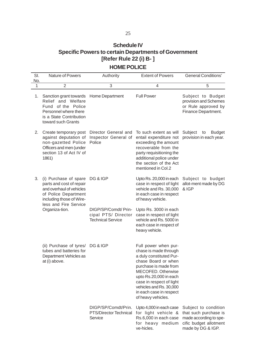# **Schedule IV Specific Powers to certain Departments of Government [Refer Rule 22 (i) B- ]**

# **HOME POLICE**

| SI.<br>No.   | Nature of Powers                                                                                                                                                             | Authority                                                                           | <b>Extent of Powers</b>                                                                                                                                                                                                                                                          | <b>General Conditions'</b>                                                                                             |
|--------------|------------------------------------------------------------------------------------------------------------------------------------------------------------------------------|-------------------------------------------------------------------------------------|----------------------------------------------------------------------------------------------------------------------------------------------------------------------------------------------------------------------------------------------------------------------------------|------------------------------------------------------------------------------------------------------------------------|
| $\mathbf{1}$ | $\overline{2}$                                                                                                                                                               | 3                                                                                   | 4                                                                                                                                                                                                                                                                                | 5                                                                                                                      |
| 1.           | Sanction grant towards<br>Relief and Welfare<br>Fund of the Police<br>Personnel where there<br>is a State Contribution<br>toward such Grants                                 | Home Department                                                                     | <b>Full Power</b>                                                                                                                                                                                                                                                                | Subject to Budget<br>provision and Schemes<br>or Rule approved by<br>Finance Department.                               |
| 2.           | Create temporary post<br>against deputation of<br>non-gazetted Police<br>Officers and men (under<br>section 13 of Act IV of<br>1861)                                         | Director General and<br>Inspector General of<br>Police                              | To such extent as will<br>entail expenditure not<br>exceeding the amount<br>recoverable from the<br>party requisitioning the<br>additional police under<br>the section of the Act<br>mentioned in Col.2                                                                          | Subject<br><b>Budget</b><br>to<br>provision in each year.                                                              |
| 3.           | (i) Purchase of spare<br>parts and cost of repair<br>and overhaul of vehicles<br>of Police Department<br>including those of Wire-<br>less and Fire Service<br>Organiza-tion. | DG & IGP<br>DIGP/SP/Comdt/ Prin-<br>cipal PTS/ Director<br><b>Technical Service</b> | Upto Rs. 20,000 in each<br>case in respect of light<br>vehicle and Rs. 30,000<br>in each case in respect<br>of heavy vehicle.<br>Upto Rs. 3000 in each<br>case in respect of light<br>vehicle and Rs. 5000 in<br>each case in respect of<br>heavy vehicle.                       | Subject to budget<br>allot-ment made by DG<br>& IGP                                                                    |
|              | (ii) Purchase of tyres/ DG & IGP<br>tubes and batteries for<br>Department Vehicles as<br>at (i) above.                                                                       |                                                                                     | Full power when pur-<br>chase is made through<br>a duly constituted Pur-<br>chase Board or when<br>purchase is made from<br>MECOFED. Otherwise<br>upto Rs.20,000 in each<br>case in respect of light<br>vehicles and Rs. 30,000<br>in each case in respect<br>of heavy vehicles. |                                                                                                                        |
|              |                                                                                                                                                                              | DIGP/SP/Comdt/Prin.<br>PTS/Director Technical<br>Service                            | Upto 4,000 in each case<br>for light vehicle &<br>Rs.6,000 in each case<br>for heavy medium<br>ve-hicles.                                                                                                                                                                        | Subject to condition<br>that such purchase is<br>made according to spe-<br>cific budget allotment<br>made by DG & IGP. |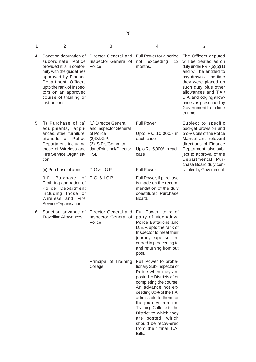| ٠    |    |
|------|----|
|      |    |
|      |    |
| PU 1 |    |
|      |    |
|      | I  |
|      | ۰. |

| 1  | $\overline{2}$                                                                                                                                                                                                                                       | 3                                                                                                                                 | 4                                                                                                                                                                                                                                                                                                                                                                       | 5                                                                                                                                                                                                                                                                                               |
|----|------------------------------------------------------------------------------------------------------------------------------------------------------------------------------------------------------------------------------------------------------|-----------------------------------------------------------------------------------------------------------------------------------|-------------------------------------------------------------------------------------------------------------------------------------------------------------------------------------------------------------------------------------------------------------------------------------------------------------------------------------------------------------------------|-------------------------------------------------------------------------------------------------------------------------------------------------------------------------------------------------------------------------------------------------------------------------------------------------|
|    | 4. Sanction deputation of<br>subordinate Police<br>provided it is in confor-<br>mity with the guidelines<br>approved by Finance<br>Department. Officers<br>upto the rank of Inspec-<br>tors on an approved<br>course of training or<br>instructions. | Inspector General of<br>Police                                                                                                    | Director General and Full Power for a period<br>not<br>exceeding<br>12 <sup>°</sup><br>months.                                                                                                                                                                                                                                                                          | The Officers deputed<br>will be treated as on<br>duty under FR $7(5)(b)(1)$<br>and will be entitled to<br>pay drawn at the time<br>they were placed on<br>such duty plus other<br>allowances and T.A./<br>D.A. and lodging allow-<br>ances as prescribed by<br>Government from time<br>to time. |
| 5. | (i) Purchase of (a)<br>equipments, appli-<br>ances, steel furniture,<br>utensils of Police<br>Department including<br>those of Wireless and<br>Fire Service Organisa-<br>tion.                                                                       | (1) Director General<br>and Inspector General<br>of Police<br>(2)D.I.G.P.<br>(3) S.P.s/Comman-<br>dant/Principal/Director<br>FSL. | <b>Full Power</b><br>Upto Rs. 10,000/- in<br>each case<br>Upto Rs. 5,000/- in each<br>case                                                                                                                                                                                                                                                                              | Subject to specific<br>bud-get provision and<br>pro-visions of the Police<br>Manual and relevant<br>directions of Finance<br>Department, also sub-<br>ject to approval of the<br>Departmental Pur-<br>chase Board duly con-                                                                     |
|    | (ii) Purchase of arms                                                                                                                                                                                                                                | D.G.& I.G.P.                                                                                                                      | <b>Full Power</b>                                                                                                                                                                                                                                                                                                                                                       | stituted by Government.                                                                                                                                                                                                                                                                         |
|    | (iii)<br>Purchase<br>of<br>Cloth-ing and ration of<br>Police Department<br>including those of<br>Wireless and Fire<br>Service Organisation.                                                                                                          | D.G. & I.G.P.                                                                                                                     | Full Power, if purchase<br>is made on the recom-<br>mendation of the duly<br>constituted Purchase<br>Board.                                                                                                                                                                                                                                                             |                                                                                                                                                                                                                                                                                                 |
| 6. | Sanction advance of<br>Travelling Allowances.                                                                                                                                                                                                        | Director General and<br>Inspector General of<br>Police                                                                            | Full Power to relief<br>party of Meghalaya<br>Police Battalions and<br>D.E.F. upto the rank of<br>Inspector to meet their<br>journey expenses in-<br>curred in proceeding to<br>and returning from out<br>post.                                                                                                                                                         |                                                                                                                                                                                                                                                                                                 |
|    |                                                                                                                                                                                                                                                      | Principal of Training<br>College                                                                                                  | Full Power to proba-<br>tionary Sub-Inspector of<br>Police when they are<br>posted to Districts after<br>completing the course.<br>An advance not ex-<br>ceeding 80% of the T.A.<br>admissible to them for<br>the journey from the<br>Training College to the<br>District to which they<br>are posted, which<br>should be recov-ered<br>from their final T.A.<br>Bills. |                                                                                                                                                                                                                                                                                                 |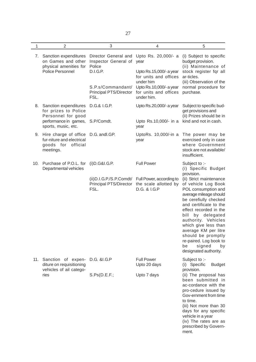| ٠    | e e |
|------|-----|
| PU 1 |     |

| $\mathbf{1}$ | $\overline{2}$                                                                                         | 3                                                                             | 4                                                                                                                               | 5                                                                                                                                                                                                                                                                                                                                                                                        |
|--------------|--------------------------------------------------------------------------------------------------------|-------------------------------------------------------------------------------|---------------------------------------------------------------------------------------------------------------------------------|------------------------------------------------------------------------------------------------------------------------------------------------------------------------------------------------------------------------------------------------------------------------------------------------------------------------------------------------------------------------------------------|
|              | 7. Sanction expenditures<br>on Games and other<br>physical amenities for                               | Director General and Upto Rs. 20,000/- a<br>Inspector General of<br>Police    | year                                                                                                                            | (i) Subject to specific<br>budget provision.<br>(ii) Maintenance of                                                                                                                                                                                                                                                                                                                      |
|              | Police Personnel                                                                                       | <b>D.I.G.P.</b><br>S.P.s/Commandant/<br><b>Principal PTS/Director</b><br>FSL. | Upto Rs.15,000/- a year<br>for units and offices<br>under him<br>Upto Rs.10,000/- a year<br>for units and offices<br>under him. | stock register fqr all<br>ar-ticles.<br>(iii) Observation of the<br>normal procedure for<br>purchase.                                                                                                                                                                                                                                                                                    |
| 8.           | Sanction expenditures<br>for prizes to Police<br>Personnel for good                                    | D.G.& I.G.P.                                                                  | Upto Rs.20,000/- a year                                                                                                         | Subject to specific bud-<br>get provisions and<br>(ii) Prizes should be in                                                                                                                                                                                                                                                                                                               |
|              | performance in games, S.P/Comdt.<br>sports, music, etc.                                                |                                                                               | Upto Rs.10,000/- in a<br>year                                                                                                   | kind and not in cash.                                                                                                                                                                                                                                                                                                                                                                    |
| 9.           | Hire charge of office D.G. andl.GP.<br>fur-niture and electrical<br>goods for<br>official<br>meetings. |                                                                               | UptoRs. 10,000/-in a<br>year                                                                                                    | The power may be<br>exercised only in case<br>where Government<br>stock are not available/<br>insufficient.                                                                                                                                                                                                                                                                              |
|              | 10. Purchase of P.O.L. for (i)D.G&I.G.P.<br>Departmental vehicles                                      |                                                                               | <b>Full Power</b>                                                                                                               | Subject to :-<br>(i) Specific Budget                                                                                                                                                                                                                                                                                                                                                     |
|              |                                                                                                        | Principal PTS/Director<br>FSL.                                                | (ii) D.I.G.P./S.P.Comdt/ Full Power, according to<br>the scale allotted by<br>D.G. & I.G.P                                      | provision.<br>{ii) Strict maintenance<br>of vehicle Log Book<br>POL consumption and<br>average mileage should<br>be cerefiully checked<br>and certificate to the<br>effect recorded in the<br>bill<br>by delegated<br>authority. Vehicles<br>which give less than<br>average KM per litre<br>should be promptly<br>re-paired. Log book to<br>be<br>signed<br>by<br>designated authority. |
|              | 11. Sanction of expen-<br>diture on requisitioning<br>vehicles of ail catego-                          | D.G. &I.G.P                                                                   | <b>Full Power</b><br>Upto 20 days                                                                                               | Subject to :-<br>(i) Specific<br><b>Budget</b><br>provision.                                                                                                                                                                                                                                                                                                                             |
|              | ries                                                                                                   | S.Ps(D.E.F.;                                                                  | Upto 7 days                                                                                                                     | (ii) The proposal has<br>been submitted in<br>ac-cordance with the<br>pro-cedure issued by<br>Gov-ernment from time<br>to time.<br>{iii) Not more than 30<br>days for any specific<br>vehicle in a year<br>(iv) The rates are as<br>prescribed by Govern-<br>ment.                                                                                                                       |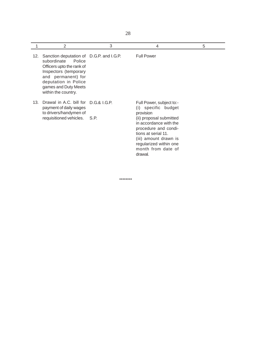|     | 2                                                                                                                                                                                                                    | 3    | 4                                                                                                                                                                                                                                                       | 5 |
|-----|----------------------------------------------------------------------------------------------------------------------------------------------------------------------------------------------------------------------|------|---------------------------------------------------------------------------------------------------------------------------------------------------------------------------------------------------------------------------------------------------------|---|
| 12. | Sanction deputation of D.G.P. and I.G.P.<br>subordinate<br>Police<br>Officers upto the rank of<br>Inspectors (temporary<br>and permanent) for<br>deputation in Police<br>games and Duty Meets<br>within the country. |      | <b>Full Power</b>                                                                                                                                                                                                                                       |   |
| 13. | Drawal in A.C. bill for D.G.& L.G.P.<br>payment of daily wages<br>to drivers/handymen of<br>requisitioned vehicles.                                                                                                  | S.P. | Full Power, subject to:-<br>specific budget<br>(i)<br>provision<br>(ii) proposal submitted<br>in accordance with the<br>procedure and condi-<br>tions at serial 11.<br>(iii) amount drawn is<br>regularized within one<br>month from date of<br>drawal. |   |

\*\*\*\*\*\*\*\*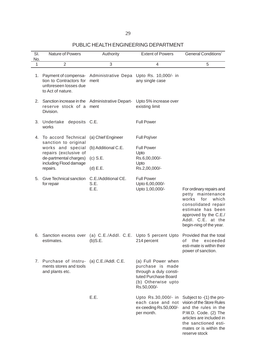## PUBLIC HEALTH ENGINEERING DEPARTMENT

| SI.<br>No. | Nature of Powers                                                                                                                       | Authority                           | <b>Extent of Powers</b>                                                                                                        | <b>General Conditions'</b>                                                                                                                                                                           |
|------------|----------------------------------------------------------------------------------------------------------------------------------------|-------------------------------------|--------------------------------------------------------------------------------------------------------------------------------|------------------------------------------------------------------------------------------------------------------------------------------------------------------------------------------------------|
| 1          | $\overline{2}$                                                                                                                         | 3                                   | 4                                                                                                                              | 5                                                                                                                                                                                                    |
| 1.         | Payment of compensa- Administrative Depa Upto Rs. 10,000/- in<br>tion to Contractors for<br>unforeseen losses due<br>to Act of nature. | merit                               | any single case                                                                                                                |                                                                                                                                                                                                      |
| 2.         | Sanction increase in the Administrative Depart-<br>reserve stock of a ment<br>Division.                                                |                                     | Upto 5% increase over<br>existing limit                                                                                        |                                                                                                                                                                                                      |
| 3.         | Undertake deposits C.E.<br>works                                                                                                       |                                     | <b>Full Power</b>                                                                                                              |                                                                                                                                                                                                      |
| 4.         | To accord Technical<br>sanction to original                                                                                            | (a) Chief Engineer                  | Full Poj/ver                                                                                                                   |                                                                                                                                                                                                      |
|            | works and special                                                                                                                      | (b) Additional C.E.                 | <b>Full Power</b>                                                                                                              |                                                                                                                                                                                                      |
|            | repairs (exclusive of<br>de-partmental charges)                                                                                        | $(c)$ S.E.                          | Upto<br>Rs.6,00,000/-                                                                                                          |                                                                                                                                                                                                      |
|            | including Flood damage                                                                                                                 |                                     | Upto                                                                                                                           |                                                                                                                                                                                                      |
|            | repairs.                                                                                                                               | $(d)$ E.E.                          | Rs.2,00,000/-                                                                                                                  |                                                                                                                                                                                                      |
| 5.         | Give Technical sanction<br>for repair                                                                                                  | C.E./Additional CE.<br>S.E.<br>E.E. | <b>Full Power</b><br>Upto 6,00,000/-<br>Upto 1,00,000/-                                                                        | For ordinary repairs and<br>petty maintenance<br>works<br>for<br>which<br>consolidated repair<br>estimate has been<br>approved by the C.E./<br>Addl. C.E. at the<br>begin-ning of the year.          |
| 6.         | Sanction excess over<br>estimates.                                                                                                     | $(b)$ S.E.                          | (a) C.E./Addl. C.E. Upto 5 percent Upto Provided that the total<br>214 percent                                                 | οf<br>the<br>exceeded<br>esti-mate is within their<br>power of sanction.                                                                                                                             |
|            | 7. Purchase of instru-<br>ments stores and tools<br>and plants etc.                                                                    | (a) $C.E./AddI. C.E.$               | (a) Full Power when<br>purchase is made<br>through a duly consti-<br>tuted Purchase Board<br>(b) Otherwise upto<br>Rs.50,000/- |                                                                                                                                                                                                      |
|            |                                                                                                                                        | E.E.                                | Upto Rs.30,000/- in<br>each case and not<br>ex-ceeding Rs.50,000/-<br>per month.                                               | Subject to -(1) the pro-<br>vision of the Store Rules<br>and the rules in the<br>P.W.D. Code. (2) The<br>articles are included in<br>the sanctioned esti-<br>mates or is within the<br>reserve stock |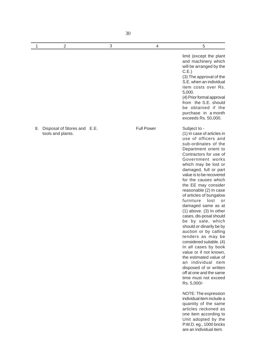| 1  | $\overline{2}$                                   | 3 | 4                 | 5                                                                                                                                                                                                                                                                                                                                                                                                                                                                                                                                                                                                                                                                                                                                                                                                                                                                                                                                         |
|----|--------------------------------------------------|---|-------------------|-------------------------------------------------------------------------------------------------------------------------------------------------------------------------------------------------------------------------------------------------------------------------------------------------------------------------------------------------------------------------------------------------------------------------------------------------------------------------------------------------------------------------------------------------------------------------------------------------------------------------------------------------------------------------------------------------------------------------------------------------------------------------------------------------------------------------------------------------------------------------------------------------------------------------------------------|
|    |                                                  |   |                   | limit (except the plant<br>and machinery which<br>will be arranged by the<br>C.E.)<br>(3) The approval of the<br>S.E. when an individual<br>item costs over Rs.<br>5,000.<br>(4) Prior formal approval<br>from the S.E. should<br>be obtained if the<br>purchase in a month<br>exceeds Rs. 50,000.                                                                                                                                                                                                                                                                                                                                                                                                                                                                                                                                                                                                                                        |
| 8. | Disposal of Stores and E.E.<br>tools and plants. |   | <b>Full Power</b> | Subject to -<br>(1) In case of articles in<br>use of officers and<br>sub-ordinates of the<br>Department orient to<br>Contractors for use of<br>Government works<br>which may be lost or<br>damaged, full or part<br>value is to be recovered<br>for the causes which<br>the EE may consider<br>reasonable (2) In case<br>of articles of bungalow<br>furniture<br>lost<br>or<br>damaged same as at<br>$(1)$ above. $(3)$ In other<br>cases, dis-posal should<br>be by sale, which<br>should or-dinarily be by<br>auction or by calling<br>tenders as may be<br>considered suitable. (4)<br>In all cases by book<br>value or if not known,<br>the estimated value of<br>an individual item<br>disposed of or written<br>off at one and the same<br>time must not exceed<br>Rs. 5,000/-<br>NOTE: The expression<br>individual item include a<br>quantity of the same<br>articles reckoned as<br>one item according to<br>Unit adopted by the |

P.W.D. eg., 1000 bricks are an individual item.

30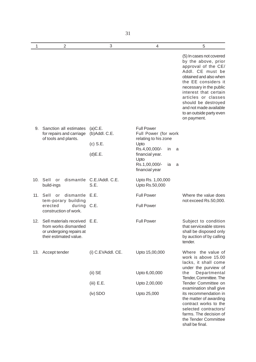| 1   | $\overline{2}$                                                                                              | 3                                       | $\overline{4}$                                                    | 5                                                                                                                                                                                                                                                                                                                  |
|-----|-------------------------------------------------------------------------------------------------------------|-----------------------------------------|-------------------------------------------------------------------|--------------------------------------------------------------------------------------------------------------------------------------------------------------------------------------------------------------------------------------------------------------------------------------------------------------------|
|     |                                                                                                             |                                         |                                                                   | (5) In cases not covered<br>by the above, prior<br>approval of the CE/<br>Addl. CE must be<br>obtained and also when<br>the EE considers it<br>necessary in the public<br>interest that certain<br>articles or classes<br>should be destroyed<br>and not made available<br>to an outside party even<br>on payment. |
| 9.  | Sanction all estimates<br>for repairs and carriage<br>of tools and plants.                                  | (a)C.E.<br>(b)Addl. C.E.                | <b>Full Power</b><br>Full Power (for work<br>relating to his zone |                                                                                                                                                                                                                                                                                                                    |
|     |                                                                                                             | $(c)$ S.E.                              | Upto                                                              |                                                                                                                                                                                                                                                                                                                    |
|     |                                                                                                             | (d)E.E.                                 | Rs.4,00,000/-<br>in.<br>a<br>financial year.                      |                                                                                                                                                                                                                                                                                                                    |
|     |                                                                                                             | Upto<br>Rs.1,00,000/-<br>financial year | ia<br>a                                                           |                                                                                                                                                                                                                                                                                                                    |
| 10. | Sell<br>or<br>build-ings                                                                                    | dismantle C.E./Addl. C.E.<br>S.E.       | Upto Rs. 1,00,000<br>Upto Rs.50,000                               |                                                                                                                                                                                                                                                                                                                    |
| 11. | Sell<br>dismantle<br>or<br>tem-porary building<br>erected<br>during<br>construction of work.                | E.E.                                    | <b>Full Power</b>                                                 | Where the value does<br>not exceed Rs.50,000.                                                                                                                                                                                                                                                                      |
|     |                                                                                                             | C.E.                                    | <b>Full Power</b>                                                 |                                                                                                                                                                                                                                                                                                                    |
| 12. | Sell materials received E.E.<br>from works dismantled<br>or undergoing repairs at<br>their estimated value. |                                         | <b>Full Power</b>                                                 | Subject to condition<br>that serviceable stores<br>shall be disposed only<br>by auction of by calling<br>tender.                                                                                                                                                                                                   |
| 13. | Accept tender                                                                                               | (i) C.EVAddl. CE.                       | Upto 15,00,000                                                    | Where the value of<br>work is above 15.00<br>lacks, it shall come                                                                                                                                                                                                                                                  |
|     |                                                                                                             | $(ii)$ SE                               | Upto 6,00,000                                                     | under the purview of<br>the<br>Departmental                                                                                                                                                                                                                                                                        |
|     |                                                                                                             | (iii) E.E.                              | Upto 2,00,000                                                     | Tender, Committee. The<br>Tender Committee on                                                                                                                                                                                                                                                                      |
|     |                                                                                                             | (iv) SDO                                | Upto 25,000                                                       | examination shall give<br>its recommendation in<br>the matter of awarding<br>contract works to the<br>selected contractors/<br>farms. The decision of<br>the Tender Committee<br>shall be final.                                                                                                                   |

31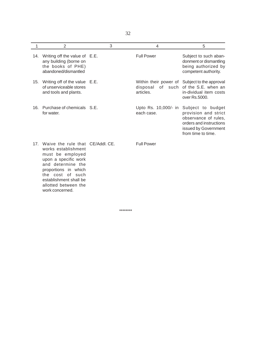| 1   | $\overline{2}$                                                                                                                                                                                                         | 3 | 4                                  | 5                                                                                                                                          |
|-----|------------------------------------------------------------------------------------------------------------------------------------------------------------------------------------------------------------------------|---|------------------------------------|--------------------------------------------------------------------------------------------------------------------------------------------|
| 14. | Writing off the value of E.E.<br>any building (borne on<br>the books of PHE)<br>abandoned/dismantled                                                                                                                   |   | <b>Full Power</b>                  | Subject to such aban-<br>donment or dismantling<br>being authorized by<br>competent authority.                                             |
| 15. | Writing off of the value E.E.<br>of unserviceable stores<br>and tools and plants.                                                                                                                                      |   | disposal of such<br>articles.      | Within their power of Subject to the approval<br>of the S.E. when an<br>in-dividual item costs<br>over Rs.5000.                            |
| 16. | Purchase of chemicals S.E.<br>for water.                                                                                                                                                                               |   | Upto Rs. 10,000/- in<br>each case. | Subject to budget<br>provision and strict<br>observance of rules,<br>orders and instructions<br>issued by Government<br>from time to time. |
| 17. | Waive the rule that CE/Addl, CE.<br>works establishment<br>must be employed<br>upon a specific work<br>and determine the<br>proportions in which<br>the cost of such<br>establishment shall be<br>allotted between the |   | <b>Full Power</b>                  |                                                                                                                                            |

\*\*\*\*\*\*\*\*

work concerned.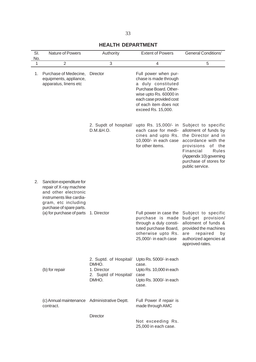# **HEALTH DEPARTMENT**

| SI.<br>No. | Nature of Powers                                                                                                                                                                        | Authority                                                                        | <b>Extent of Powers</b>                                                                                                                                                                           | <b>General Conditions'</b>                                                                                                                                                                                          |
|------------|-----------------------------------------------------------------------------------------------------------------------------------------------------------------------------------------|----------------------------------------------------------------------------------|---------------------------------------------------------------------------------------------------------------------------------------------------------------------------------------------------|---------------------------------------------------------------------------------------------------------------------------------------------------------------------------------------------------------------------|
| 1          | $\overline{2}$                                                                                                                                                                          | 3                                                                                | 4                                                                                                                                                                                                 | 5                                                                                                                                                                                                                   |
| 1.         | Purchase of Medecine,<br>equipments, appliance,<br>apparatus, linens etc                                                                                                                | Director                                                                         | Full power when pur-<br>chase is made through<br>a duly constituted<br>Purchase Board. Other-<br>wise upto Rs. 60000 in<br>each case provided cost<br>of each item does not<br>exceed Rs. 15,000. |                                                                                                                                                                                                                     |
|            |                                                                                                                                                                                         | 2. Supdt of hospital/<br>D.M.&H.O.                                               | upto Rs. 15,000/- in<br>each case for medi-<br>cines and upto Rs.<br>10,000/- in each case<br>for other items.                                                                                    | Subject to specific<br>allotment of funds by<br>the Director and in<br>accordance with the<br>provisions<br>of<br>the<br>Financial<br>Rules<br>(Appendix 10) governing<br>purchase of stores for<br>public service. |
| 2.         | Sanction expenditure for<br>repair of X-ray machine<br>and other electronic<br>instruments like cardia-<br>gram, etc including<br>purchase of spare parts.<br>(a) for purchase of parts | 1. Director                                                                      | Full power in case the<br>purchase is made<br>through a duly consti-<br>tuted purchase Board,<br>otherwise upto Rs.<br>25,000/- in each case                                                      | Subject to specific<br>bud-get provision/<br>allotment of funds &<br>provided the machines<br>repaired<br>are<br>by<br>authorized agencies at<br>approved rates.                                                    |
|            | (b) for repair                                                                                                                                                                          | 2. Suptd. of Hospital/<br>DMHO.<br>1. Director<br>2. Suptd of Hospital/<br>DMHO. | Upto Rs. 5000/- in each<br>case.<br>Upto Rs. 10,000 in each<br>case<br>Upto Rs. 3000/- in each<br>case.                                                                                           |                                                                                                                                                                                                                     |
|            | (c) Annual maintenance Administrative Deptt.<br>contract.                                                                                                                               | Director                                                                         | Full Power if repair is<br>made through AMC                                                                                                                                                       |                                                                                                                                                                                                                     |
|            |                                                                                                                                                                                         |                                                                                  | Not exceeding Rs.<br>25,000 in each case.                                                                                                                                                         |                                                                                                                                                                                                                     |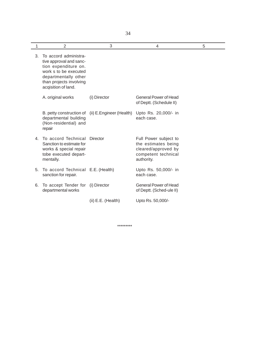| 1  | 2                                                                                                                                                                           | 3                         | 4                                                                                                        | 5 |
|----|-----------------------------------------------------------------------------------------------------------------------------------------------------------------------------|---------------------------|----------------------------------------------------------------------------------------------------------|---|
| 3. | To accord administra-<br>tive approval and sanc-<br>tion expenditure on.<br>work s to be executed<br>departmentally other<br>than projects involving<br>acqisition of land. |                           |                                                                                                          |   |
|    | A. original works                                                                                                                                                           | (i) Director              | General Power of Head<br>of Deptt. (Schedule II)                                                         |   |
|    | B. petty construction of<br>departmental building<br>(Non-residential) and<br>repair                                                                                        | (ii) E. Engineer (Health) | Upto Rs. 20,000/- in<br>each case.                                                                       |   |
|    | 4. To accord Technical<br>Sanction to estimate for<br>works & special repair<br>tobe executed depart-<br>mentally.                                                          | Director                  | Full Power subject to<br>the estimates being<br>cleared/approved by<br>competent technical<br>authority. |   |
| 5. | To accord Technical E.E. (Health)<br>sanction for repair.                                                                                                                   |                           | Upto Rs. 50,000/- in<br>each case.                                                                       |   |
| 6. | To accept Tender for (i) Director<br>departmental works                                                                                                                     |                           | <b>General Power of Head</b><br>of Deptt. (Sched-ule II)                                                 |   |
|    |                                                                                                                                                                             | $(ii) E.E.$ (Health)      | Upto Rs. 50,000/-                                                                                        |   |

\*\*\*\*\*\*\*\*\*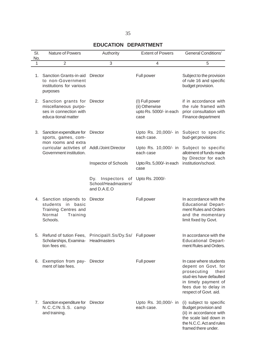# **EDUCATION DEPARTMENT**

| SI.<br>No. | Nature of Powers                                                                                             | Authority                                                  | <b>Extent of Powers</b>                                             | <b>General Conditions'</b>                                                                                                                                                |
|------------|--------------------------------------------------------------------------------------------------------------|------------------------------------------------------------|---------------------------------------------------------------------|---------------------------------------------------------------------------------------------------------------------------------------------------------------------------|
| 1          | $\overline{2}$                                                                                               | 3                                                          | 4                                                                   | 5                                                                                                                                                                         |
| 1.         | Sanction Grants-in-aid<br>to non-Government<br>institutions for various<br>purposes                          | <b>Director</b>                                            | Full power                                                          | Subject to the provision<br>of rule 16 and specific<br>budget provision.                                                                                                  |
|            | 2. Sanction grants for<br>miscellaneous purpo-<br>ses in connection with<br>educa-tional matter              | Director                                                   | (I) Full power<br>(ii) Otherwise<br>upto Rs. 5000/- in each<br>case | if in accordance with<br>the rule framed with<br>prior consultation with<br>Finance department                                                                            |
|            | 3. Sanction expenditure for<br>sports, games, com-<br>mon rooms and extra                                    | Director                                                   | Upto Rs. 20,000/- in<br>each case.                                  | Subject to specific<br>bud-get provisions                                                                                                                                 |
|            | curricular activties of<br>Government institution.                                                           | Addl./Joint Director                                       | each case                                                           | Upto Rs. 10,000/- in Subject to specific<br>allotment of funds made<br>by Director for each                                                                               |
|            |                                                                                                              | <b>Inspector of Schools</b>                                | Upto Rs. 5,000/- in each<br>case                                    | institution/school.                                                                                                                                                       |
|            |                                                                                                              | Dy. Inspectors<br>of<br>School/Headmasters/<br>and D.A.E.O | Upto Rs. 2000/-                                                     |                                                                                                                                                                           |
|            | 4. Sanction stipends to<br>students<br>in<br>basic<br>Training Centres and<br>Normal<br>Training<br>Schools. | Director                                                   | Full power                                                          | In accordance with the<br><b>Educational Depart-</b><br>ment Rules and Orders<br>and the momentary<br>limit fixed by Govt.                                                |
| 5.         | Refund of tution Fees,<br>Scholarships, Examina-<br>tion fees etc.                                           | Principal/I.Ss/Dy.Ss/<br>Headmasters                       | Full power                                                          | In accordance with the<br><b>Educational Depart-</b><br>ment Rules and Orders.                                                                                            |
| 6.         | Exemption from pay- Director<br>ment of late fees.                                                           |                                                            | Full power                                                          | In case where students<br>depent on Govt. for<br>prosecuting<br>their<br>stud-ies have defaulted<br>in timely payment of<br>fees due to delay in<br>respect of Govt. aid. |
|            | 7. Sanction expenditure for Director<br>N.C.C/N.S.S. camp<br>and training.                                   |                                                            | Upto Rs. 30,000/- in<br>each case.                                  | (i) subject to specific<br>Budget provision and<br>(ii) in accordance with<br>the scale laid down in<br>the N.C.C. Act and rules<br>framed there under.                   |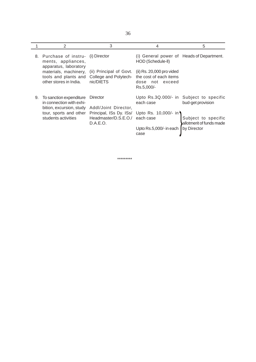| ٠                | ۰             |
|------------------|---------------|
| ٦<br>I<br>v<br>× | ۰.<br>×<br>۰. |

|    | 2                                                                               | 3                                                             | 4                                                                                    | 5                                               |
|----|---------------------------------------------------------------------------------|---------------------------------------------------------------|--------------------------------------------------------------------------------------|-------------------------------------------------|
| 8. | Purchase of instru-<br>ments, appliances,<br>apparatus, laboratory              | (i) Director                                                  | (i) General power of Heads of Department.<br>HOD (Schedule-II)                       |                                                 |
|    | materials, machinery,<br>tools and plants and<br>other stores in India.         | (ii) Principal of Govt.<br>College and Polytech-<br>nic/DIETS | (ii) Rs. 20,000 pro vided<br>the cost of each items<br>dose not exceed<br>Rs.5,000/- |                                                 |
| 9. | To sanction expenditure<br>in connection with exhi-<br>bition, excursion, study | Director<br>Addl/Joint Director,                              | Upto Rs.3Q.000/- in<br>each case                                                     | Subject to specific<br>bud-get provision        |
|    | tour, sports and other<br>students activities                                   | Principal, ISs Dy. ISs/<br>Headmaster/D.S.E.O./<br>D.A.E.O.   | Upto Rs. 10,000/- in<br>each case                                                    | Subject to specific<br>allotmerit of funds made |
|    |                                                                                 |                                                               | Upto Rs.5,000/- in each<br>case                                                      | by Director                                     |

\*\*\*\*\*\*\*\*\*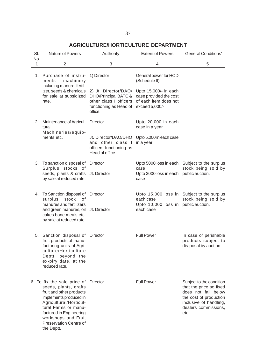# **AGRICULTURE/HORTICULTURE DEPARTMENT**

| SI.<br>No. | Nature of Powers                                                                                                                                                                                                                                                | Authority                                                                                                                  | <b>Extent of Powers</b>                                                                                                              | <b>General Conditions'</b>                                                                                                                                     |
|------------|-----------------------------------------------------------------------------------------------------------------------------------------------------------------------------------------------------------------------------------------------------------------|----------------------------------------------------------------------------------------------------------------------------|--------------------------------------------------------------------------------------------------------------------------------------|----------------------------------------------------------------------------------------------------------------------------------------------------------------|
| 1          | $\overline{2}$                                                                                                                                                                                                                                                  | 3                                                                                                                          | 4                                                                                                                                    | 5                                                                                                                                                              |
| 1.         | Purchase of instru-<br>machinery<br>ments<br>including manure, fertil-<br>izer, seeds & chemicals<br>for sale at subsidized<br>rate.                                                                                                                            | 1) Director<br>2) Jt. Director/DAO/<br>DHO/Principal BATC &<br>other class I officers<br>functioning as Head of<br>office. | General power for HOD<br>(Schedule II)<br>Upto 15,000/- in each<br>case provided the cost<br>of each item does not<br>exceed 5,000/- |                                                                                                                                                                |
| 2.         | Maintenance of Agricul-<br>tural<br>Machineries/equip-                                                                                                                                                                                                          | Director                                                                                                                   | Upto 20,000 in each<br>case in a year                                                                                                |                                                                                                                                                                |
|            | ments etc.                                                                                                                                                                                                                                                      | Jt. Director/DAO/DHO<br>and other class I<br>officers functioning as<br>Head of office.                                    | Upto 5,000 in each case<br>in a year                                                                                                 |                                                                                                                                                                |
| 3.         | To sanction disposal of<br>Surplus stocks of<br>seeds, plants & crafts Jt. Director<br>by sale at reduced rate.                                                                                                                                                 | Director                                                                                                                   | case<br>Upto 3000 loss in each public auction.<br>case                                                                               | Upto 5000 loss in each Subject to the surplus<br>stock being sold by                                                                                           |
| 4.         | To Sanction disposal of Director<br>stock<br>surplus<br>0f<br>manures and fertilizers<br>and green manures, oil Jt. Director<br>cakes bone meals etc.<br>by sale at reduced rate.                                                                               |                                                                                                                            | each case<br>Upto 10,000 loss in public auction.<br>each case                                                                        | Upto 15,000 loss in Subject to the surplus<br>stock being sold by                                                                                              |
| 5.         | Sanction disposal of Director<br>fruit products of manu-<br>facturing units of Agri-<br>culture/Horticulture<br>Deptt. beyond the<br>ex-piry date, at the<br>reduced rate.                                                                                      |                                                                                                                            | <b>Full Power</b>                                                                                                                    | In case of perishable<br>products subject to<br>dis-posal by auction.                                                                                          |
|            | 6. To fix the sale price of Director<br>seeds, plants, grafts<br>fruit and other products<br>implements produced in<br>Agricultural/Horticul-<br>tural Farms or manu-<br>factured in Engineering<br>workshops and Fruit<br>Preservation Centre of<br>the Deptt. |                                                                                                                            | <b>Full Power</b>                                                                                                                    | Subject to the condition<br>that the price so fixed<br>does not fall below<br>the cost of production<br>inclusive of handling,<br>dealers commissions,<br>etc. |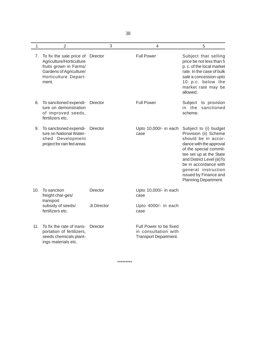38

| 1   | $\overline{2}$                                                                                                                             | 3               | $\overline{4}$                                                          | 5                                                                                                                                                                                                                                                                                     |
|-----|--------------------------------------------------------------------------------------------------------------------------------------------|-----------------|-------------------------------------------------------------------------|---------------------------------------------------------------------------------------------------------------------------------------------------------------------------------------------------------------------------------------------------------------------------------------|
| 7.  | To fix the sale price of<br>Agriculture/Horticulture<br>fruits grown in Farms/<br>Gardens of Agriculture/<br>Horticulture Depart-<br>ment. | Director        | <b>Full Power</b>                                                       | Subject that selling<br>price be not less than 5<br>p. c. of the local market<br>rate. In the case of bulk<br>sale a concession upto<br>10 p.c. below the<br>market rate may be<br>allowed.                                                                                           |
| 8.  | To sanctioned expendi-<br>ture on demonstration<br>of improved seeds,<br>fertilizers etc.                                                  | Director        | <b>Full Power</b>                                                       | Subject<br>to provision<br>in the<br>sanctioned<br>scheme.                                                                                                                                                                                                                            |
| 9.  | To sanctioned expendi-<br>ture on National Water-<br>shed Development<br>project for rain fed areas                                        | Director        | Upto 10,000/- in each<br>case                                           | Subject to (i) budget<br>Provision (ii) Scheme<br>should be in accor-<br>dance with the approval<br>of the special commit-<br>tee set up at the State<br>and District Level (iii) To<br>be in accordance with<br>general instruction<br>issued by Finance and<br>Planning Department. |
| 10. | To sanction<br>freight char-ges/<br>transport                                                                                              | <b>Director</b> | Upto 10,000/- in each<br>case                                           |                                                                                                                                                                                                                                                                                       |
|     | subsidy of seeds/<br>fertilizers etc.                                                                                                      | Jt.Director     | Upto 4000/- in each<br>case                                             |                                                                                                                                                                                                                                                                                       |
| 11. | To fix the rate of trans-<br>portation of fertilizers,<br>seeds chemicals plant-<br>ings materials etc.                                    | Director        | Full Power to be fixed<br>in consultation with<br>Transport Department. |                                                                                                                                                                                                                                                                                       |

\*\*\*\*\*\*\*\*\*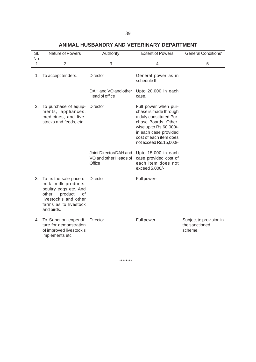| SI.<br>No. | Nature of Powers                                                                                                                                                             | Authority                                                 | <b>Extent of Powers</b>                                                                                                                                                                                 | <b>General Conditions'</b>                           |
|------------|------------------------------------------------------------------------------------------------------------------------------------------------------------------------------|-----------------------------------------------------------|---------------------------------------------------------------------------------------------------------------------------------------------------------------------------------------------------------|------------------------------------------------------|
| 1          | $\overline{2}$                                                                                                                                                               | 3                                                         | $\overline{4}$                                                                                                                                                                                          | 5                                                    |
| 1.         | To accept tenders.                                                                                                                                                           | <b>Director</b>                                           | General power as in<br>schedule II                                                                                                                                                                      |                                                      |
|            |                                                                                                                                                                              | DAH and VO and other<br>Head of office                    | Upto 20,000 in each<br>case.                                                                                                                                                                            |                                                      |
| 2.         | To purchase of equip-<br>ments, appliances,<br>medicines, and live-<br>stocks and feeds, etc.                                                                                | <b>Director</b>                                           | Full power when pur-<br>chase is made through<br>a duly constituted Pur-<br>chase Boards. Other-<br>wise up to Rs.60,000/-<br>in each case provided<br>cost of each item does<br>not exceed Rs.15,000/- |                                                      |
|            |                                                                                                                                                                              | Joint Director/DAH and<br>VO and other Heads of<br>Office | Upto 15,000 in each<br>case provided cost of<br>each item does not<br>exceed 5,000/-                                                                                                                    |                                                      |
| 3.         | To fix the sale price of Director<br>milk, milk products,<br>poultry eggs etc. And<br>other<br>product<br>0f<br>livestock's and other<br>farms as to livestock<br>and birds. |                                                           | Full power-                                                                                                                                                                                             |                                                      |
| 4.         | To Sanction expendi-<br>ture for demonstration<br>of improved livestock's<br>implements etc                                                                                  | Director                                                  | Full power                                                                                                                                                                                              | Subject to provision in<br>the sanctioned<br>scheme. |

### **ANIMAL HUSBANDRY AND VETERINARY DEPARTMENT**

\*\*\*\*\*\*\*\*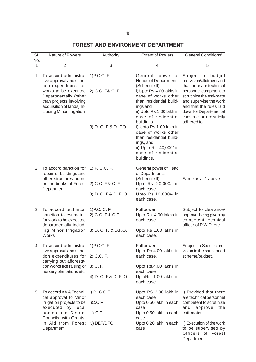# **FOREST AND ENVIRONMENT DEPARTMENT**

| SI.<br>No. | Nature of Powers                                                                                                                                                                                              | Authority                         | <b>Extent of Powers</b>                                                                                                                                                                                                        | <b>General Conditions'</b>                                                                                                                                                                                                                                 |
|------------|---------------------------------------------------------------------------------------------------------------------------------------------------------------------------------------------------------------|-----------------------------------|--------------------------------------------------------------------------------------------------------------------------------------------------------------------------------------------------------------------------------|------------------------------------------------------------------------------------------------------------------------------------------------------------------------------------------------------------------------------------------------------------|
| 1          | $\overline{2}$                                                                                                                                                                                                | 3                                 | 4                                                                                                                                                                                                                              | 5                                                                                                                                                                                                                                                          |
| 1.         | To accord administra-<br>tive approval and sanc-<br>tion expenditures on<br>works to be executed<br>Departmentally (other<br>than projects involving<br>acquisition of lands) In-<br>cluding Minor irrigation | 1) P.C.C. F.<br>2) C.C. F& C. F.  | power of<br>General<br><b>Heads of Departments</b><br>(Schedule II)<br>i) Upto Rs.4.00 lakhs in<br>case of works other<br>than residential build-<br>ings and<br>ii) Upto Rs.1.00 lakh in<br>case of residential<br>buildings. | Subject to budget<br>pro-vision/allotment and<br>that there are technical<br>personnel competent to<br>scrutinize the esti-mate<br>and supervise the work<br>and that the rules laid<br>down for Depart-mental<br>construction are strictly<br>adhered to. |
|            |                                                                                                                                                                                                               | 3) D.C. F & D. F.O                | i) Upto Rs.1.00 lakh in<br>case of works other<br>than residential build-<br>ings, and<br>ii) Upto Rs. 40,000/-in<br>case of residential<br>buildings.                                                                         |                                                                                                                                                                                                                                                            |
| 2.         | To accord sanction for<br>repair of buildings and<br>other structures borne                                                                                                                                   | 1) P. C.C. F.                     | General power of Head<br>of Departments<br>(Schedule II)                                                                                                                                                                       | Same as at 1 above.                                                                                                                                                                                                                                        |
|            | on the books of Forest 2) C.C. F.& C. F<br>Department                                                                                                                                                         | 3) D.C. F.& D. F. O               | Upto Rs. 20,000/- in<br>each case.<br>Upto Rs.10,000/- in<br>each case.                                                                                                                                                        |                                                                                                                                                                                                                                                            |
| 3.         | To accord technical<br>sanction to estimates<br>for work to be executed<br>departmentally includ-                                                                                                             | 1) P.C. C. F.<br>2) C.C. F.& C.F. | Full power<br>Upto Rs. 4.00 lakhs in<br>each case.                                                                                                                                                                             | Subject to clearance/<br>approval being given by<br>competent technical<br>officer of P.W.D. etc.                                                                                                                                                          |
|            | ing Minor Irrigation<br>Works                                                                                                                                                                                 | 3).D. C. F. & D.F.O.              | Upto Rs 1.00 lakhs in<br>each case.                                                                                                                                                                                            |                                                                                                                                                                                                                                                            |
| 4.         | To accord administra-<br>tive approval and sanc-                                                                                                                                                              | 1) P.C.C. F.                      | Full power<br>Upto Rs.4.00 lakhs in                                                                                                                                                                                            | Subject to Specific pro-<br>vision in the sanctioned                                                                                                                                                                                                       |
|            | tion expenditures for 2) C.C. F.<br>carrying out afforesta-                                                                                                                                                   |                                   | each case.                                                                                                                                                                                                                     | scheme/budget.                                                                                                                                                                                                                                             |
|            | tion works like raising of<br>nursery plantations etc.                                                                                                                                                        | 3) C. F.                          | Upto Rs.4.00 lakhs in<br>each case                                                                                                                                                                                             |                                                                                                                                                                                                                                                            |
|            |                                                                                                                                                                                                               | 4) D.C. F.& D. F. O               | UptoRs. 1.00 lakhs in<br>each case                                                                                                                                                                                             |                                                                                                                                                                                                                                                            |
| 5.         | To accord AA & Techni- i) P.C.C.F.<br>cal approval to Minor                                                                                                                                                   |                                   | Upto RS 2.00 lakh in<br>each case                                                                                                                                                                                              | i) Provided that there<br>are technical personnel                                                                                                                                                                                                          |
|            | irrigation projects to be i)C.C.F.<br>executed by local<br>bodies and District iii) C.F.                                                                                                                      |                                   | Upto 0.50 lakh in each<br>case<br>Upto 0.50 lakh in each                                                                                                                                                                       | competent to scrutinize<br>and<br>approve<br>the<br>esti-mates.                                                                                                                                                                                            |
|            | Councils with Grants-<br>in Aid from Forest iv) DEF/DFO<br>Department                                                                                                                                         |                                   | case<br>Upto 0.20 lakh in each<br>case                                                                                                                                                                                         | ii) Execution of the work<br>to be supervised by<br>Officers of Forest<br>Department.                                                                                                                                                                      |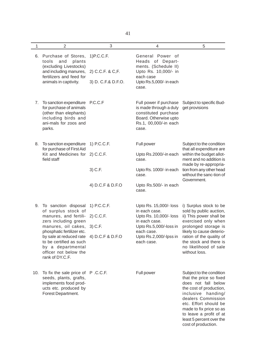| 1   | $\overline{2}$                                                                                                                                                                                                                  | 3                                                         | 4                                                                                                                                                                  | 5                                                                                                                                                                                                                                                            |
|-----|---------------------------------------------------------------------------------------------------------------------------------------------------------------------------------------------------------------------------------|-----------------------------------------------------------|--------------------------------------------------------------------------------------------------------------------------------------------------------------------|--------------------------------------------------------------------------------------------------------------------------------------------------------------------------------------------------------------------------------------------------------------|
| 6.  | Purchase of Stores,<br>tools<br>and<br>plants<br>(excluding Livestocks)                                                                                                                                                         | 1) P.C.C.F.                                               | General Power of<br>Heads of Depart-<br>ments. (Schedule II)                                                                                                       |                                                                                                                                                                                                                                                              |
|     | and including manures,<br>fertilizers and feed for<br>animals in captivity.                                                                                                                                                     | 2) C.C.F. & C,F.<br>3) D. C.F.& D.F.O.                    | Upto Rs. 10,000/- in<br>each case<br>Upto Rs.5,000/- in each<br>case.                                                                                              |                                                                                                                                                                                                                                                              |
| 7.  | To sanction expenditure<br>for purchase of animals<br>(other than elephants)<br>including birds and<br>ani-mals for zoos and<br>parks.                                                                                          | P.C.C.F                                                   | Full power if purchase<br>is made through a duly<br>constituted purchase<br>Board. Otherwise upto<br>Rs.1, 00,000/-in each<br>case.                                | Subject to specific Bud-<br>get provisions                                                                                                                                                                                                                   |
| 8.  | To sanction expenditure<br>for purchase of First Aid                                                                                                                                                                            | 1) P.C.C.F.                                               | Full power                                                                                                                                                         | Subject to the condition<br>that all expenditure are                                                                                                                                                                                                         |
|     | Kit and Medicines for<br>field staff                                                                                                                                                                                            | 2) C.C.F.                                                 | Upto Rs.2000/-in each<br>case.                                                                                                                                     | within the budget allot-<br>ment and no addition is<br>made by re-appropria-                                                                                                                                                                                 |
|     |                                                                                                                                                                                                                                 | 3) C.F.                                                   | Upto Rs. 1000/- in each<br>case.                                                                                                                                   | tion from any other head<br>without the sanc-tion of<br>Government.                                                                                                                                                                                          |
|     |                                                                                                                                                                                                                                 | 4) D.C.F & D.F.O                                          | Upto Rs.500/- in each<br>case.                                                                                                                                     |                                                                                                                                                                                                                                                              |
|     | 9. To sanction disposal<br>of surplus stock of<br>manures, and fertili-<br>zers including green<br>manures, oil cakes,<br>phosphatic fertilizer etc.<br>by sale at reduced rate<br>to be certified as such<br>by a departmental | 1) P.C.C.F.<br>2) C.C.F.<br>$3)$ C.F.<br>4) D.C.F & D.F.O | Upto Rs. 15,000/- loss<br>in each case.<br>Upto Rs. 10,000/- loss<br>in each case.<br>Upto Rs.5,000/-loss in<br>each case.<br>Upto Rs.2,000/-lpss in<br>each case. | i) Surplus stock to be<br>sold by public auction,<br>ii) This power shall be<br>exercised only when<br>prolonged storage is<br>likely to cause deterio-<br>ration of the quality of<br>the stock and there is<br>no likelihood of sale                       |
|     | officer not below the<br>rank of DY.C.F.                                                                                                                                                                                        |                                                           |                                                                                                                                                                    | without loss.                                                                                                                                                                                                                                                |
| 10. | To fix the sale price of P.C.C.F.<br>seeds, plants, grafts,<br>implements food prod-<br>ucts etc. produced by<br>Forest Department.                                                                                             |                                                           | Full power                                                                                                                                                         | Subject to the condition<br>that the price so fixed<br>does not fall below<br>the cost of production,<br>inclusive handing/<br>dealers Commission<br>etc. Effort should be<br>made to fix price so as<br>to leave a profit of at<br>least 5 percent over the |

cost of production.

41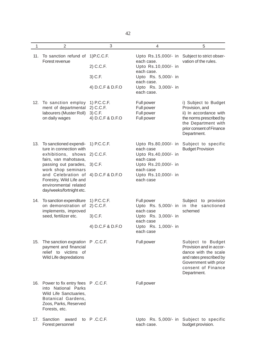| 1   | $\overline{2}$                                                                                                                                                                                                                                                   | 3                                                       | $\overline{4}$                                                                                                                                                   | 5                                                                                                                                                             |
|-----|------------------------------------------------------------------------------------------------------------------------------------------------------------------------------------------------------------------------------------------------------------------|---------------------------------------------------------|------------------------------------------------------------------------------------------------------------------------------------------------------------------|---------------------------------------------------------------------------------------------------------------------------------------------------------------|
| 11. | To sanction refund of<br>Forest revenue                                                                                                                                                                                                                          | 1) P.C.C.F.<br>2) C.C.F.                                | Upto Rs.15,000/- in Subject to strict obser-<br>each case.<br>Upto Rs.10,000/- in<br>each case.                                                                  | vation of the rules.                                                                                                                                          |
|     |                                                                                                                                                                                                                                                                  | 3) C.F.<br>4) D.C.F & D.F.O                             | Upto Rs. 5,000/- in<br>each case.<br>Upto Rs. 3,000/- in<br>each case.                                                                                           |                                                                                                                                                               |
| 12. | To sanction employ<br>ment of departmental<br>labourers (Muster Roll)<br>on daily wages                                                                                                                                                                          | 1) P.C.C.F.<br>2) C.C.F.<br>3) C.F.<br>4) D.C.F & D.F.O | Full power<br>Full power<br>Full power<br>Full power                                                                                                             | i) Subject to Budget<br>Provision, and<br>ii) In accordance with<br>the norms prescribed by<br>the Department with<br>prior consent of Finance<br>Department. |
| 13. | To sanctioned expendi- 1) P.C.C.F.<br>ture in connection with<br>exhibitions, shows<br>fairs, van mahotsava,<br>passing out parades,<br>work shop seminars<br>and Celebration of<br>Forestry, Wild Life and<br>environmental related<br>day/weeks/fortnight etc. | 2) C.C.F.<br>$3)$ C.F.<br>4) D.C.F & D.F.O              | Upto Rs.80,000/- in Subject to specific<br>each case<br>Upto Rs.40,000/- in<br>each case<br>Upto Rs.20,000/- in<br>each case<br>Upto Rs.10,000/- in<br>each case | <b>Budget Provision</b>                                                                                                                                       |
| 14. | To sanction expenditure<br>on demonstration of<br>implements, improved<br>seed, fertilizer etc.                                                                                                                                                                  | 1) P.C.C.F.<br>2) C.C.F.<br>3) C.F.<br>4) D.C.F & D.F.O | Full power<br>Upto Rs. 5,000/- in in the<br>each case<br>Upto Rs. 3,000/- in<br>each case<br>Upto Rs. 1,000/- in<br>each case                                    | Subject<br>to provision<br>sanctioned<br>schemed                                                                                                              |
| 15. | The sanction exgration P.C.C.F.<br>payment and financial<br>relief to victims of<br>Wild Life depredations                                                                                                                                                       |                                                         | Full power                                                                                                                                                       | Subject to Budget<br>Provision and in accor-<br>dance with the scale<br>and rates prescribed by<br>Government with prior<br>consent of Finance<br>Department. |
| 16. | Power to fix entry fees P.C.C.F.<br>into National Parks<br>Wild Life Sanctuaries,<br>Botanical Gardens,<br>Zoos, Parks, Reserved<br>Forests, etc.                                                                                                                |                                                         | Full power                                                                                                                                                       |                                                                                                                                                               |
| 17. | Sanction<br>award<br>Forest personnel                                                                                                                                                                                                                            | to P.C.C.F.                                             | Upto Rs. 5,000/- in Subject to specific<br>each case.                                                                                                            | budget provision.                                                                                                                                             |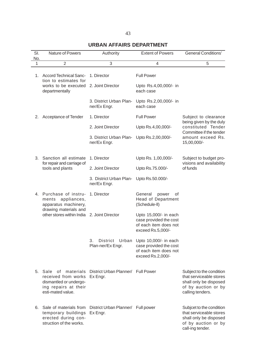# **URBAN AFFAIRS DEPARTMENT**

| SI.<br>No. | Nature of Powers                                                                                                         | Authority                                      | <b>Extent of Powers</b>                                                                                      | <b>General Conditions'</b>                                                                                               |
|------------|--------------------------------------------------------------------------------------------------------------------------|------------------------------------------------|--------------------------------------------------------------------------------------------------------------|--------------------------------------------------------------------------------------------------------------------------|
| 1          | $\overline{2}$                                                                                                           | 3                                              | 4                                                                                                            | 5                                                                                                                        |
| 1.         | <b>Accord Technical Sanc-</b><br>tion to estimates for                                                                   | 1. Director                                    | <b>Full Power</b>                                                                                            |                                                                                                                          |
|            | works to be executed<br>departmentally                                                                                   | 2. Joint Director                              | Upto Rs.4,00,000/- in<br>each case                                                                           |                                                                                                                          |
|            |                                                                                                                          | 3. District Urban Plan-<br>ner/Ex Engr.        | Upto Rs.2,00,000/- in<br>each case                                                                           |                                                                                                                          |
| 2.         | Acceptance of Tender                                                                                                     | 1. Director                                    | <b>Full Power</b>                                                                                            | Subject to clearance<br>being given by the duly                                                                          |
|            |                                                                                                                          | 2. Joint Director                              | Upto Rs.4,00,000/-                                                                                           | constituted Tender<br>Committee if the tender                                                                            |
|            |                                                                                                                          | 3. District Urban Plan-<br>ner/Ex Engr.        | Upto Rs.2,00,000/-                                                                                           | amount exceed Rs.<br>15,00,000/-                                                                                         |
|            | 3. Sanction all estimate<br>for repair and carriage of                                                                   | 1. Director                                    | Upto Rs. 1,00,000/-                                                                                          | Subject to budget pro-<br>visions and availability                                                                       |
|            | tools and plants                                                                                                         | 2. Joint Director                              | Upto Rs.75.000/-                                                                                             | of funds                                                                                                                 |
|            |                                                                                                                          | 3. District Urban Plan-<br>ner/Ex Engr.        | Upto Rs.50.000/-                                                                                             |                                                                                                                          |
|            | 4. Purchase of instru-<br>ments appliances,<br>apparatus machinery,<br>drawing materials and                             | 1. Director                                    | General<br>power<br>οf<br><b>Head of Department</b><br>(Schedule-II)                                         |                                                                                                                          |
|            | other stores within India 2. Joint Director                                                                              |                                                | Upto 15,000/- in each<br>case provided the cost<br>of each item does not<br>exceed Rs.5,000/-                |                                                                                                                          |
|            |                                                                                                                          | 3.<br>Plan-ner/Ex Engr.                        | District Urban Upto 10,000/- in each<br>case provided the cost<br>of each item does not<br>exceed Rs.2,000/- |                                                                                                                          |
|            | 5. Sale<br>0f<br>materials<br>received from works<br>dismantled or undergo-<br>ing repairs at their<br>esti-mated value. | District Urban Planner/ Full Power<br>Ex Engr. |                                                                                                              | Subject to the condition<br>that serviceable stores<br>shall only be disposed<br>of by auction or by<br>calling tenders. |
|            | 6. Sale of materials from<br>temporary buildings<br>erected during con-<br>struction of the works.                       | District Urban Planner/ Full power<br>Ex Engr. |                                                                                                              | Subjcet to the condition<br>that serviceable stores<br>shall only be disposed<br>of by auction or by<br>call-ing tender. |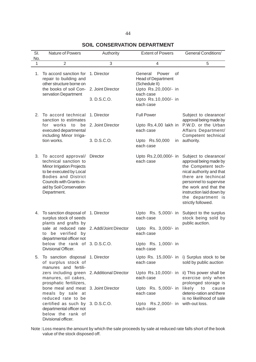# **SOIL CONSERVATION DEPARTMENT**

| SI.<br>No. | Nature of Powers                                                                                                                                                                                                          | Authority                                       | <b>Extent of Powers</b>                                                                                                                      | <b>General Conditions'</b>                                                                                                                                                                                                                          |
|------------|---------------------------------------------------------------------------------------------------------------------------------------------------------------------------------------------------------------------------|-------------------------------------------------|----------------------------------------------------------------------------------------------------------------------------------------------|-----------------------------------------------------------------------------------------------------------------------------------------------------------------------------------------------------------------------------------------------------|
| 1          | $\overline{2}$                                                                                                                                                                                                            | 3                                               | 4                                                                                                                                            | $\sqrt{5}$                                                                                                                                                                                                                                          |
| 1.         | To accord sanction for<br>repair to building and<br>other structure borne on<br>the books of soil Con-<br>servation Department                                                                                            | 1. Director<br>2. Joint Director<br>3. D.S.C.O. | General<br>Power<br>οf<br><b>Head of Department</b><br>(Schedule II)<br>Upto Rs.20,000/- in<br>each case<br>Upto Rs.10,000/- in<br>each case |                                                                                                                                                                                                                                                     |
| 2.         | To accord technical<br>sanction to estimates                                                                                                                                                                              | 1. Director                                     | <b>Full Power</b>                                                                                                                            | Subject to clearance/<br>approval being made by<br>P.W.D. or the Urban                                                                                                                                                                              |
|            | works<br>to<br>be<br>for<br>executed departmental<br>including Minor Irriga-                                                                                                                                              | 2. Joint Director                               | Upto Rs.4,00 lakh in<br>each case                                                                                                            | Affairs Department/<br>Competent technical                                                                                                                                                                                                          |
|            | tion works.                                                                                                                                                                                                               | 3. D.S.C.O.                                     | Upto Rs.50,000<br>each case                                                                                                                  | in authority.                                                                                                                                                                                                                                       |
| 3.         | To accord approval/ Director<br>technical sanction to<br><b>Minor Irrigation Projects</b><br>to be executed by Local<br><b>Bodies and District</b><br>Councils with Grants-in-<br>aid by Soil Conservation<br>Department. |                                                 | Upto Rs.2,00,000/- in<br>each case                                                                                                           | Subject to clearance/<br>approval being made by<br>the Competent tech-<br>nical authority and that<br>there are techincal<br>personnel to supervise<br>the work and that the<br>instruction laid down by<br>the department is<br>strictly followed. |
| 4.         | To sanction disposal of<br>surplus stock of seeds<br>plants and grafts by                                                                                                                                                 | 1. Director                                     | Upto Rs. 5,000/- in<br>each case                                                                                                             | Subject to the surplus<br>stock being sold by<br>public auction.                                                                                                                                                                                    |
|            | sale at reduced rate 2. Addl/Joint Director<br>to be verified by<br>departmental officer not                                                                                                                              |                                                 | Upto Rs. 3,000/- in<br>each case                                                                                                             |                                                                                                                                                                                                                                                     |
|            | below the rank of 3.D.S.C.O.<br>Divisional Officer.                                                                                                                                                                       |                                                 | Upto Rs. 1,000/- in<br>each case                                                                                                             |                                                                                                                                                                                                                                                     |
| 5.         | To sanction disposal 1. Director<br>of surplus stock of<br>manures and fertili-                                                                                                                                           |                                                 | each case                                                                                                                                    | Upto Rs. 15,000/- in i) Surplus stock to be<br>sold by public auction                                                                                                                                                                               |
|            | zers including green 2. Additional Director<br>manures, oil cakes,<br>prosphatic fertilizers,                                                                                                                             |                                                 | each case                                                                                                                                    | Upto Rs.10,000/- in ii) This power shall be<br>exercise only when<br>prolonged storage is                                                                                                                                                           |
|            | bone meal and meat 3. Joint Director<br>meals by sale at<br>reduced rate to be                                                                                                                                            |                                                 | Upto Rs. 5,000/- in likely<br>each case                                                                                                      | $\mathsf{to}$<br>cause<br>deterio-ration and there<br>is no likelihood of sale                                                                                                                                                                      |
|            | certified as such by 3.D.S.C.O.<br>departmental officer not<br>below the rank of<br>Divisional officer.                                                                                                                   |                                                 | Upto Rs.2,000/- in with-out loss.<br>each case                                                                                               |                                                                                                                                                                                                                                                     |

Note :Loss means the amount by which the sale proceeds by sale at reduced rate falls short of the book value of the stock disposed off.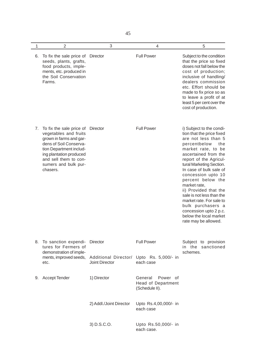45

| 1  | $\overline{2}$                                                                                                                                                                                                            | 3                                                          | $\overline{4}$                                              | 5                                                                                                                                                                                                                                                                                                                                                                                                                                                                                |
|----|---------------------------------------------------------------------------------------------------------------------------------------------------------------------------------------------------------------------------|------------------------------------------------------------|-------------------------------------------------------------|----------------------------------------------------------------------------------------------------------------------------------------------------------------------------------------------------------------------------------------------------------------------------------------------------------------------------------------------------------------------------------------------------------------------------------------------------------------------------------|
| 6. | To fix the sale price of<br>seeds, plants, grafts,<br>food products, imple-<br>ments, etc. produced in<br>the Soil Conservation<br>Farms.                                                                                 | Director                                                   | <b>Full Power</b>                                           | Subject to the condition<br>that the price so fixed<br>doses not fall below the<br>cost of production;<br>inclusive of handling/<br>dealers commission<br>etc. Effort should be<br>made to fix price so as<br>to leave a profit of at<br>least 5 per cent over the<br>cost of production.                                                                                                                                                                                        |
| 7. | To fix the sale price of<br>vegetables and fruits<br>grown in farms and gar-<br>dens of Soil Conserva-<br>tion Department includ-<br>ing plantation produced<br>and sell them to con-<br>sumers and bulk pur-<br>chasers. | Director                                                   | <b>Full Power</b>                                           | i) Subject to the condi-<br>tion that the price fixed<br>are not less than 5<br>percentbelow<br>the<br>market rate, to be<br>ascertained from the<br>report of the Agricul-<br>tural Marketing Section.<br>In case of bulk sale of<br>concession upto 10<br>percent below the<br>market rate,<br>ii) Provided that the<br>sale is not less than the<br>market rate. For sale to<br>bulk purchasers a<br>concession upto 2 p.c.<br>below the local market<br>rate may be allowed. |
| 8. | To sanction expendi-<br>tures for Fermers of<br>demonstration of imple-                                                                                                                                                   | Director                                                   | <b>Full Power</b>                                           | Subject to provision<br>in the<br>sanctioned<br>schemes.                                                                                                                                                                                                                                                                                                                                                                                                                         |
|    | ments, improved seeds,<br>etc.                                                                                                                                                                                            | Additional Director/ Upto Rs. 5,000/- in<br>Joint Director | each case                                                   |                                                                                                                                                                                                                                                                                                                                                                                                                                                                                  |
| 9. | <b>Accept Tender</b>                                                                                                                                                                                                      | 1) Director                                                | Power of<br>General<br>Head of Department<br>(Schedule II). |                                                                                                                                                                                                                                                                                                                                                                                                                                                                                  |
|    |                                                                                                                                                                                                                           | 2) Addl./Joint Director                                    | Upto Rs.4,00,000/- in<br>each case                          |                                                                                                                                                                                                                                                                                                                                                                                                                                                                                  |
|    |                                                                                                                                                                                                                           | 3) D.S.C.O.                                                | Upto Rs.50,000/- in<br>each case.                           |                                                                                                                                                                                                                                                                                                                                                                                                                                                                                  |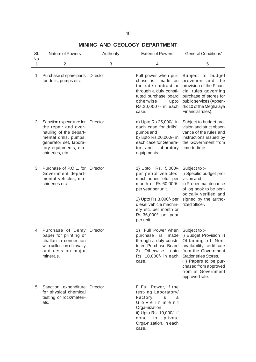# **MINING AND GEOLOGY DEPARTMENT**

| SI.<br>No.   | <b>Nature of Powers</b>                                                                                                                                                  | Authority       | <b>Extent of Powers</b>                                                                                                                                                                                                             | <b>General Conditions'</b>                                                                                                                                                                                                                              |
|--------------|--------------------------------------------------------------------------------------------------------------------------------------------------------------------------|-----------------|-------------------------------------------------------------------------------------------------------------------------------------------------------------------------------------------------------------------------------------|---------------------------------------------------------------------------------------------------------------------------------------------------------------------------------------------------------------------------------------------------------|
| $\mathbf{1}$ | $\overline{2}$                                                                                                                                                           | 3               | 4                                                                                                                                                                                                                                   | 5                                                                                                                                                                                                                                                       |
| 1.           | Purchase of spare parts<br>for drills, pumps etc.                                                                                                                        | Director        | Full power when pur-<br>chase is<br>made on<br>the rate contract or<br>through a duly consti-<br>tuted purchase board<br>otherwise<br>upto<br>Rs.20,0007- in each<br>case.                                                          | Subject to budget<br>provision and the<br>provision of the Finan-<br>cial rules governing<br>purchase of stores for<br>public services (Appen-<br>dix 10 of the Meghalaya<br>Financial rules).                                                          |
| 2.           | Sanction expenditure for<br>the repair and over-<br>hauling of the depart-<br>mental drills, pumps,<br>generator set, labora-<br>tory equipments, ma-<br>chineries, etc. | Director        | a) Upto Rs.25,000/- in<br>each case for drills',<br>pumps and<br>b) upto Rs.20,000/- in<br>each case for Genera-<br>laboratory<br>tor and<br>equipments.                                                                            | Subject to budget pro-<br>vision and strict obser-<br>vance of the rules and<br>instructions issued by<br>the Government from<br>time to time.                                                                                                          |
| 3.           | Purchase of P.O.L. for<br>Government depart-<br>mental vehicles, ma-<br>chineries etc.                                                                                   | <b>Director</b> | 1) Upto Rs. 5,000/-<br>per petrol vehicles,<br>machineries etc. per<br>month or Rs.60,000/-<br>per year per unit.<br>2) Upto Rs.3,000/- per<br>diesel vehicle machin-<br>ery etc. per month or<br>Rs.36,000/- per year<br>per unit. | Subject to :-<br>i) Specific budget pro-<br>vision and<br>ii) Proper maintenance<br>of log book to be peri-<br>odically verified and<br>signed by the autho-<br>rized officer.                                                                          |
|              | 4. Purchase of Demy<br>paper for printing of<br>challan in connection<br>with collection of royalty<br>and cess on major<br>minerals.                                    | Director        | 1) Full Power when<br>purchase<br>is<br>made<br>through a duly consti-<br>2) Otherwise<br>upto<br>Rs. 10,000/- in each<br>case.                                                                                                     | Subject to :-<br>i) Budget Provision ii)<br>Obtaining of Non-<br>tuted Purchase Board availability certificate<br>from the Government<br>Stationeries Stores,<br>iii) Papers to be pur-<br>chased from approved<br>from at Government<br>approved rate. |
| 5.           | Sanction expenditure Director<br>for physical chemical<br>testing of rock/materi-<br>als.                                                                                |                 | i) Full Power, if the<br>test-ing Laboratory/<br>Factory is<br>a<br>Government<br>Orga-nization<br>ii) Upto Rs. 10,000/- if<br>done in<br>private<br>Orga-nization, in each<br>case.                                                |                                                                                                                                                                                                                                                         |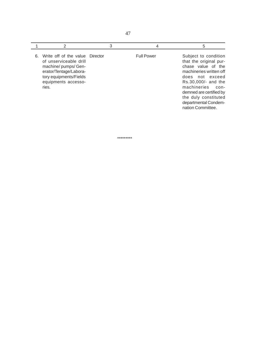|    |                                                                                                                                                                     | 3 | 4                 | 5                                                                                                                                                                                                                                                                  |
|----|---------------------------------------------------------------------------------------------------------------------------------------------------------------------|---|-------------------|--------------------------------------------------------------------------------------------------------------------------------------------------------------------------------------------------------------------------------------------------------------------|
| 6. | Write off of the value Director<br>of unserviceable drill<br>machine/pumps/Gen-<br>erator/Tentage/Labora-<br>tory equipments/Fields<br>equipments accesso-<br>ries. |   | <b>Full Power</b> | Subject to condition<br>that the original pur-<br>chase value of the<br>machineries written off<br>does not exceed<br>Rs.30,000/- and the<br>machineries<br>$con-$<br>demned are certified by<br>the duly constituted<br>departmental Condem-<br>nation Committee. |

\*\*\*\*\*\*\*\*\*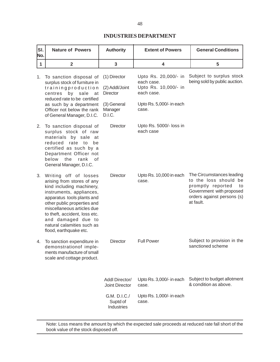### **INDUSTRIES DEPARTMENT**

| SI.<br>No.   | <b>Nature of Powers</b>                                                                                                                                                                                                                                                                                                | <b>Authority</b>                                          | <b>General Conditions</b><br><b>Extent of Powers</b>                                                 |                                                                                                                                                         |
|--------------|------------------------------------------------------------------------------------------------------------------------------------------------------------------------------------------------------------------------------------------------------------------------------------------------------------------------|-----------------------------------------------------------|------------------------------------------------------------------------------------------------------|---------------------------------------------------------------------------------------------------------------------------------------------------------|
| $\mathbf{1}$ | $\overline{\mathbf{2}}$                                                                                                                                                                                                                                                                                                | 3                                                         | 4                                                                                                    | 5                                                                                                                                                       |
| 1.           | To sanction disposal of<br>surplus stock of furniture in<br>trainingproduction<br>centres<br>by sale<br>at<br>reduced rate to be certified<br>as such by a department                                                                                                                                                  | (1) Director<br>(2) Addl/Joint<br>Director<br>(3) General | Upto Rs. 20,000/- in<br>each case.<br>Upto Rs. 10,000/- in<br>each case.<br>Upto Rs. 5,000/- in each | Subject to surplus stock<br>being sold by public auction.                                                                                               |
|              | Officer not below the rank<br>of General Manager, D.I.C.                                                                                                                                                                                                                                                               | Manager<br>D.I.C.                                         | case.                                                                                                |                                                                                                                                                         |
| 2.           | To sanction disposal of<br>surplus stock of raw<br>materials by sale at<br>reduced rate to<br>be<br>certified as such by a<br>Department Officer not<br>below<br>the<br>rank<br>οf<br>General Manager, D.I.C.                                                                                                          | <b>Director</b>                                           | Upto Rs. 5000/- loss in<br>each case                                                                 |                                                                                                                                                         |
| 3.           | Writing off of losses<br>arising from stores of any<br>kind including machinery,<br>instruments, appliances,<br>apparatus tools plants and<br>other public properties and<br>miscellaneous articles due<br>to theft, accident, loss etc.<br>and damaged due to<br>natural calamities such as<br>flood, earthquake etc. | <b>Director</b>                                           | Upto Rs. 10,000 in each<br>case.                                                                     | The Circumstances leading<br>to the loss should<br>be<br>promptly reported<br>to<br>Government with proposed<br>orders against persons (s)<br>at fault. |
| 4.           | To sanction expenditure in<br>demonstrationof imple-<br>ments manufacture of small<br>scale and cottage product.                                                                                                                                                                                                       | <b>Director</b>                                           | <b>Full Power</b>                                                                                    | Subject to provision in the<br>sanctioned scheme                                                                                                        |
|              |                                                                                                                                                                                                                                                                                                                        | Addl Director/<br>Joint Director                          | Upto Rs. 3,000/- in each<br>case.                                                                    | Subject to budget allotment<br>& condition as above.                                                                                                    |
|              |                                                                                                                                                                                                                                                                                                                        | G.M. D.I.C./<br>Suptd of<br>Industries                    | Upto Rs. 1,000/- in each<br>case.                                                                    |                                                                                                                                                         |

Note: Loss means the amount by which the expected sale proceeds at reduced rate fall short of the book value of the stock disposed off.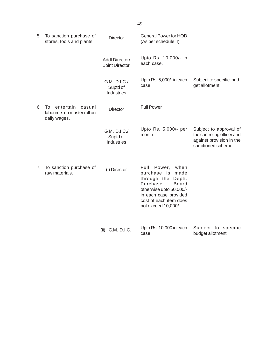| 5. | To sanction purchase of<br>stores, tools and plants.                                  | <b>Director</b>                               | <b>General Power for HOD</b><br>(As per schedule II).                                                                                                                                                   |                                                                                                        |
|----|---------------------------------------------------------------------------------------|-----------------------------------------------|---------------------------------------------------------------------------------------------------------------------------------------------------------------------------------------------------------|--------------------------------------------------------------------------------------------------------|
|    |                                                                                       | Addl Director/<br>Joint Director              | Upto Rs. 10,000/- in<br>each case.                                                                                                                                                                      |                                                                                                        |
|    |                                                                                       | G.M. D.I.C./<br>Suptd of<br>Industries        | Upto Rs. 5,000/- in each<br>case.                                                                                                                                                                       | Subject to specific bud-<br>get allotment.                                                             |
| 6. | entertain<br>casual<br>$\overline{10}$<br>labourers on master roll on<br>daily wages. | <b>Director</b>                               | <b>Full Power</b>                                                                                                                                                                                       |                                                                                                        |
|    |                                                                                       | G.M. D.I.C./<br>Suptd of<br><b>Industries</b> | Upto Rs. 5,000/- per<br>month.                                                                                                                                                                          | Subject to approval of<br>the controling officer and<br>against provision in the<br>sanctioned scheme. |
| 7. | To sanction purchase of<br>raw materials.                                             | (i) Director                                  | Full<br>Power,<br>when<br>purchase is<br>made<br>through the<br>Deptt.<br>Purchase<br><b>Board</b><br>otherwise upto 50,000/-<br>in each case provided<br>cost of each item does<br>not exceed 10,000/- |                                                                                                        |
|    |                                                                                       | (ii) G.M. D.I.C.                              | Upto Rs. 10,000 in each<br>case.                                                                                                                                                                        | Subject to specific<br>budget allotment                                                                |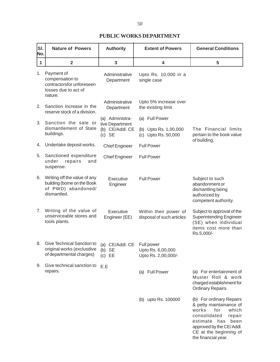## **PUBLIC WORKS DEPARTMENT**

| SI.<br>No. | <b>Nature of Powers</b>                                                                          | <b>Authority</b>                        | <b>Extent of Powers</b>                                | <b>General Conditions</b>                                                                                                                                                                                   |
|------------|--------------------------------------------------------------------------------------------------|-----------------------------------------|--------------------------------------------------------|-------------------------------------------------------------------------------------------------------------------------------------------------------------------------------------------------------------|
| 1          | $\overline{2}$                                                                                   | 3                                       | 4                                                      | 5                                                                                                                                                                                                           |
| 1.         | Payment of<br>compensation to<br>contractorsfor unforeseen<br>losses due to act of<br>nature.    | Administrative<br>Department            | Upto Rs. 10,000 in a<br>single case                    |                                                                                                                                                                                                             |
| 2.         | Sanction increase in the<br>reserve stock of a division.                                         | Administrative<br>Department            | Upto 5% increase over<br>the existing limit            |                                                                                                                                                                                                             |
| 3.         | Sanction the sale or                                                                             | (a) Administra-<br>tive Department      | (a) Full Power                                         |                                                                                                                                                                                                             |
|            | dismantlement of State<br>buildings.                                                             | (b) CE/Addl. CE<br>$(c)$ SE             | (b) Upto Rs. 1,00,000<br>(c) Upto Rs. 50,000           | The Financial limits<br>pertain to the book value<br>of building.                                                                                                                                           |
| 4.         | Undertake deposit works.                                                                         | <b>Chief Engineer</b>                   | <b>Full Power</b>                                      |                                                                                                                                                                                                             |
| 5.         | Sanctioned expenditure<br>repairs<br>under<br>and<br>suspense.                                   | <b>Chief Engineer</b>                   | <b>Full Power</b>                                      |                                                                                                                                                                                                             |
| 6.         | Writing off the value of any<br>building (borne on the Book<br>of PWD) abandoned/<br>dismantled. | Executive<br>Engineer                   | <b>Full Power</b>                                      | Subject to such<br>abandonment or<br>dismantling being<br>authorized by<br>competent authority.                                                                                                             |
| 7.         | Writing of the value of<br>unserviceable stores and<br>tools plants.                             | Executive<br>Engineer (EE)              | Within their power of<br>disposal of such articles     | Subject to approval of the<br><b>Superintending Engineer</b><br>(SE) when individual<br>items cost more than<br>Rs.5,000/-                                                                                  |
| 8.         | Give Technical Sanction to<br>original works (exclusdive<br>of departmental charges)             | (a) CE/Addl. CE<br>$(b)$ SE<br>$(c)$ EE | Full power<br>Upto Rs. 6,00,000<br>Upto Rs. 2,00,000/- |                                                                                                                                                                                                             |
| 9.         | Give technical sanction to<br>repairs.                                                           | E.E                                     | (a) Full Power                                         | (a) For entertainment of<br>Muster Roll & work<br>charged establishment for<br>Ordinary Repairs.                                                                                                            |
|            |                                                                                                  |                                         | (b) upto Rs. 100000                                    | (b) For ordinary Repairs<br>& petty maintainance of<br>for<br>works<br>which<br>consolidated<br>repair<br>estimate has<br>been<br>approved by the CE/Addl.<br>CE at the beginning of<br>the financial year. |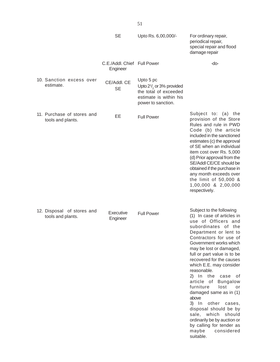|                                                 | <b>SE</b>                               | Upto Rs. 6,00,000/-                                                                                                      | For ordinary repair,<br>periodical repair,<br>special repair and flood<br>damage repair                                                                                                                                                                                                                                                                                                                                                                                                                                                                                                                          |
|-------------------------------------------------|-----------------------------------------|--------------------------------------------------------------------------------------------------------------------------|------------------------------------------------------------------------------------------------------------------------------------------------------------------------------------------------------------------------------------------------------------------------------------------------------------------------------------------------------------------------------------------------------------------------------------------------------------------------------------------------------------------------------------------------------------------------------------------------------------------|
|                                                 | C.E./Addl. Chief Full Power<br>Engineer |                                                                                                                          | -do-                                                                                                                                                                                                                                                                                                                                                                                                                                                                                                                                                                                                             |
| 10. Sanction excess over<br>estimate.           | CE/Addl. CE<br><b>SE</b>                | Upto 5 pc<br>Upto $2\frac{1}{2}$ or 3% provided<br>the total of exceeded<br>estimate is within his<br>power to sanction. |                                                                                                                                                                                                                                                                                                                                                                                                                                                                                                                                                                                                                  |
| 11. Purchase of stores and<br>tools and plants. | EE                                      | <b>Full Power</b>                                                                                                        | Subject to: (a) the<br>provision of the Store<br>Rules and rule in PWD<br>Code (b) the article<br>included in the sanctioned<br>estimates (c) the approval<br>of SE when an individual<br>item cost over Rs. 5,000<br>(d) Prior approval from the<br>SE/Addl CE/CE should be<br>obtained if the purchase in<br>any month exceeds over<br>the limit of 50,000 &<br>1,00,000 & 2,00,000<br>respectively.                                                                                                                                                                                                           |
| 12. Disposal of stores and<br>tools and plants. | Executive<br>Engineer                   | <b>Full Power</b>                                                                                                        | Subject to the following<br>(1) In case of articles in<br>use of Officers and<br>subordinates of the<br>Department or lent to<br>Contractors for use of<br>Government works which<br>may be lost or damaged,<br>full or part value is to be<br>recovered for the causes<br>which E.E. may consider<br>reasonable.<br>2) In the<br>оf<br>case<br>article of Bungalow<br>furniture<br>lost<br>or<br>damaged same as in (1)<br>above<br>$3)$ In<br>other<br>cases,<br>disposal should be by<br>sale, which<br>should<br>ordinarily be by auction or<br>by calling for tender as<br>considered<br>maybe<br>suitable. |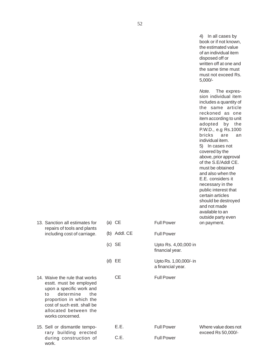|                                                                                                                                                                                                                       |              |                                             | In all cases by<br>4)<br>book or if not known,<br>the estimated value<br>of an individual item<br>disposed off or<br>written off at one and<br>the same time must<br>must not exceed Rs.<br>$5,000/-$                                                                                                                                                                                                                                                                                                                                               |
|-----------------------------------------------------------------------------------------------------------------------------------------------------------------------------------------------------------------------|--------------|---------------------------------------------|-----------------------------------------------------------------------------------------------------------------------------------------------------------------------------------------------------------------------------------------------------------------------------------------------------------------------------------------------------------------------------------------------------------------------------------------------------------------------------------------------------------------------------------------------------|
| 13. Sanction all estimates for                                                                                                                                                                                        | $(a)$ CE     | <b>Full Power</b>                           | Note.<br>The expres-<br>sion individual item<br>includes a quantity of<br>the same article<br>reckoned as one<br>item according to unit<br>adopted<br>by<br>the<br>P.W.D., e.g Rs.1000<br>bricks<br>are<br>an<br>individual item.<br>5) In cases not<br>covered by the<br>above, prior approval<br>of the S.E/Addl CE.<br>must be obtained<br>and also when the<br>E.E. considers it<br>necessary in the<br>public interest that<br>certain articles<br>should be destroyed<br>and not made<br>available to an<br>outside party even<br>on payment. |
| repairs of tools and plants<br>including cost of carriage.                                                                                                                                                            | (b) Addl. CE | <b>Full Power</b>                           |                                                                                                                                                                                                                                                                                                                                                                                                                                                                                                                                                     |
|                                                                                                                                                                                                                       | $(c)$ SE     | Upto Rs. 4,00,000 in<br>financial year.     |                                                                                                                                                                                                                                                                                                                                                                                                                                                                                                                                                     |
|                                                                                                                                                                                                                       | $(d)$ EE     | Upto Rs. 1,00,000/- in<br>a financial year. |                                                                                                                                                                                                                                                                                                                                                                                                                                                                                                                                                     |
| 14. Waive the rule that works<br>esstt. must be employed<br>upon a specific work and<br>determine<br>to<br>the<br>proportion in which the<br>cost of such estt. shall be<br>allocated between the<br>works concerned. | <b>CE</b>    | <b>Full Power</b>                           |                                                                                                                                                                                                                                                                                                                                                                                                                                                                                                                                                     |
| 15. Sell or dismantle tempo-                                                                                                                                                                                          | E.E.         | <b>Full Power</b>                           | Where value does not                                                                                                                                                                                                                                                                                                                                                                                                                                                                                                                                |
| rary building erected<br>during construction of<br>work.                                                                                                                                                              | C.E.         | <b>Full Power</b>                           | exceed Rs 50,000/-                                                                                                                                                                                                                                                                                                                                                                                                                                                                                                                                  |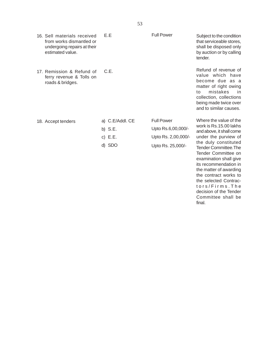| 16. Sell materials received<br>from works dismantled or<br>undergoing repairs at their<br>estimated value. | E.E                                                 | <b>Full Power</b>                                                                   | Subject to the condition<br>that serviceable stores,<br>shall be disposed only<br>by auction or by calling<br>tender.                                                                                                                                                                     |
|------------------------------------------------------------------------------------------------------------|-----------------------------------------------------|-------------------------------------------------------------------------------------|-------------------------------------------------------------------------------------------------------------------------------------------------------------------------------------------------------------------------------------------------------------------------------------------|
| 17. Remission & Refund of<br>ferry revenue & Tolls on<br>roads & bridges.                                  | C.E.                                                |                                                                                     | Refund of revenue of<br>value which have<br>become due as a<br>matter of right owing<br>mistakes<br>to<br>in<br>collection, collections<br>being made twice over<br>and to similar causes.                                                                                                |
| 18. Accept tenders                                                                                         | a) C.E/Addl. CE<br>b) $S.E.$<br>c) $E.E.$<br>d) SDO | <b>Full Power</b><br>Upto Rs.6,00,000/-<br>Upto Rs. 2,00,000/-<br>Upto Rs. 25,000/- | Where the value of the<br>work is Rs.15.00 lakhs<br>and above, it shall come<br>under the purview of<br>the duly constituted<br><b>Tender Committee. The</b><br>Tender Committee on<br>examination shall give<br>its recommendation in<br>the matter of awarding<br>the contract works to |

the contract works to the selected Contractors/Firms.The decision of the Tender Committee shall be final.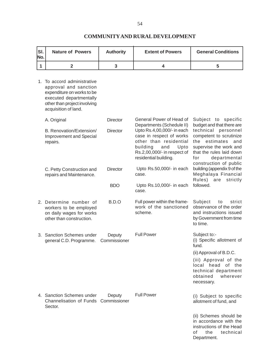### **SI.** Nature of Powers | Authority | Extent of Powers | General Conditions **No. 12 3 4 5** 1. To accord administrative approval and sanction expenditure on works to be executed departmentally other than project involving acquisition of land. A. Original **Director** General Power of Head of Subject to specific<br>Departments (Schedule II) budget and that there are Departments (Schedule II) B. Renovation/Extension/ Director Upto Rs.4,00,000/- in each technical personnel<br>Improvement and Special case in respect of works competent to scrutinize Improvement and Special case in respect of works repairs. The contract of the residential the estimates and repairs.<br>
Foulding and Upto supervise the work and Upto supervise the work and Rs.2,00,000/- in respect of that the rules laid down residential building. The for departmental construction of public C. Petty Construction and Director Upto Rs.50,000/- in each building (appendix 9 of the repairs and Maintenance. repairs and Maintenance. Rules) are strictly BDO Upto Rs.10,000/- in each followed. case. 2. Determine number of B.D.O Full power within the frame-Subject to strict work as a provided work of the sanctioned observance of the order workers to be employed work of the sanctioned observance of the order<br>on daily wages for works scheme. The sanctioned and instructions issued on daily wages for works<br>other than construction. by Government from time to time. 3. Sanction Schemes under Deputy Full Power Subject to:-<br>
general C D Programme Commissioner (i) Specific allotment of general C.D. Programme. Commissioner fund. (ii) Approval of B.D.C. (iii) Approval of the local head of the technical department obtained wherever necessary. 4. Sanction Schemes under Deputy Full Power (i) Subject to specific Channelisation of Funds Commissioner allotment of fund, and Sector. (ii) Schemes should be in accordance with the instructions of the Head of the technical

Department.

#### **COMMUNITY AND RURAL DEVELOPMENT**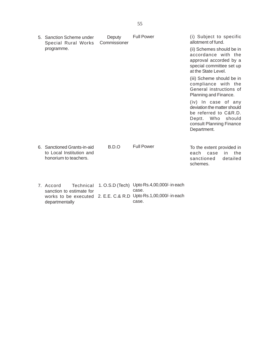| 5. Sanction Scheme under<br>Special Rural Works                                  | Deputy<br>Commissioner | <b>Full Power</b>                                                                                 | (i) Subject to specific<br>allotment of fund.                                                                                                  |
|----------------------------------------------------------------------------------|------------------------|---------------------------------------------------------------------------------------------------|------------------------------------------------------------------------------------------------------------------------------------------------|
| programme.                                                                       |                        |                                                                                                   | (ii) Schemes should be in<br>accordance with the<br>approval accorded by a<br>special committee set up<br>at the State Level.                  |
|                                                                                  |                        |                                                                                                   | (iii) Scheme should be in<br>compliance with the<br>General instructions of<br>Planning and Finance.                                           |
|                                                                                  |                        |                                                                                                   | (iv) In case of any<br>deviation the matter should<br>be referred to C&R.D.<br>Deptt. Who<br>should<br>consult Planning Finance<br>Department. |
| 6. Sanctioned Grants-in-aid<br>to Local Institution and<br>honorium to teachers. | B.D.O                  | <b>Full Power</b>                                                                                 | To the extent provided in<br>the<br>each<br>case<br>in<br>detailed<br>sanctioned<br>schemes.                                                   |
| 7. Accord<br>Technical<br>sanction to estimate for<br>works to be executed       |                        | 1. O.S.D (Tech) Upto Rs.4,00,000/- in each<br>case.<br>2. E.E. C.& R.D Upto Rs.1,00,000/- in each |                                                                                                                                                |

departmentally example of the case.

55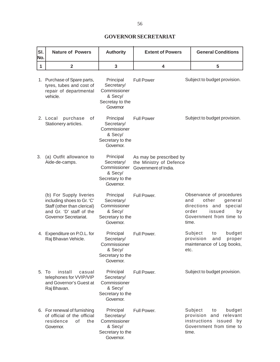# **GOVERNOR SECRETARIAT**

| SI.<br>No.  | <b>Nature of Powers</b>                                                                                                                   | <b>Authority</b>                                                                    | <b>General Conditions</b><br><b>Extent of Powers</b>                       |                               |                                                                                          |                          |
|-------------|-------------------------------------------------------------------------------------------------------------------------------------------|-------------------------------------------------------------------------------------|----------------------------------------------------------------------------|-------------------------------|------------------------------------------------------------------------------------------|--------------------------|
| $\mathbf 1$ | $\mathbf 2$                                                                                                                               | 3                                                                                   | 4                                                                          |                               | 5                                                                                        |                          |
|             | 1. Purchase of Spare parts,<br>tyres, tubes and cost of<br>repair of departmental<br>vehicle.                                             | Principal<br>Secretary/<br>Commissioner<br>& Secy/<br>Secretay to the<br>Governor   | <b>Full Power</b>                                                          |                               | Subject to budget provision.                                                             |                          |
|             | of<br>2. Local<br>purchase<br>Stationery articles.                                                                                        | Principal<br>Secretary/<br>Commissioner<br>& Secy/<br>Secretary to the<br>Governor. | <b>Full Power</b>                                                          |                               | Subject to budget provision.                                                             |                          |
| 3.          | (a) Outfit allowance to<br>Aide-de-camps.                                                                                                 | Principal<br>Secretary/<br>Commissioner<br>& Secy/<br>Secretary to the<br>Governor. | As may be prescribed by<br>the Ministry of Defence<br>Government of India. |                               |                                                                                          |                          |
|             | (b) For Supply liveries<br>including shoes to Gr. 'C'<br>Staff (other than clerical)<br>and Gr. 'D' staff of the<br>Governor Secretariat. | Principal<br>Secretary/<br>Commissioner<br>& Secy/<br>Secretary to the<br>Governor. | Full Power.                                                                | and<br>order<br>time.         | Observance of procedures<br>other<br>directions and<br>issued<br>Government from time to | general<br>special<br>by |
|             | 4. Expenditure on P.O.L. for<br>Raj Bhavan Vehicle.                                                                                       | Principal<br>Secretary/<br>Commissioner<br>& Secy/<br>Secretary to the<br>Governor. | Full Power.                                                                | Subject<br>provision<br>etc.  | to<br>and<br>maintenance of Log books,                                                   | budget<br>proper         |
|             | 5. To<br>install<br>casual<br>telephones for VVIP/VIP<br>and Governor's Guest at<br>Raj Bhavan.                                           | Principal<br>Secretary/<br>Commissioner<br>& Secy/<br>Secretary to the<br>Governor. | Full Power.                                                                |                               | Subject to budget provision.                                                             |                          |
|             | 6. For renewal of furnishing<br>of official of the official<br>residence<br>of<br>the<br>Governor.                                        | Principal<br>Secretary/<br>Commissioner<br>& Secy/<br>Secretary to the<br>Governor. | Full Power.                                                                | Subject<br>provision<br>time. | to<br>and<br>instructions issued by<br>Government from time to                           | budget<br>relevant       |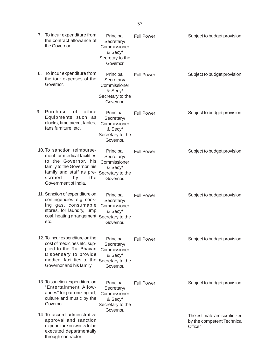|    | 7. To incur expenditure from<br>the contract allowance of<br>the Governor                                                                                                                                     | Principal<br>Secretary/<br>Commissioner<br>& Secy/<br>Secretay to the<br>Governor   | <b>Full Power</b> | Subject to budget provision.                                           |
|----|---------------------------------------------------------------------------------------------------------------------------------------------------------------------------------------------------------------|-------------------------------------------------------------------------------------|-------------------|------------------------------------------------------------------------|
|    | 8. To incur expenditure from<br>the tour expenses of the<br>Governor.                                                                                                                                         | Principal<br>Secretary/<br>Commissioner<br>& Secy/<br>Secretary to the<br>Governor. | <b>Full Power</b> | Subject to budget provision.                                           |
| 9. | Purchase<br>office<br>0f<br>Equipments such as<br>clocks, time piece, tables,<br>fans furniture, etc.                                                                                                         | Principal<br>Secretary/<br>Commissioner<br>& Secy/<br>Secretary to the<br>Governor. | <b>Full Power</b> | Subject to budget provision.                                           |
|    | 10. To sanction reimburse-<br>ment for medical facilities<br>to the Governor, his<br>family to the Governor, his<br>family and staff as pre- Secretary to the<br>scribed<br>by<br>the<br>Government of India. | Principal<br>Secretary/<br>Commissioner<br>& Secy/<br>Governor.                     | <b>Full Power</b> | Subject to budget provision.                                           |
|    | 11. Sanction of expenditure on<br>contingencies, e.g. cook-<br>ing gas, consumable<br>stores, for laundry, lump<br>coal, heating arrangement Secretary to the<br>etc.                                         | Principal<br>Secretary/<br>Commissioner<br>& Secy/<br>Governor.                     | <b>Full Power</b> | Subject to budget provision.                                           |
|    | 12. To incur expenditure on the<br>cost of medicines etc, sup-<br>plied to the Raj Bhavan<br>Dispensary to provide<br>medical facilities to the<br>Governor and his family.                                   | Principal<br>Secretary/<br>Commissioner<br>& Secy/<br>Secretary to the<br>Governor. | <b>Full Power</b> | Subject to budget provision.                                           |
|    | 13. To sanction expenditure on<br>"Entertainment Allow-<br>ances" for patronizing art,<br>culture and music by the<br>Governor.                                                                               | Principal<br>Secretary/<br>Commissioner<br>& Secy/<br>Secretary to the              | <b>Full Power</b> | Subject to budget provision.                                           |
|    | 14. To accord administrative<br>approval and sanction<br>expenditure on works to be<br>executed departmentally<br>through contractor.                                                                         | Governor.                                                                           |                   | The estimate are scrutinized<br>by the competent Technical<br>Officer. |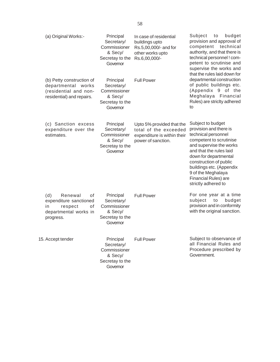| (a) Original Works:-                                                                                         | Principal<br>Secretary/<br>Commissioner<br>& Secy/<br>Secretay to the<br>Governor | In case of residential<br>buildings upto<br>Rs.5,00,000/- and for<br>other works upto<br>Rs.6,00,000/-  | Subject<br>to<br>budget<br>provision and approval of<br>competent<br>technical<br>authority, and that there is<br>technical personnel ! com-<br>petent to scrutinise and<br>supervise the works and                                                                                                     |
|--------------------------------------------------------------------------------------------------------------|-----------------------------------------------------------------------------------|---------------------------------------------------------------------------------------------------------|---------------------------------------------------------------------------------------------------------------------------------------------------------------------------------------------------------------------------------------------------------------------------------------------------------|
| (b) Petty construction of<br>departmental works<br>(residential and non-<br>residential) and repairs.        | Principal<br>Secretary/<br>Commissioner<br>& Secy/<br>Secretay to the<br>Governor | <b>Full Power</b>                                                                                       | that the rules laid down for<br>departmental construction<br>of public buildings etc.<br>(Appendix 9 of the<br>Meghalaya Financial<br>Rules) are stricity adhered<br>to                                                                                                                                 |
| (c) Sanction excess<br>expenditure over the<br>estimates.                                                    | Principal<br>Secretary/<br>Commissioner<br>& Secy/<br>Secretay to the<br>Governor | Upto 5% provided that the<br>total of the exceeded<br>expenditure is within their<br>power of sanction. | Subject to budget<br>provision and there is<br>technical personnel<br>competent to scrutinise<br>and supervise the works<br>and that the rules laid<br>down for departmental<br>construction of public<br>buildings etc. (Appendix<br>9 of the Meghalaya<br>Financial Rules) are<br>strictly adhered to |
| (d)<br>Renewal<br>of<br>expenditure sanctioned<br>respect<br>in.<br>of<br>departmental works in<br>progress. | Principal<br>Secretary/<br>Commissioner<br>& Secy/<br>Secretay to the<br>Governor | <b>Full Power</b>                                                                                       | For one year at a time<br>subject<br>budget<br>to<br>provision and in conformity<br>with the original sanction.                                                                                                                                                                                         |
| 15. Accept tender                                                                                            | Principal<br>Secretary/<br>Commissioner<br>& Secy/<br>Secretay to the<br>Governor | <b>Full Power</b>                                                                                       | Subject to observance of<br>all Financial Rules and<br>Procedure prescribed by<br>Government.                                                                                                                                                                                                           |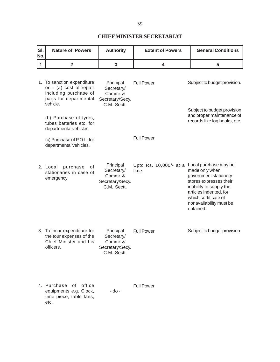### **CHIEF MINISTER SECRETARIAT**

| SI.<br>No. | <b>Nature of Powers</b>                                                                                              | <b>Authority</b>                                                      | <b>Extent of Powers</b>         | <b>General Conditions</b>                                                                                                                                                                                       |
|------------|----------------------------------------------------------------------------------------------------------------------|-----------------------------------------------------------------------|---------------------------------|-----------------------------------------------------------------------------------------------------------------------------------------------------------------------------------------------------------------|
| 1          | $\overline{\mathbf{2}}$                                                                                              | 3                                                                     | 4                               | 5                                                                                                                                                                                                               |
|            | 1. To sanction expenditure<br>on - (a) cost of repair<br>including purchase of<br>parts for departmental<br>vehicle. | Principal<br>Secretary/<br>Commr. &<br>Secretary/Secy.<br>C.M. Sectt. | <b>Full Power</b>               | Subject to budget provision.                                                                                                                                                                                    |
|            | (b) Purchase of tyres,<br>tubes batteries etc, for<br>departmental vehicles                                          |                                                                       |                                 | Subject to budget provision<br>and proper maintenance of<br>records like log books, etc.                                                                                                                        |
|            | (c) Purchase of P.O.L. for<br>departmental vehicles.                                                                 |                                                                       | <b>Full Power</b>               |                                                                                                                                                                                                                 |
|            | 2. Local<br>purchase<br>οf<br>stationaries in case of<br>emergency                                                   | Principal<br>Secretary/<br>Commr. &<br>Secretary/Secy.<br>C.M. Sectt. | Upto Rs. 10,000/- at a<br>time. | Local purchase may be<br>made only when<br>government stationery<br>stores expresses their<br>inability to supply the<br>articles indented, for<br>which certificate of<br>nonavailability must be<br>obtained. |
|            | 3. To incur expenditure for<br>the tour expenses of the<br>Chief Minister and his<br>officers.                       | Principal<br>Secretary/<br>Commr. &<br>Secretary/Secy.<br>C.M. Sectt. | <b>Full Power</b>               | Subject to budget provision.                                                                                                                                                                                    |
|            | 4. Purchase of<br>office<br>equipments e.g. Clock,<br>time piece, table fans,<br>etc.                                | - do -                                                                | <b>Full Power</b>               |                                                                                                                                                                                                                 |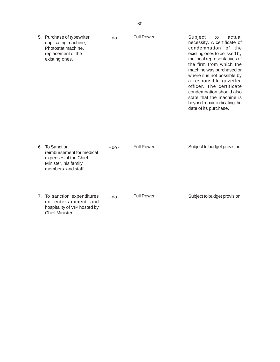| 5. Purchase of typewriter<br>duplicating machine,<br>Photostat machine,<br>replacement of the<br>existing ones.     | - do -  | <b>Full Power</b> | Subject<br>actual<br>to<br>necessity. A certificate of<br>condemnation of the<br>existing ones to be issed by<br>the local representatives of<br>the firm from which the<br>machine was purchased or<br>where it is not possible by<br>a responsible gazetted<br>officer. The certificate<br>condemnation should also<br>state that the machine is<br>beyond repair, indicating the<br>date of its purchase. |
|---------------------------------------------------------------------------------------------------------------------|---------|-------------------|--------------------------------------------------------------------------------------------------------------------------------------------------------------------------------------------------------------------------------------------------------------------------------------------------------------------------------------------------------------------------------------------------------------|
| 6. To Sanction<br>reimbursement for medical<br>expenses of the Chief<br>Minister, his family<br>members, and staff. | - do -  | <b>Full Power</b> | Subject to budget provision.                                                                                                                                                                                                                                                                                                                                                                                 |
| 7. To sanction expenditures<br>entertainment and<br>on<br>hospitality of VIP hosted by                              | $-do -$ | <b>Full Power</b> | Subject to budget provision.                                                                                                                                                                                                                                                                                                                                                                                 |

Chief Minister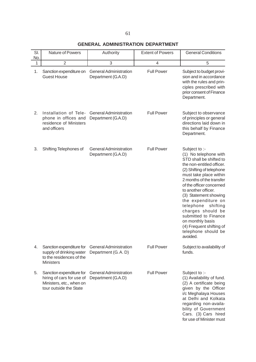**GENERAL ADMINISTRATION DEPARTMENT**

| SI.<br>No. | Nature of Powers                                                                                            | Authority                                             | <b>Extent of Powers</b> | <b>General Conditions</b>                                                                                                                                                                                                                                                                                                                                                                                                                    |
|------------|-------------------------------------------------------------------------------------------------------------|-------------------------------------------------------|-------------------------|----------------------------------------------------------------------------------------------------------------------------------------------------------------------------------------------------------------------------------------------------------------------------------------------------------------------------------------------------------------------------------------------------------------------------------------------|
| 1          | $\overline{2}$                                                                                              | 3                                                     | 4                       | 5                                                                                                                                                                                                                                                                                                                                                                                                                                            |
| 1.         | Sanction expenditure on<br><b>Guest House</b>                                                               | <b>General Administration</b><br>Department (G.A.D)   | <b>Full Power</b>       | Subject to budget provi-<br>sion and in accordance<br>with the rules and prin-<br>ciples prescribed with<br>prior consent of Finance<br>Department.                                                                                                                                                                                                                                                                                          |
| 2.         | Installation of Tele-<br>phone in offices and<br>residence of Ministers<br>and officers                     | <b>General Administration</b><br>Department (G.A.D)   | <b>Full Power</b>       | Subject to observance<br>of principles or general<br>directions laid down in<br>this behalf by Finance<br>Department.                                                                                                                                                                                                                                                                                                                        |
| 3.         | Shifting Telephones of                                                                                      | <b>General Administration</b><br>Department (G.A.D)   | <b>Full Power</b>       | Subject to :-<br>(1) No telephone with<br>STD shall be shifted to<br>the non-entitled officer.<br>(2) Shifting of telephone<br>must take place within<br>2 months of the transfer<br>of the officer concerned<br>to another officer.<br>(3) Statement showing<br>the expenditure on<br>telephone<br>shifting<br>charges should be<br>submitted to Finance<br>on monthly basis<br>(4) Frequent shifting of<br>telephone should be<br>avoided. |
| 4.         | Sanction expenditure for<br>supply of drinking water<br>to the residences of the<br><b>Ministers</b>        | <b>General Administration</b><br>Department (G. A. D) | <b>Full Power</b>       | Subject to availability of<br>funds.                                                                                                                                                                                                                                                                                                                                                                                                         |
| 5.         | Sanction expenditure for<br>hiring of cars for use of<br>Ministers, etc., when on<br>tour outside the State | <b>General Administration</b><br>Department (G.A.D)   | <b>Full Power</b>       | Subject to :-<br>(1) Availability of fund.<br>(2) A certificate being<br>given by the Officer<br>i/c Meghalaya Houses<br>at Delhi and Kolkata<br>regarding non-availa-<br>bility of Government<br>Cars. (3) Cars hired<br>for use of Minister must                                                                                                                                                                                           |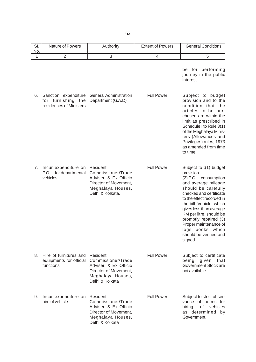| SI.<br>No. | Nature of Powers                                                         | Authority                                                                                                                  | <b>Extent of Powers</b> | <b>General Conditions</b>                                                                                                                                                                                                                                                                                                                                            |
|------------|--------------------------------------------------------------------------|----------------------------------------------------------------------------------------------------------------------------|-------------------------|----------------------------------------------------------------------------------------------------------------------------------------------------------------------------------------------------------------------------------------------------------------------------------------------------------------------------------------------------------------------|
| 1          | $\overline{2}$                                                           | 3                                                                                                                          | $\overline{4}$          | 5                                                                                                                                                                                                                                                                                                                                                                    |
|            |                                                                          |                                                                                                                            |                         | be for performing<br>journey in the public<br>interest.                                                                                                                                                                                                                                                                                                              |
| 6.         | Sanction expenditure<br>furnishing the<br>for<br>residences of Ministers | <b>General Administration</b><br>Department (G.A.D)                                                                        | <b>Full Power</b>       | Subject to budget<br>provision and to the<br>condition that the<br>articles to be pur-<br>chased are within the<br>limit as prescribed in<br>Schedule I to Rule 3(1)<br>of the Meghalaya Minis-<br>ters (Allowances and<br>Privileges) rules, 1973<br>as amended from time<br>to time.                                                                               |
| 7.         | Incur expenditure on<br>P.O.L. for departmental<br>vehicles              | Resident.<br>Commissioner/Trade<br>Adviser, & Ex Officio<br>Director of Movement,<br>Meghalaya Houses,<br>Delhi & Kolkata. | <b>Full Power</b>       | Subject to : (1) budget<br>provision<br>(2) P.O.L. consumption<br>and average mileage<br>should be carefully<br>checked and certificate<br>to the effect recorded in<br>the bill. Vehicle, which<br>gives less than average<br>KM per litre, should be<br>promptly repaired (3)<br>Proper maintenance of<br>logs<br>books which<br>should be verified and<br>signed. |
| 8.         | Hire of furnitures and<br>equipments for official<br>functions           | Resident.<br>Commissioner/Trade<br>Adviser, & Ex Officio<br>Director of Movement,<br>Meghalaya Houses,<br>Delhi & Kolkata  | <b>Full Power</b>       | Subject to certificate<br>being given<br>that<br>Government Stock are<br>not available.                                                                                                                                                                                                                                                                              |
| 9.         | Incur expenditure on<br>hire of vehicle                                  | Resident.<br>Commissioner/Trade<br>Adviser, & Ex Officio<br>Director of Movement,<br>Meghalaya Houses,<br>Delhi & Kolkata  | <b>Full Power</b>       | Subject to strict obser-<br>vance of norms for<br>vehicles<br>hiring<br>of<br>as determined by<br>Government.                                                                                                                                                                                                                                                        |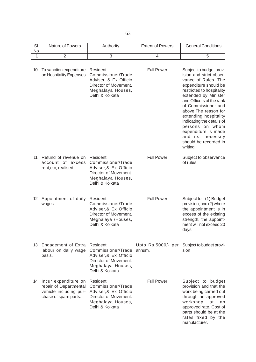SI. Nature of Powers Authority **Extent of Powers General Conditions** No. 1 | 2 | 3 | 4 | 5 10 To sanction expenditure Resident. Full Power Subject to budget provon Hospitality Expenses Commissioner/Trade ision and strict obser-Adviser, & Ex Officio **vance of Rules**. The Director of Movement, expenditure should be Meghalaya Houses, measured to hospitality Delhi & Kolkata extended by Minister and Officers of the rank of Commissioner and above.The reason for extending hospitality indicating the details of persons on whom expenditure is made and its; necessity should be recorded in writing. 11 Refund of revenue on Resident. The Full Power Subject to observance account of excess Commissioner/Trade of rules. rent,etc, realised. Adviser,& Ex Officio Director of Movement. Meghalaya Houses, Delhi & Kolkata 12 Appointment of daily Resident. Full Power Subject to:- (1) Budget wages. Commissioner/Trade provision, and (2) where Adviser,& Ex Officio the appointment is in Director of Movement. **Excess** of the existing Meghalaya /Houses, measured as the strength, the appoint-Delhi & Kolkata ment will not exceed 20 days 13 Engagement of Extra Resident. Upto Rs.5000/- per Subject to budget provilabour on daily wage Commissioner/Trade annum. sion basis. Adviser,& Ex Officio Director of Movement. Meghalaya Houses, Delhi & Kolkata 14 Incur expenditure on Resident. Full Power Subject to budget repair of Departmental Commissioner/Trade provision and that the vehicle including pur- Adviser, & Ex Officio work being carried out chase of spare parts. Director of Movement. The state of through an approved Meghalaya Houses, workshop at an Delhi & Kolkata **approved** rate. Cost of parts should be at the rates fixed by the

manufacturer.

63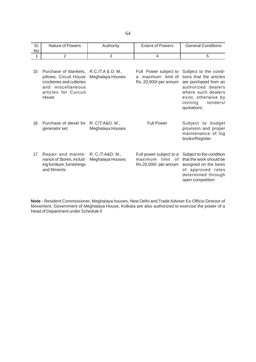| $\sim$<br>. ات | Nature of Powers | Authority | <b>Extent of Powers</b> | <b>General Conditions</b> |
|----------------|------------------|-----------|-------------------------|---------------------------|
| No.            |                  |           |                         |                           |
|                |                  |           |                         |                           |

| 15 | Purchase of blankets, R.C./T.A & D. M.,<br>pillows, Circuit House<br>crockeries and cutleries<br>and miscellaneous<br>articles for Curcuit<br>House | Meghalaya Houses                    | Full Power subject to<br>maximum limit of<br>a.<br>Rs. 20,000/-per annum | Subject to the condi-<br>tions that the articles<br>are purchased from an<br>authorized dealers<br>where such dealers<br>exist, otherwise by<br>inviting<br>tenders/<br>quotations. |
|----|-----------------------------------------------------------------------------------------------------------------------------------------------------|-------------------------------------|--------------------------------------------------------------------------|-------------------------------------------------------------------------------------------------------------------------------------------------------------------------------------|
| 16 | Purchase of diesel for<br>generator set.                                                                                                            | R. C/T.A&D. M.,<br>Meghalaya Houses | <b>Full Power</b>                                                        | Subject to budget<br>provision and proper<br>maintenance of log<br>books/Register.                                                                                                  |
| 17 | Repair and mainte- R. C./T.A&D. M.,<br>nance of Stores, includ-<br>ing furniture, furnishings<br>and fitments                                       | Meghalaya Houses                    | Full power subject to a<br>limit of<br>maximum<br>Rs.20,000/- per annum  | Subject to the condition<br>that the work should be<br>assigned on the basis<br>of approved rates<br>determined through<br>open competition                                         |

**Note**:- Resident Commissioner, Meghalaya houses, New Delhi and Trade Adviser Ex-Officio Director of Movement, Government of Meghalaya House, Kolkata are also authorized to exercise the power of a Head of Department under Schedule II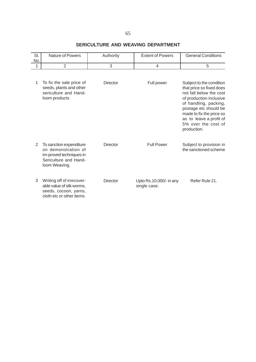# **SERICULTURE AND WEAVING DEPARTMENT**

| SI.<br>No. | <b>Nature of Powers</b>                                                                                             | Authority       | <b>Extent of Powers</b>                 | <b>General Conditions</b>                                                                                                                                                                                                                                 |
|------------|---------------------------------------------------------------------------------------------------------------------|-----------------|-----------------------------------------|-----------------------------------------------------------------------------------------------------------------------------------------------------------------------------------------------------------------------------------------------------------|
| 1          | $\overline{2}$                                                                                                      | 3               | $\overline{4}$                          | 5                                                                                                                                                                                                                                                         |
|            |                                                                                                                     |                 |                                         |                                                                                                                                                                                                                                                           |
| 1          | To fix the sale price of<br>seeds, plants and other<br>sericulture and Hand-<br>loom products                       | <b>Director</b> | Full power                              | Subject to the condition<br>that price so fixed does<br>not fall below the cost<br>of production inclusive<br>of handling, packing,<br>postage etc should be<br>made to fix the price so<br>as to leave a profit of<br>5% over the cost of<br>production. |
| 2          | To sanction expenditure<br>on demonstration of<br>im-proved techniques in<br>Sericulture and Hand-<br>loom Weaving. | <b>Director</b> | <b>Full Power</b>                       | Subject to provision in<br>the sanctioned scheme                                                                                                                                                                                                          |
| 3          | Writing off of irrecover-<br>able value of silk worms,<br>seeds, cocoon, yarns,<br>cloth etc or other items.        | <b>Director</b> | Upto Rs.10,000/- in any<br>single case. | Refer Rule 21.                                                                                                                                                                                                                                            |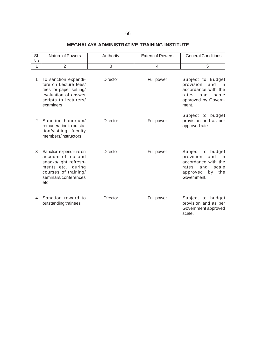### 66

### **MEGHALAYA ADMINISTRATIVE TRAINING INSTITUTE**

| SI.            | Nature of Powers                                                                                                                                     | Authority       | <b>Extent of Powers</b> | <b>General Conditions</b>                                                                                                            |
|----------------|------------------------------------------------------------------------------------------------------------------------------------------------------|-----------------|-------------------------|--------------------------------------------------------------------------------------------------------------------------------------|
| No.<br>1       | $\overline{2}$                                                                                                                                       | 3               | $\overline{4}$          | 5                                                                                                                                    |
|                |                                                                                                                                                      |                 |                         |                                                                                                                                      |
| 1              | To sanction expendi-<br>ture on Lecture fees/<br>fees for paper setting/<br>evaluation of answer<br>scripts to lecturers/<br>examiners               | <b>Director</b> | Full power              | Subject to Budget<br>provision<br>and<br>in.<br>accordance with the<br>rates<br>and<br>scale<br>approved by Govern-<br>ment.         |
| $\overline{2}$ | Sanction honorium/<br>remuneration to outsta-<br>tion/visiting faculty<br>members/instructors.                                                       | <b>Director</b> | Full power              | Subject to budget<br>provision and as per<br>approved rate.                                                                          |
| 3              | Sanction expenditure on<br>account of tea and<br>snacks/light refresh-<br>ments etc., during<br>courses of training/<br>seminars/conferences<br>etc. | <b>Director</b> | Full power              | Subject to budget<br>provision<br>and<br>in.<br>accordance with the<br>scale<br>rates<br>and<br>approved<br>the<br>by<br>Government. |
| 4              | Sanction reward to<br>outstanding trainees                                                                                                           | <b>Director</b> | Full power              | Subject to budget<br>provision and as per<br>Government approved<br>scale.                                                           |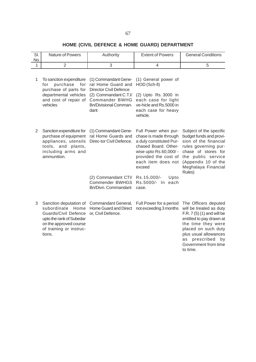# **HOME (CIVIL DEFENCE & HOME GUARD) DEPARTMENT**

| SI.<br>No. | <b>Nature of Powers</b>                                                                                                                                                 | Authority                                                                                                                                                             | <b>Extent of Powers</b>                                                                                                                                                                                                                | <b>General Conditions</b>                                                                                                                                                                                                                     |
|------------|-------------------------------------------------------------------------------------------------------------------------------------------------------------------------|-----------------------------------------------------------------------------------------------------------------------------------------------------------------------|----------------------------------------------------------------------------------------------------------------------------------------------------------------------------------------------------------------------------------------|-----------------------------------------------------------------------------------------------------------------------------------------------------------------------------------------------------------------------------------------------|
| 1          | $\overline{2}$                                                                                                                                                          | 3                                                                                                                                                                     | 4                                                                                                                                                                                                                                      | 5                                                                                                                                                                                                                                             |
| 1          | To sanction expenditure<br>purchase<br>for<br>for<br>purchase of parts for<br>departmental vehicles<br>and cost of repair of<br>vehicles                                | (1) Commandant Gene-<br>ral Home Guard and<br><b>Director Civil Defence</b><br>(2) Commandant C.T.I/<br><b>Commander BWHG</b><br><b>Bn/Divisional Comman-</b><br>dant | (1) General power of<br>HOD (Sch-II)<br>(2) Upto Rs. 3000 in<br>each case for light<br>ve-hicle and Rs.5000 in<br>each case for heavy<br>vehicle.                                                                                      |                                                                                                                                                                                                                                               |
| 2          | Sanction expenditure for<br>purchase of equipment<br>appliances, utensils<br>tools, and plants,<br>including arms and<br>ammunition.                                    | (1) Commandant Gene-<br>ral Home Guards and<br>Direc-tor Civil Defence.<br>(2) Commandant CTI/<br><b>Commender BWHGS</b><br>Bn/Divn. Commandant                       | Full Power when pur-<br>chase is made through<br>a duly constituted Pur-<br>chased Board. Other-<br>wise upto Rs.60,000/-<br>provided the cost of<br>each item does not<br>exceed<br>Rs.15,000/-<br>Upto<br>Rs.5000/- In each<br>case. | Subject of the specific<br>budget funds and provi-<br>sion of the financial<br>rules governing pur-<br>chase of stores for<br>the public service<br>(Appendix 10 of the<br>Meghalaya Financial<br>Rules)                                      |
| 3          | Sanction deputation of<br>subordinate<br>Home<br><b>Guards/Civil Defence</b><br>upto the rank of Subedar<br>on the approved course<br>of training or instruc-<br>tions. | Commandant General,<br>Home Guard and Direct<br>or, Civil Defence.                                                                                                    | Full Power for a period<br>not exceeding 3 months                                                                                                                                                                                      | The Officers deputed<br>will be treated as duty<br>F.R. $7(5)(1)$ and will be<br>entitled to pay drawn at<br>the time they were<br>placed on such duty<br>plus usual allowances<br>prescribed<br>as<br>by<br>Government from time<br>to time. |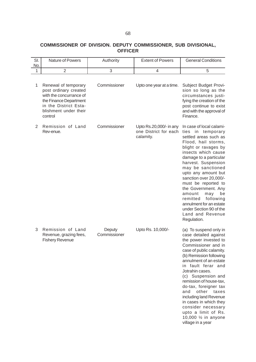### **COMMISSIONER OF DIVISION. DEPUTY COMMISSIONER, SUB DIVISIONAL, OFFICER**

| SI.<br>No.     | <b>Nature of Powers</b>                                                                                                                                         | Authority              | <b>Extent of Powers</b>                                       | <b>General Conditions</b>                                                                                                                                                                                                                                                                                                                                                                                                                                                  |
|----------------|-----------------------------------------------------------------------------------------------------------------------------------------------------------------|------------------------|---------------------------------------------------------------|----------------------------------------------------------------------------------------------------------------------------------------------------------------------------------------------------------------------------------------------------------------------------------------------------------------------------------------------------------------------------------------------------------------------------------------------------------------------------|
| 1              | $\overline{2}$                                                                                                                                                  | 3                      | $\overline{4}$                                                | 5                                                                                                                                                                                                                                                                                                                                                                                                                                                                          |
| 1              | Renewal of temporary<br>post ordinary created<br>with the concurrance of<br>the Finance Department<br>in the District Esta-<br>blishment under their<br>control | Commissioner           | Upto one year at a time.                                      | Subject Budget Provi-<br>sion so long as the<br>circumstances justi-<br>fying the creation of the<br>post continue to exist<br>and with the approval of<br>Finance.                                                                                                                                                                                                                                                                                                        |
| $\overline{2}$ | Remission of Land<br>Rev-enue.                                                                                                                                  | Commissioner           | Upto Rs.20,000/- in any<br>one District for each<br>calamity. | In case of local calami-<br>in temporary<br>ties<br>settled areas such as<br>Flood, hail storms,<br>blight or ravages by<br>insects which cause<br>damage to a particular<br>harvest. Suspension<br>may be sanctioned<br>upto any amount but<br>sanction over 20,000/-<br>must be reported to<br>the Government. Any<br>amount<br>may<br>be<br>following<br>remitted<br>annulment for an estate<br>under Section 90 of the<br>Land and Revenue<br>Regulation.              |
| 3              | Remission of Land<br>Revenue, grazing fees,<br><b>Fishery Revenue</b>                                                                                           | Deputy<br>Commissioner | Upto Rs. 10,000/-                                             | (a) To suspend only in<br>case detailed against<br>the power invested to<br>Commissioner and in<br>case of public calamity.<br>(b) Remission following<br>annulment of an estate<br>in fault ferar and<br>Jotrahin cases.<br>(c) Suspension and<br>remission of house-tax,<br>do-tax, foreigner tax<br>other<br>and<br>taxes<br>including land Revenue<br>in cases in which they<br>consider necessary<br>upto a limit of Rs.<br>10,000 1/2 in anyone<br>village in a year |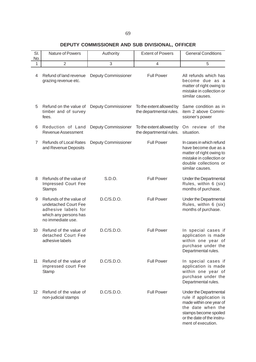### **DEPUTY COMMISSIONER AND SUB DIVISIONAL, OFFICER**

| SI.<br>No. | Nature of Powers                                                                                                     | Authority                  | <b>Extent of Powers</b>                             | <b>General Conditions</b>                                                                                                                                                     |
|------------|----------------------------------------------------------------------------------------------------------------------|----------------------------|-----------------------------------------------------|-------------------------------------------------------------------------------------------------------------------------------------------------------------------------------|
| 1          | $\overline{2}$                                                                                                       | 3                          | $\overline{4}$                                      | 5                                                                                                                                                                             |
| 4          | Refund of land revenue<br>grazing revenue etc.                                                                       | <b>Deputy Commissioner</b> | <b>Full Power</b>                                   | All refunds which has<br>become due as a<br>matter of right owing to<br>mistake in collection or<br>similar causes.                                                           |
| 5          | Refund on the value of<br>timber and of survey<br>fees.                                                              | <b>Deputy Commissioner</b> | To the extent allowed by<br>the departmental rules. | Same condition as in<br>item 2 above Commi-<br>ssioner's power                                                                                                                |
| 6          | Reduction of Land<br>Revenue Assessment                                                                              | Deputy Commissioner        | To the extent allowed by<br>the departmental rules. | On review of the<br>situation.                                                                                                                                                |
| 7          | <b>Refunds of Local Rates</b><br>and Revenue Deposits                                                                | <b>Deputy Commissioner</b> | <b>Full Power</b>                                   | In cases in which refund<br>have become due as a<br>matter of right owing to<br>mistake in collection or<br>double collections or<br>similar causes.                          |
| 8          | Refunds of the value of<br>Impressed Court Fee<br><b>Stamps</b>                                                      | S.D.O.                     | <b>Full Power</b>                                   | Under the Departmental<br>Rules, within 6 (six)<br>months of purchase.                                                                                                        |
| 9          | Refunds of the value of<br>undetached Court Fee<br>adhesive labels for<br>which any persons has<br>no immediate use. | D.C/S.D.O.                 | <b>Full Power</b>                                   | Under the Departmental<br>Rules, within 6 (six)<br>months of purchase.                                                                                                        |
| 10         | Refund of the value of<br>detached Court Fee<br>adhesive labels                                                      | D.C/S.D.O.                 | <b>Full Power</b>                                   | In special cases if<br>application is made<br>within one year of<br>purchase under the<br>Departmental rules.                                                                 |
| 11         | Refund of the value of<br>impressed court Fee<br>Stamp                                                               | D.C/S.D.O.                 | <b>Full Power</b>                                   | In special cases if<br>application is made<br>within one year of<br>purchase under the<br>Departmental rules.                                                                 |
| 12         | Refund of the value of<br>non-judicial stamps                                                                        | D.C/S.D.O.                 | <b>Full Power</b>                                   | Under the Departmental<br>rule if application is<br>made within one year of<br>the date when the<br>stamps become spoiled<br>or the date of the instru-<br>ment of execution. |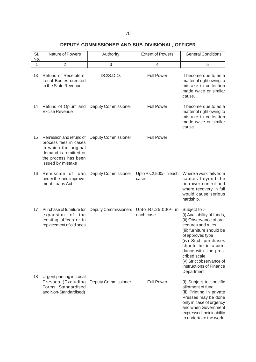# **DEPUTY COMMISSIONER AND SUB DIVISIONAL, OFFICER**

| SI.<br>No. | Nature of Powers                                                                                                                                | Authority                   | <b>Extent of Powers</b>           | <b>General Conditions</b>                                                                                                                                                                                                                                                                   |
|------------|-------------------------------------------------------------------------------------------------------------------------------------------------|-----------------------------|-----------------------------------|---------------------------------------------------------------------------------------------------------------------------------------------------------------------------------------------------------------------------------------------------------------------------------------------|
| 1          | $\overline{2}$                                                                                                                                  | 3                           | 4                                 | 5                                                                                                                                                                                                                                                                                           |
| 13         | Refund of Receipts of<br>Local Bodies credited<br>to the State Revenue                                                                          | DC/S.D.O.                   | <b>Full Power</b>                 | If become due to as a<br>matter of right owing to<br>mistake in collection<br>made twice or similar<br>cause.                                                                                                                                                                               |
| 14         | Refund of Opium and Deputy Commissioner<br><b>Excise Revenue</b>                                                                                |                             | <b>Full Power</b>                 | If become due to as a<br>matter of right owing to<br>mistake in collection<br>made twice or similar<br>cause.                                                                                                                                                                               |
| 15         | Remission and refund of<br>process fees in cases<br>in which the original<br>demand is remitted or<br>the process has been<br>issued by mistake | <b>Deputy Commissioner</b>  | <b>Full Power</b>                 |                                                                                                                                                                                                                                                                                             |
| 16         | Remission of loan<br>under the land improve-<br>ment Loans Act                                                                                  | <b>Deputy Commissioner</b>  | Upto Rs.2,500/- in each<br>case.  | Where a work fails from<br>causes beyond the<br>borrower control and<br>where recovery in full<br>would cause serious<br>hardship.                                                                                                                                                          |
| 17         | Purchase of furniture for<br>expansion<br>of<br>the<br>existing offices or in<br>replacement of old ones                                        | <b>Deputy Commissioners</b> | Upto Rs.25,000/- in<br>each case. | Subject to :-<br>(i) Availability of funds,<br>(ii) Observance of pro-<br>cedures and rules,<br>(iii) furniture should be<br>of approved type<br>(iv) Such purchases<br>should be in accor-<br>dance with the pres-<br>cribed scale.<br>(v) Strict observance of<br>instructions of Finance |
| 18         | Urgent printing in Local<br>Presses (Excluding<br>Forms, Standardised<br>and Non-Standardised)                                                  | <b>Deputy Commissioner</b>  | <b>Full Power</b>                 | Department.<br>(i) Subject to specific<br>allotment of fund.<br>(ii) Printing in private<br>Presses may be done<br>only in case of urgency<br>and when Government<br>expressed their inability<br>to undertake the work.                                                                    |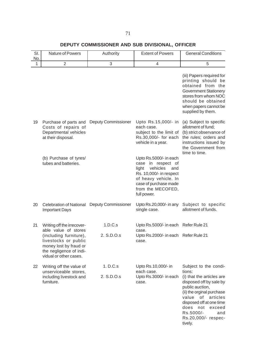# **DEPUTY COMMISSIONER AND SUB DIVISIONAL, OFFICER**

| SI.<br>No. | Nature of Powers                                                                                                                                      | Authority                  | <b>Extent of Powers</b>                                                                                                                                                                  | <b>General Conditions</b>                                                                                                                                                                                                                         |
|------------|-------------------------------------------------------------------------------------------------------------------------------------------------------|----------------------------|------------------------------------------------------------------------------------------------------------------------------------------------------------------------------------------|---------------------------------------------------------------------------------------------------------------------------------------------------------------------------------------------------------------------------------------------------|
| 1          | $\overline{2}$                                                                                                                                        | 3                          | 4                                                                                                                                                                                        | 5                                                                                                                                                                                                                                                 |
|            |                                                                                                                                                       |                            |                                                                                                                                                                                          | (iii) Papers required for<br>printing should be<br>obtained from the<br><b>Government Stationery</b><br>stores from whom NOC<br>should be obtained<br>when papers cannot be<br>supplied by them.                                                  |
| 19         | Purchase of parts and<br>Costs of repairs of<br>Departmental vehicles<br>at their disposal.                                                           | Deputy Commissioner        | Upto Rs.15,000/- in<br>each case.<br>subject to the limit of<br>Rs.30,000/- for each<br>vehicle in a year.                                                                               | (a) Subject to specific<br>allotment of fund;<br>(b) strict observance of<br>the rules; orders and<br>instructions issued by<br>the Government from<br>time to time.                                                                              |
|            | (b) Purchase of tyres/<br>tubes and batteries.                                                                                                        |                            | Upto Rs.5000/- in each<br>case in respect of<br>light<br>vehicles<br>and<br>Rs. 10,000/- in respect<br>of heavy vehicle. In<br>case of purchase made<br>from the MECOFED,<br>full power. |                                                                                                                                                                                                                                                   |
| 20         | <b>Celebration of National</b><br><b>Important Days</b>                                                                                               | <b>Deputy Commissioner</b> | Upto Rs.20,000/- in any<br>single case.                                                                                                                                                  | Subject to specific<br>allotment of funds.                                                                                                                                                                                                        |
| 21         | Writing off the irrecover-                                                                                                                            | 1.D.C.s                    | Upto Rs.5000/- in each Refer Rule 21                                                                                                                                                     |                                                                                                                                                                                                                                                   |
|            | able value of stores<br>(including furniture),<br>livestocks or public<br>money lost by fraud or<br>the negligence of indi-<br>vidual or other cases. | 2. S.D.O.s                 | case.<br>Upto Rs.2000/- in each Refer Rule 21<br>case.                                                                                                                                   |                                                                                                                                                                                                                                                   |
| 22         | Writing off the value of                                                                                                                              | 1. D.C.s                   | Upto Rs.10,000/- in                                                                                                                                                                      | Subject to the condi-                                                                                                                                                                                                                             |
|            | unserviceable stores,<br>including livestock and<br>furniture.                                                                                        | 2. S.D.O.s                 | each case.<br>Upto Rs.3000/- in each<br>case.                                                                                                                                            | tions:<br>(i) that the articles are<br>disposed off by sale by<br>public auction,<br>(ii) the orginal purchase<br>value<br>of articles<br>disposed off at one time<br>does<br>not<br>exceed<br>Rs.5000/-<br>and<br>Rs.20,000/- respec-<br>tively. |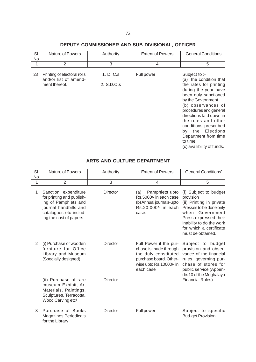# **DEPUTY COMMISSIONER AND SUB DIVISIONAL, OFFICER**

| SI.<br>No. | <b>Nature of Powers</b>                                               | Authority               | <b>Extent of Powers</b> | <b>General Conditions</b>                                                                                                                                                                                                                                                                                                                                |
|------------|-----------------------------------------------------------------------|-------------------------|-------------------------|----------------------------------------------------------------------------------------------------------------------------------------------------------------------------------------------------------------------------------------------------------------------------------------------------------------------------------------------------------|
| 1          | 2                                                                     | 3                       | 4                       | 5                                                                                                                                                                                                                                                                                                                                                        |
| 23         | Printing of electoral rolls<br>and/or list of amend-<br>ment thereof. | 1. D. C.s<br>2. S.D.O.s | Full power              | Subject to :-<br>(a) the condition that<br>the rates for printing<br>during the year have<br>been duly sanctioned<br>by the Government.<br>(b) observances of<br>procedures and general<br>directions laid down in<br>the rules and other<br>conditions prescribed<br>by the Elections<br>Department from time<br>to time.<br>(c) availibility of funds. |

## **ARTS AND CULTURE DEPARTMENT**

| SI.<br>No. | <b>Nature of Powers</b>                                                                                                                                | Authority       | <b>Extent of Powers</b>                                                                                                                   | <b>General Conditions'</b>                                                                                                                                                                                        |
|------------|--------------------------------------------------------------------------------------------------------------------------------------------------------|-----------------|-------------------------------------------------------------------------------------------------------------------------------------------|-------------------------------------------------------------------------------------------------------------------------------------------------------------------------------------------------------------------|
| 1          | $\overline{2}$                                                                                                                                         | 3               | 4                                                                                                                                         | 5                                                                                                                                                                                                                 |
| 1          | Sanction expenditure<br>for printing and publish-<br>ing of Pamphlets and<br>journal handbills and<br>catalogues etc includ-<br>ing the cost of papers | <b>Director</b> | Pamphlets upto<br>(a)<br>Rs.5000/- in each case<br>(b) Annual journals-upto<br>Rs.20,000/- in each<br>case.                               | (i) Subject to budget<br>provision<br>(ii) Printing in private<br>Presses to be done only<br>when Government<br>Press expressed their<br>inability to do the work<br>for which a certificate<br>must be obtained. |
| 2          | (i) Purchase of wooden<br>furniture for Office<br>Library and Museum<br>(Specially designed)                                                           | <b>Director</b> | Full Power if the pur-<br>chase is made through<br>the duly constituted<br>purchase board. Other-<br>wise upto Rs.10000/- in<br>each case | Subject to budget<br>provision and obser-<br>vance of the financial<br>rules, governing pur-<br>chase of stores for<br>public service (Appen-<br>dix 10 of the Meghalaya                                          |
|            | (ii) Purchase of rare<br>museum Exhibit, Art<br>Materials, Paintings,<br>Sculptures, Terracotta,<br>Wood Carving etc/                                  | <b>Director</b> |                                                                                                                                           | <b>Financial Rules)</b>                                                                                                                                                                                           |
| 3          | Purchase of Books<br><b>Magazines Periodicals</b><br>for the Library                                                                                   | <b>Director</b> | Full power                                                                                                                                | Subject to specific<br>Bud-get Provision.                                                                                                                                                                         |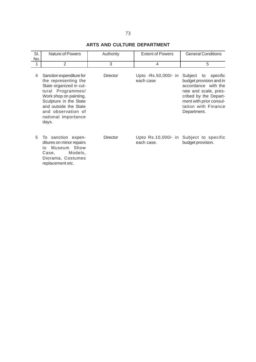# **ARTS AND CULTURE DEPARTMENT**

| SI.<br>No. | <b>Nature of Powers</b>                                                                                                                                                                                                             | Authority       | <b>Extent of Powers</b>           | <b>General Conditions</b>                                                                                                                                                                |
|------------|-------------------------------------------------------------------------------------------------------------------------------------------------------------------------------------------------------------------------------------|-----------------|-----------------------------------|------------------------------------------------------------------------------------------------------------------------------------------------------------------------------------------|
| 1          | $\overline{2}$                                                                                                                                                                                                                      | 3               | 4                                 | 5                                                                                                                                                                                        |
| 4          | Sanction expenditure for<br>the representing the<br>State organized in cul-<br>tural Programmes/<br>Work shop on painting,<br>Sculpture in the State<br>and outside the State<br>and observation of<br>national importance<br>days. | <b>Director</b> | Upto -Rs.50,000/- in<br>each case | Subject to specific<br>budget provision and in<br>accordance with the<br>rate and scale, pres-<br>cribed by the Depart-<br>ment with prior consul-<br>tation with Finance<br>Department. |
| 5          | To sanction expen-<br>ditures on minor repairs<br>to Museum Show<br>Models,<br>Case.<br>Diorama, Costumes<br>replacement etc.                                                                                                       | <b>Director</b> | Upto Rs.10,000/- in<br>each case. | Subject to specific<br>budget provision.                                                                                                                                                 |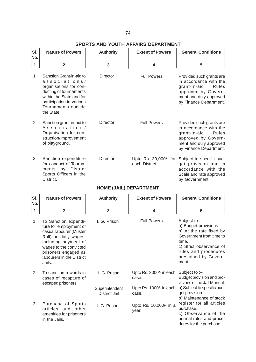# **SPORTS AND YOUTH AFFAIRS DEPARTMENT**

| SI.<br>No. | <b>Nature of Powers</b>                                                                                                                                                                    | <b>Authority</b> | <b>Extent of Powers</b>                 | <b>General Conditions</b>                                                                                                                              |
|------------|--------------------------------------------------------------------------------------------------------------------------------------------------------------------------------------------|------------------|-----------------------------------------|--------------------------------------------------------------------------------------------------------------------------------------------------------|
| 1          | $\overline{2}$                                                                                                                                                                             | 3                | $\overline{\mathbf{4}}$                 | 5                                                                                                                                                      |
| 1.         | Sanction Grant-in-aid to<br>associations/<br>organisations for con-<br>ducting of tournaments<br>within the State and for<br>participation in various<br>Tournaments outside<br>the State. | Director         | <b>Full Powers</b>                      | Provided such grants are<br>in accordance with the<br>grant-in-aid<br>Rules<br>approved by Govern-<br>ment and duly approved<br>by Finance Department. |
| 2.         | Sanction grant-in-aid to<br>Association/<br>Organisation for con-<br>struction/improvement<br>of playground.                                                                               | Director         | <b>Full Powers</b>                      | Provided such grants are<br>in accordance with the<br>grant-in-aid<br>Rules<br>approved by Govern-<br>ment and duly approved<br>by Finance Department. |
| 3.         | Sanction expenditure<br>for conduct of Tourna-<br>ments by District<br>Sports Officers in the<br>District.                                                                                 | Director         | Upto Rs. 30,000/- for<br>each District. | Subject to specific bud-<br>get provision and in<br>accordance with the<br>Scale and rate approved<br>by Government.                                   |

# **HOME (JAIL) DEPARTMENT**

| SI.<br>No. | <b>Nature of Powers</b>                                                                                                                                                                                             | <b>Authority</b>                       | <b>Extent of Powers</b>                                     | <b>General Conditions</b>                                                                                                                                                                   |
|------------|---------------------------------------------------------------------------------------------------------------------------------------------------------------------------------------------------------------------|----------------------------------------|-------------------------------------------------------------|---------------------------------------------------------------------------------------------------------------------------------------------------------------------------------------------|
| 1          | $\overline{\mathbf{2}}$                                                                                                                                                                                             | 3                                      | 4                                                           | 5                                                                                                                                                                                           |
| 1.         | To Sanction expendi-<br>ture for employment of<br>casual labourer (Muster<br>Roll) on daily wages,<br>including payment of<br>wages to the convicted<br>prisoners engaged as<br>labourers in the District<br>Jails. | I. G. Prison                           | <b>Full Powers</b>                                          | Subject to $-$<br>a) Budget provisions.<br>b) At the rate fixed by<br>Government from time to<br>time.<br>c) Strict observance of<br>rules and procedures<br>prescribed by Govern-<br>ment. |
| 2.         | To sanction rewards in<br>cases of recapture of<br>escaped prisoners                                                                                                                                                | I. G. Prison                           | Upto Rs. 3000/- in each<br>case.<br>Upto Rs. 1000/- in each | Subject to : $-$<br>Budget provision and pro-<br>visions of the Jail Manual.<br>a) Subject to specific bud-                                                                                 |
|            |                                                                                                                                                                                                                     | Superintendent<br><b>District Jail</b> | case.                                                       | get provision.<br>b) Maintenance of stock                                                                                                                                                   |
| 3.         | Purchase of Sports<br>articles and other<br>amenities for prisoners<br>in the Jails.                                                                                                                                | I. G. Prison                           | Upto Rs. 10,000/- in a<br>year.                             | register for all articles<br>purchase.<br>c) Observance of the<br>normal rules and proce-<br>dures for the purchase.                                                                        |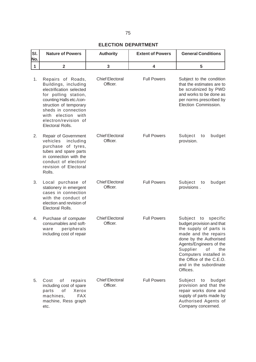# **ELECTION DEPARTMENT**

| SI.<br>No. | <b>Nature of Powers</b>                                                                                                                                                                                                                      | <b>Authority</b>                   | <b>Extent of Powers</b> | <b>General Conditions</b>                                                                                                                                                                                                                                                       |
|------------|----------------------------------------------------------------------------------------------------------------------------------------------------------------------------------------------------------------------------------------------|------------------------------------|-------------------------|---------------------------------------------------------------------------------------------------------------------------------------------------------------------------------------------------------------------------------------------------------------------------------|
| 1          | $\overline{2}$                                                                                                                                                                                                                               | 3                                  | 4                       | 5                                                                                                                                                                                                                                                                               |
| 1.         | Repairs of Roads,<br>Buildings, including<br>electrification selected<br>for polling station,<br>counting Halls etc./con-<br>struction of temporary<br>sheds in connection<br>with election with<br>electron/revision of<br>Electoral Rolls. | <b>Chief Electoral</b><br>Officer. | <b>Full Powers</b>      | Subject to the condition<br>that the estimates are to<br>be scrutinized by PWD<br>and works to be done as<br>per norms prescribed by<br>Election Commission.                                                                                                                    |
| 2.         | Repair of Government<br>including<br>vehicles<br>purchase of tyres,<br>tubes and spare parts<br>in connection with the<br>conduct of election/<br>revision of Electoral<br>Rolls.                                                            | <b>Chief Electoral</b><br>Officer. | <b>Full Powers</b>      | Subject<br>budget<br>to<br>provision.                                                                                                                                                                                                                                           |
| 3.         | Local purchase of<br>stationery in emergent<br>cases in connection<br>with the conduct of<br>election and revision of<br>Electoral Rolls.                                                                                                    | <b>Chief Electoral</b><br>Officer. | <b>Full Powers</b>      | Subject<br>budget<br>to<br>provisions.                                                                                                                                                                                                                                          |
| 4.         | Purchase of computer<br>consumables and soft-<br>peripherals<br>ware<br>including cost of repair                                                                                                                                             | <b>Chief Electoral</b><br>Officer. | <b>Full Powers</b>      | Subject to<br>specific<br>budget provision and that<br>the supply of parts is<br>made and the repairs<br>done by the Authorised<br>Agents/Engineers of the<br>Supplier<br>of<br>the<br>Computers installed in<br>the Office of the C.E.O.<br>and in the subordinate<br>Offices. |
| 5.         | Cost<br>οf<br>repairs<br>including cost of spare<br>Xerox<br>of<br>parts<br><b>FAX</b><br>machines,<br>machine, Ress graph<br>etc.                                                                                                           | <b>Chief Electoral</b><br>Officer. | <b>Full Powers</b>      | Subject<br>to<br>budget<br>provision and that the<br>repair works done and<br>supply of parts made by<br>Authorised Agents of<br>Company concerned.                                                                                                                             |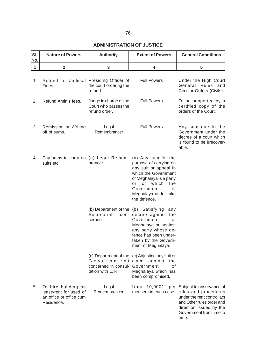# 76

# **ADMINISTRATION OF JUSTICE**

| SI.<br>No.   | <b>Nature of Powers</b>                                                                | <b>Authority</b>                                                | <b>Extent of Powers</b>                                                                                                                                                                                                                                 | <b>General Conditions</b>                                                                                                                                                                           |
|--------------|----------------------------------------------------------------------------------------|-----------------------------------------------------------------|---------------------------------------------------------------------------------------------------------------------------------------------------------------------------------------------------------------------------------------------------------|-----------------------------------------------------------------------------------------------------------------------------------------------------------------------------------------------------|
| $\mathbf{1}$ | $\overline{2}$                                                                         | 3                                                               | 4                                                                                                                                                                                                                                                       | 5                                                                                                                                                                                                   |
| 1.           | Refund of Judicial Presiding Officer of<br>Fines.                                      | the court ordering the<br>refund.                               | <b>Full Powers</b>                                                                                                                                                                                                                                      | Under the High Court<br>General Rules and<br>Circular Orders (Civils).                                                                                                                              |
| 2.           | Refund Amin's fees.                                                                    | Judge in charge of the<br>Court who passes the<br>refund order. | <b>Full Powers</b>                                                                                                                                                                                                                                      | To be supported by a<br>certified copy of the<br>orders of the Court.                                                                                                                               |
| 3.           | Remission or Writing<br>off of sums.                                                   | Legal<br>Remembrancer                                           | <b>Full Powers</b>                                                                                                                                                                                                                                      | Any sum due to the<br>Government under the<br>decree of a court which<br>is found to be irrecover-<br>able.                                                                                         |
| 4.           | suits etc.                                                                             | brancer.                                                        | Pay sums to carry on (a) Legal Remem- (a) Any sum for the<br>purpose of carrying on<br>any suit or appeal in<br>which the Government<br>of Meghalaya is a party<br>of<br>which<br>the<br>or<br>Government<br>of<br>Meghalaya under take<br>the defence. |                                                                                                                                                                                                     |
|              |                                                                                        | Secretariat<br>cerned.                                          | (b) Department of the (b) Satisfying any<br>con- decree against the<br>Government<br>0f<br>Meghalaya or against<br>any party whose de-<br>fence has been under-<br>taken by the Govern-<br>ment of Meghalaya.                                           |                                                                                                                                                                                                     |
|              |                                                                                        | concerned in consul- Government<br>tation with L. R.            | (c) Department of the (c) Adjusting any suit or<br>Government claim against the<br>οf<br>Meghalaya which has<br>been compromised.                                                                                                                       |                                                                                                                                                                                                     |
| 5.           | To hire building on<br>lease/rent for used of<br>an office or office cum<br>Residence. | Legal<br>Remem-brancer.                                         | 10,000/-<br>Upto                                                                                                                                                                                                                                        | per Subject to observance of<br>mensem in each case. rules and procedures<br>under the rent control act<br>and Other rules order and<br>direction issued by the<br>Government from time to<br>time. |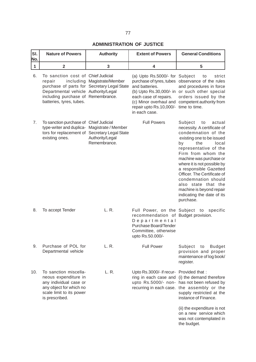# **ADMINISTRATION OF JUSTICE**

| SI.<br>No.                              | <b>Authority</b>                                                                                        | <b>Nature of Powers</b>                                                                                                                      | <b>Extent of Powers</b>                                                                                                                                   | <b>General Conditions</b>                                                                                                                                                                                                                                                                                                                                                                                               |
|-----------------------------------------|---------------------------------------------------------------------------------------------------------|----------------------------------------------------------------------------------------------------------------------------------------------|-----------------------------------------------------------------------------------------------------------------------------------------------------------|-------------------------------------------------------------------------------------------------------------------------------------------------------------------------------------------------------------------------------------------------------------------------------------------------------------------------------------------------------------------------------------------------------------------------|
| $\overline{\mathbf{2}}$<br>$\mathbf{1}$ | 3                                                                                                       |                                                                                                                                              | 4                                                                                                                                                         | 5                                                                                                                                                                                                                                                                                                                                                                                                                       |
| 6.<br>repair                            | including Magistrate/Member<br>purchase of parts for Secretary Legal State                              | To sanction cost of Chief Judicial<br>Departmental vehicle Authority/Legal<br>including purchase of Remembrance.<br>batteries, tyres, tubes. | (a) Upto Rs.5000/- for Subject<br>and batteries.<br>each case of repairs.<br>repair upto Rs.10,000/- time to time.<br>in each case.                       | to<br>strict<br>purchase of tyres, tubes observance of the rules<br>and procedures in force<br>(b) Upto Rs.30,000/- in or such other special<br>orders issued by the<br>(c) Minor overhaul and competent authority from                                                                                                                                                                                                 |
| 7.<br>existing ones.                    | Magistrate / Member<br>tors for replacement of Secretary Legal State<br>Authority/Legal<br>Remembrance. | To sanction purchase of Chief Judicial<br>type-writer and duplica-                                                                           | <b>Full Powers</b>                                                                                                                                        | Subject<br>to<br>actual<br>necessity. A certificate of<br>condemnation of the<br>existing one to be issued<br>the<br>local<br>by<br>representative of the<br>Firm from whom the<br>machine was purchase or<br>where it is not possible by<br>a responsible Gazetted<br>Officer. The Certificate of<br>condemnation should<br>also state that the<br>machine is beyond repair<br>indicating the date of its<br>purchase. |
| 8.<br>To accept Tender                  | L. R.                                                                                                   |                                                                                                                                              | Full Power, on the Subject to<br>recommendation of Budget provision.<br>Departmental<br>Purchase Board/Tender<br>Committee, otherwise<br>upto Rs.50.000/- | specific                                                                                                                                                                                                                                                                                                                                                                                                                |
| 9.                                      | L. R.                                                                                                   | Purchase of POL for<br>Departmental vehicle                                                                                                  | <b>Full Power</b>                                                                                                                                         | Subject<br><b>Budget</b><br>to<br>provision and proper<br>maintenance of log book/<br>register.                                                                                                                                                                                                                                                                                                                         |
| 10.<br>is prescribed.                   | L. R.                                                                                                   | To sanction miscella-<br>neous expenditure in<br>any individual case or<br>any object for which no<br>scale limit to its power               | Upto Rs.3000/- if recur- Provided that:                                                                                                                   | ring in each case and (i) the demand therefore<br>upto Rs.5000/- non- has not been refused by<br>recurring in each case. the assembly or the<br>supply restricted at the<br>instance of Finance.<br>(ii) the expenditure is not<br>on a new service which<br>was not contemplated in<br>the budget.                                                                                                                     |
|                                         |                                                                                                         |                                                                                                                                              |                                                                                                                                                           |                                                                                                                                                                                                                                                                                                                                                                                                                         |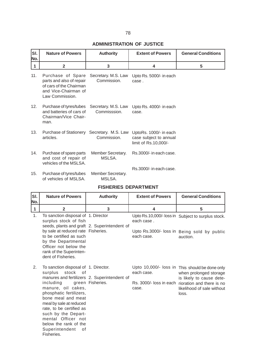# **ADMINISTRATION OF JUSTICE**

| SI.<br>No. | <b>Nature of Powers</b>                                                                                             | <b>Authority</b>                    | <b>Extent of Powers</b>                                                  | <b>General Conditions</b> |
|------------|---------------------------------------------------------------------------------------------------------------------|-------------------------------------|--------------------------------------------------------------------------|---------------------------|
| 1          | $\mathbf{2}$                                                                                                        | 3                                   | 4                                                                        | 5                         |
| 11.        | Purchase of Spare<br>parts and also of repair<br>of cars of the Chairman<br>and Vice-Chairman of<br>Law Commission. | Secretary. M.S. Law<br>Commission.  | Upto Rs. 5000/- in each<br>case.                                         |                           |
| 12.        | Purchase of tyres/tubes<br>and batteries of cars of<br>Chairman/Vice Chair-<br>man.                                 | Secretary. M.S. Law<br>Commisssion. | Upto Rs. 4000/- in each<br>case.                                         |                           |
| 13.        | Purchase of Stationery Secretary. M.S. Law<br>articles.                                                             | Commission.                         | UptoRs. 1000/- in each<br>case subject to annual<br>limit of Rs.10,000/- |                           |
| 14.        | Purchase of spare parts<br>and cost of repair of<br>vehicles of the MSLSA.                                          | Member Secretary.<br>MSLSA.         | Rs.3000/- in each case.                                                  |                           |
| 15.        | Purchase of tyres/tubes<br>of vehicles of MSLSA.                                                                    | Member Secretary.<br>MSLSA.         | Rs.3000/- in each case.                                                  |                           |

|  | <b>FISHERIES DEPARTMENT</b> |
|--|-----------------------------|
|--|-----------------------------|

| SI.<br>No.   | <b>Nature of Powers</b>                                                                                                                                                                                                                                                                                                                                                                  | <b>Authority</b> | <b>Extent of Powers</b>  | <b>General Conditions</b>                                                                                                                                                                        |
|--------------|------------------------------------------------------------------------------------------------------------------------------------------------------------------------------------------------------------------------------------------------------------------------------------------------------------------------------------------------------------------------------------------|------------------|--------------------------|--------------------------------------------------------------------------------------------------------------------------------------------------------------------------------------------------|
| $\mathbf{1}$ | $\overline{2}$                                                                                                                                                                                                                                                                                                                                                                           | 3                | 4                        | 5                                                                                                                                                                                                |
| 1.           | To sanction disposal of 1. Director<br>surplus stock of fish<br>seeds, plants and graft 2. Superintendent of<br>by sale at reduced rate Fisheries.<br>to be certified as such<br>by the Departmental<br>Officer not below the<br>rank of the Superinten-                                                                                                                                 |                  | each case.<br>each case. | Upto Rs.10,000/- loss in Subject to surplus stock.<br>Upto Rs.3000/- loss in Being sold by public<br>auction.                                                                                    |
| 2.           | dent of Fisheries.<br>To sanction disposal of 1. Director.<br>surplus<br>stock of<br>manures and fertilizers 2. Superintendent of<br>including<br>manure, oil cakes,<br>phosphatic fertilizers,<br>bone meal and meat<br>meal by sale at reduced<br>rate, to be certified as<br>such by the Depart-<br>mental Officer not<br>below the rank of the<br>Superintendent<br>οf<br>Fisheries. | green Fisheries. | each case.<br>case.      | Upto 10,000/- loss in This should be done only<br>when prolonged storage<br>is likely to cause dete-<br>Rs. 3000/- loss in each rioration and there is no<br>likelihood of sale without<br>loss. |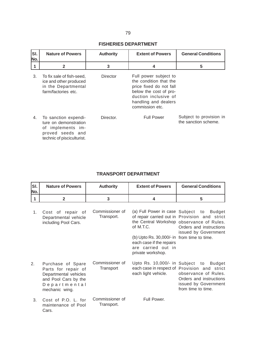#### **FISHERIES DEPARTMENT**

| lsı.<br>No. | <b>Nature of Powers</b>                                                                                              | <b>Authority</b> | <b>Extent of Powers</b>                                                                                                                                                 | <b>General Conditions</b>                       |
|-------------|----------------------------------------------------------------------------------------------------------------------|------------------|-------------------------------------------------------------------------------------------------------------------------------------------------------------------------|-------------------------------------------------|
|             | $\mathbf{2}$                                                                                                         | 3                | 4                                                                                                                                                                       | 5                                               |
| 3.          | To fix sale of fish-seed,<br>ice and other produced<br>in the Departmental<br>farm/factories etc.                    | Director         | Full power subject to<br>the condition that the<br>price fixed do not fall<br>below the cost of pro-<br>duction inclusive of<br>handling and dealers<br>commission etc. |                                                 |
| 4.          | To sanction expendi-<br>ture on demonstration<br>of implements im-<br>proved seeds and<br>technic of pisciculturist. | Director.        | <b>Full Power</b>                                                                                                                                                       | Subject to provision in<br>the sanction scheme. |

#### **TRANSPORT DEPARTMENT**

| SI.<br>No. | <b>Nature of Powers</b>                                                                                                     | <b>Authority</b>              | <b>Extent of Powers</b>                                                                                                         | <b>General Conditions</b>                                                                                                                                                                 |
|------------|-----------------------------------------------------------------------------------------------------------------------------|-------------------------------|---------------------------------------------------------------------------------------------------------------------------------|-------------------------------------------------------------------------------------------------------------------------------------------------------------------------------------------|
| 1          | $\mathbf{2}$                                                                                                                | 3                             | 4                                                                                                                               | 5                                                                                                                                                                                         |
| 1.         | Cost of repair of<br>Departmental vehicle<br>including Pool Cars.                                                           | Commissioner of<br>Transport. | of M.T.C.<br>(b) Upto Rs. 30,000/- in from time to time.<br>each case if the repairs<br>are carried out in<br>private workshop. | (a) Full Power in case Subject to Budget<br>of repair carried out in Provision and strict<br>the Central Workshop observance of Rules.<br>Orders and instructions<br>issued by Government |
| 2.         | Purchase of Spare<br>Parts for repair of<br>Departmental vehicles<br>and Pool Cars by the<br>Departmental<br>mechanic wing. | Commissioner of<br>Transport  | Upto Rs. 10,000/- in Subject to<br>each light vehicle.                                                                          | <b>Budget</b><br>each case in respect of Provision and strict<br>observance of Rules.<br>Orders and instructions<br>issued by Government<br>from time to time.                            |
| 3.         | Cost of P.O. L. for<br>maintenance of Pool<br>Cars.                                                                         | Commissioner of<br>Transport. | Full Power.                                                                                                                     |                                                                                                                                                                                           |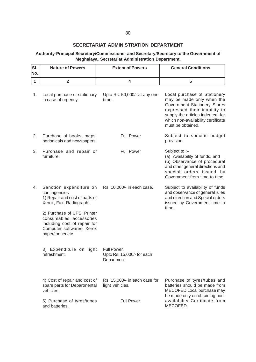#### **SECRETARIAT ADMINISTRATION DEPARTMENT**

#### **Authority-Principal Secretary/Commissioner and Secretary/Secretary to the Government of Meghalaya, Secretariat Administration Department.**

| SI.<br>No. | <b>Nature of Powers</b>                                                                                                                   | <b>Extent of Powers</b>                                  | <b>General Conditions</b>                                                                                                                                                                                                 |
|------------|-------------------------------------------------------------------------------------------------------------------------------------------|----------------------------------------------------------|---------------------------------------------------------------------------------------------------------------------------------------------------------------------------------------------------------------------------|
| 1          | $\overline{2}$                                                                                                                            | 4                                                        | 5                                                                                                                                                                                                                         |
| 1.         | Local purchase of stationary<br>in case of urgency.                                                                                       | Upto Rs. 50,000/- at any one<br>time.                    | Local purchase of Stationery<br>may be made only when the<br>Government Stationery Stores<br>expressed their inability to<br>supply the articles indented, for<br>which non-availability certificate<br>must be obtained. |
| 2.         | Purchase of books, maps,<br>periodicals and newspapers.                                                                                   | <b>Full Power</b>                                        | Subject to specific budget<br>provision.                                                                                                                                                                                  |
| 3.         | Purchase and repair of<br>furniture.                                                                                                      | <b>Full Power</b>                                        | Subject to $-$<br>(a) Availability of funds, and<br>(b) Observance of procedural<br>and other general directions and<br>special orders issued by<br>Government from time to time.                                         |
| 4.         | Sanction expenditure on<br>contingencies<br>1) Repair and cost of parts of<br>Xerox, Fax, Radiograph.                                     | Rs. 10,000/- in each case.                               | Subject to availability of funds<br>and observance of general rules<br>and direction and Special orders<br>issued by Government time to<br>time.                                                                          |
|            | 2) Purchase of UPS, Printer<br>consumables, accessories<br>including cost of repair for<br>Computer softwares, Xerox<br>paper/tonner etc. |                                                          |                                                                                                                                                                                                                           |
|            | 3) Expenditure on light<br>refreshment.                                                                                                   | Full Power.<br>Upto Rs. 15,000/- for each<br>Department. |                                                                                                                                                                                                                           |
|            | 4) Cost of repair and cost of<br>spare parts for Departmental<br>vehicles.                                                                | Rs. 15,000/- in each case for<br>light vehicles.         | Purchase of tyres/tubes and<br>batteries should be made from<br>MECOFED Local purchase may<br>be made only on obtaining non-                                                                                              |
|            | 5) Purchase of tyres/tubes<br>and batteries.                                                                                              | Full Power.                                              | availability Certificate from<br>MECOFED.                                                                                                                                                                                 |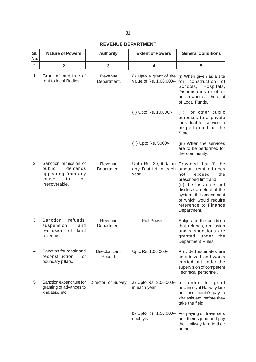#### **REVENUE DEPARTMENT**

| SI.<br>No.   | <b>Nature of Powers</b>                                                                                 | <b>Authority</b>          | <b>Extent of Powers</b>                  | <b>General Conditions</b>                                                                                                                                                                                                                                                               |
|--------------|---------------------------------------------------------------------------------------------------------|---------------------------|------------------------------------------|-----------------------------------------------------------------------------------------------------------------------------------------------------------------------------------------------------------------------------------------------------------------------------------------|
| $\mathbf{1}$ | $\overline{2}$                                                                                          | 3                         | 4                                        | 5                                                                                                                                                                                                                                                                                       |
| 1.           | Grant of land free of<br>rent to local Bodies.                                                          | Revenue<br>Department.    | value of Rs. 1,00,000/- for construction | (i) Upto a grant of the (i) When given as a site<br>οt<br>Schools,<br>Hospitals,<br>Dispensaries or other<br>public works at the cost<br>of Local Funds.                                                                                                                                |
|              |                                                                                                         |                           | (ii) Upto Rs. 10,000/-                   | (ii) For other public<br>purposes to a private<br>individual for service to<br>be performed for the<br>State.                                                                                                                                                                           |
|              |                                                                                                         |                           | (iii) Upto Rs. 5000/-                    | (iii) When the services<br>are to be performed for<br>the community.                                                                                                                                                                                                                    |
| 2.           | Sanction remission of<br>public<br>demands<br>appearing from any<br>cause<br>to<br>be<br>irrecoverable. | Revenue<br>Department.    | year.                                    | Upto Rs. 20,000/- in Provided that (i) the<br>any District in each amount remitted does<br>the<br>not<br>exceed<br>prescribed limit and<br>(ii) the loss does not<br>disclose a defect of the<br>system, the amendment<br>of which would require<br>reference to Finance<br>Department. |
| 3.           | Sanction<br>refunds,<br>suspension<br>and<br>remission<br>0f<br>land<br>revenue.                        | Revenue<br>Department.    | <b>Full Power</b>                        | Subject to the condition<br>that refunds, remission<br>and suspensions are<br>granted under<br>the<br>Department Rules.                                                                                                                                                                 |
| 4.           | Sanction for repair and<br>reconstruction<br>of<br>boundary pillars.                                    | Director, Land<br>Record. | Upto Rs. 1,00,000/-                      | Provided estimates are<br>scrutinized and works<br>carried out under the<br>supervision of competent<br>Technical personnel.                                                                                                                                                            |
| 5.           | Sanction expenditure for<br>granting of advances to<br>khalasis, etc.                                   | Director of Survey.       | a) Upto Rs. 3,00,000/-<br>in each year.  | order<br>In<br>to<br>grant<br>advances of Railway fare<br>and one month's pay to<br>khalasis etc. before they<br>take the field                                                                                                                                                         |
|              |                                                                                                         |                           | each year.                               | b) Upto Rs. 1,50,000/- For paying off traversers<br>and their squad and pay<br>their railway fare to their<br>home.                                                                                                                                                                     |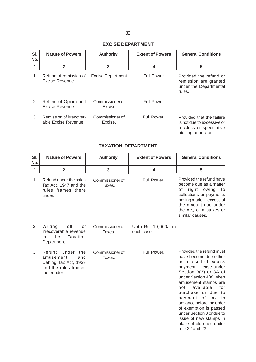#### **EXCISE DEPARTMENT**

| SI.<br>No. | <b>Nature of Powers</b>                         | <b>Authority</b>           | <b>Extent of Powers</b> | <b>General Conditions</b>                                                                                 |
|------------|-------------------------------------------------|----------------------------|-------------------------|-----------------------------------------------------------------------------------------------------------|
|            | $\mathbf{2}$                                    | 3                          | 4                       | 5                                                                                                         |
| 1.         | Refund of remission of<br>Excise Revenue.       | <b>Excise Department</b>   | <b>Full Power</b>       | Provided the refund or<br>remission are granted<br>under the Departmental<br>rules.                       |
| 2.         | Refund of Opium and<br>Excise Revenue.          | Commissioner of<br>Excise  | <b>Full Power</b>       |                                                                                                           |
| 3.         | Remission of irrecover-<br>able Excise Revenue. | Commissioner of<br>Excise. | Full Power.             | Provided that the failure<br>is not due to excessive or<br>reckless or speculative<br>bidding at auction. |

#### **TAXATION DEPARTMENT**

| SI.<br>No.   | <b>Nature of Powers</b>                                                                                    | <b>Authority</b>          | <b>Extent of Powers</b>            | <b>General Conditions</b>                                                                                                                                                                                                                                                                                                                                                                                                                |
|--------------|------------------------------------------------------------------------------------------------------------|---------------------------|------------------------------------|------------------------------------------------------------------------------------------------------------------------------------------------------------------------------------------------------------------------------------------------------------------------------------------------------------------------------------------------------------------------------------------------------------------------------------------|
| $\mathbf{1}$ | $\overline{2}$                                                                                             | $\overline{\mathbf{3}}$   | 4                                  | 5                                                                                                                                                                                                                                                                                                                                                                                                                                        |
| 1.           | Refund under the sales<br>Tax Act, 1947 and the<br>rules frames there<br>under.                            | Commissioner of<br>Taxes. | Full Power.                        | Provided the refund have<br>become due as a matter<br>right<br>of<br>owing<br>to<br>collections or payments<br>having made in excess of<br>the amount due under<br>the Act, or mistakes or<br>similar causes.                                                                                                                                                                                                                            |
| 2.           | off<br>Writing<br>οf<br>irrecoverable revenue<br>the<br>Taxation<br>in<br>Department.                      | Commissioner of<br>Taxes. | Upto Rs. 10,000/- in<br>each case. |                                                                                                                                                                                                                                                                                                                                                                                                                                          |
| 3.           | Refund<br>under<br>the<br>and<br>amusement<br>Cetting Tax Act, 1939<br>and the rules framed<br>thereunder. | Commissioner of<br>Taxes. | Full Power.                        | Provided the refund must<br>have become due either<br>as a result of excess<br>payment in case under<br>Section 3(3) or 3A of<br>under Section 4(a) when<br>amusement stamps are<br>available<br>for<br>not<br>purchase or due<br>to<br>payment<br>of<br>tax<br><sub>in</sub><br>advance before the order<br>of exemption is passed<br>under Section 8 or due to<br>issue of new stamps in<br>place of old ones under<br>rule 22 and 23. |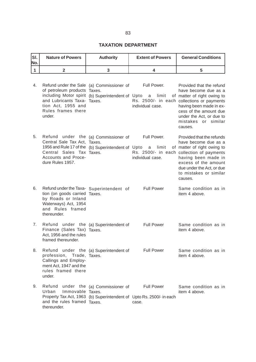### **TAXATION DEPARTMENT**

| Isı.<br>No. | <b>Nature of Powers</b> | <b>Authority</b> | <b>Extent of Powers</b> | <b>General Conditions</b> |
|-------------|-------------------------|------------------|-------------------------|---------------------------|
|             |                         |                  |                         |                           |

| 4. | Refund under the Sale (a) Commissioner of<br>of petroleum products Taxes.<br>including Motor spirit (b) Superintendent of Upto<br>and Lubricants Taxa- Taxes.<br>tion Act, 1955 and<br>Rules frames there<br>under. |                               | Full Power.<br>limit<br>a<br>individual case.                                                      | Provided that the refund<br>have become due as a<br>of matter of right owing to<br>Rs. 2500/- in each collections or payments<br>having been made in ex-<br>cess of the amount due<br>under the Act, or due to<br>mistakes or similar<br>causes. |
|----|---------------------------------------------------------------------------------------------------------------------------------------------------------------------------------------------------------------------|-------------------------------|----------------------------------------------------------------------------------------------------|--------------------------------------------------------------------------------------------------------------------------------------------------------------------------------------------------------------------------------------------------|
| 5. | Refund under the (a) Commissioner of<br>Central Sale Tax Act, Taxes.<br>1956 and Rule 17 of the (b) Superintendent of Upto<br>Central Sales Tax Taxes.<br>Accounts and Proce-<br>dure Rules 1957.                   |                               | Full Power.<br>limit<br>a<br>individual case.                                                      | Provided that the refunds<br>have become due as a<br>of matter of right owing to<br>Rs. 2500/- in each collection of payments<br>having been made in<br>excess of the amount<br>due under the Act, or due<br>to mistakes or similar<br>causes.   |
| 6. | Refund under the Taxa- Superintendent of<br>tion (on goods carried Taxes.<br>by Roads or Inland<br>Waterways) Act, 1954<br>and Rules framed<br>thereunder.                                                          |                               | <b>Full Power</b>                                                                                  | Same condition as in<br>item 4 above.                                                                                                                                                                                                            |
| 7. | Refund under the (a) Superintendent of<br>Finance (Sales Tax) Taxes.<br>Act, 1956 and the rules<br>framed thereunder.                                                                                               |                               | <b>Full Power</b>                                                                                  | Same condition as in<br>item 4 above.                                                                                                                                                                                                            |
| 8. | Refund under the (a) Superintendent of<br>profession, Trade, Taxes.<br>Callings and Employ-<br>ment Act, 1947 and the<br>rules framed there<br>under.                                                               |                               | <b>Full Power</b>                                                                                  | Same condition as in<br>item 4 above.                                                                                                                                                                                                            |
| 9. | Refund<br>Urban<br>Immovable Taxes.<br>and the rules framed Taxes.<br>thereunder.                                                                                                                                   | under the (a) Commissioner of | <b>Full Power</b><br>Property Tax Act, 1963 (b) Superintendent of Upto Rs. 2500/- in each<br>case. | Same condition as in<br>item 4 above.                                                                                                                                                                                                            |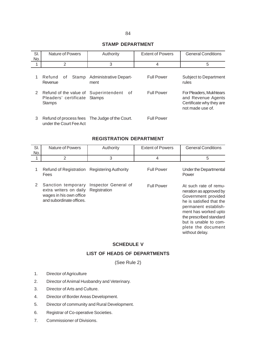#### **STAMP DEPARTMENT**

| SI. | Nature of Powers                                                                       | Authority                             | <b>Extent of Powers</b> | <b>General Conditions</b>                                                                     |
|-----|----------------------------------------------------------------------------------------|---------------------------------------|-------------------------|-----------------------------------------------------------------------------------------------|
| No. |                                                                                        |                                       |                         |                                                                                               |
| 1   | 2                                                                                      | 3                                     | $\overline{4}$          | 5                                                                                             |
| 1   | Refund<br>Stamp<br>0f<br>Revenue                                                       | <b>Administrative Depart-</b><br>ment | <b>Full Power</b>       | <b>Subject to Department</b><br>rules                                                         |
| 2   | Refund of the value of Superintendent<br>Pleaders' certificate Stamps<br><b>Stamps</b> | - of                                  | <b>Full Power</b>       | For Pleaders, Mukhtears<br>and Revenue Agents<br>Certificate why they are<br>not made use of. |
| 3   | Refund of process fees The Judge of the Court.<br>under the Court Fee Act              |                                       | <b>Full Power</b>       |                                                                                               |

#### **REGISTRATION DEPARTMENT**

| SI.<br>No. | <b>Nature of Powers</b>                                                                             | Authority                            | <b>Extent of Powers</b> | <b>General Conditions</b>                                                                                                                                                                                                                       |
|------------|-----------------------------------------------------------------------------------------------------|--------------------------------------|-------------------------|-------------------------------------------------------------------------------------------------------------------------------------------------------------------------------------------------------------------------------------------------|
| 1          | 2                                                                                                   | 3                                    | 4                       | 5                                                                                                                                                                                                                                               |
| 1          | <b>Refund of Registration</b><br>Fees                                                               | <b>Registering Authority</b>         | <b>Full Power</b>       | Under the Departmental<br>Power                                                                                                                                                                                                                 |
| 2          | Sanction temporary<br>extra writers on daily<br>wages in his own office<br>and subordinate offices. | Inspector General of<br>Registration | <b>Full Power</b>       | At such rate of remu-<br>neration as approved by<br>Government provided<br>he is satisfied that the<br>permanent establish-<br>ment has worked upto<br>the prescribed standard<br>but is unable to com-<br>plete the document<br>without delay. |

#### **SCHEDULE V**

### **LIST OF HEADS OF DEPARTMENTS**

(See Rule 2)

- 1. Director of Agriculture
- 2. Director of Animal Husbandry and Veterinary.
- 3. Director of Arts and Culture.
- 4. Director of Border Areas Development.
- 5. Director of community and Rural Development.
- 6. Registrar of Co-operative Societies.
- 7. Commissioner of Divisions.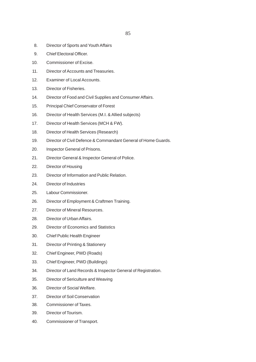- 8. Director of Sports and Youth Affairs
- 9. Chief Electoral Officer.
- 10. Commissioner of Excise.
- 11. Director of Accounts and Treasuries.
- 12. Examiner of Local Accounts.
- 13. Director of Fisheries.
- 14. Director of Food and Civil Supplies and Consumer Affairs.
- 15. Principal Chief Conservator of Forest
- 16. Director of Health Services (M.I. & Allied subjects)
- 17. Director of Health Services (MCH & FW).
- 18. Director of Health Services (Research)
- 19. Director of Civil Defence & Commandant General of Home Guards.
- 20. Inspector General of Prisons.
- 21. Director General & Inspector General of Police.
- 22. Director of Housing
- 23. Director of Information and Public Relation.
- 24. Director of Industries
- 25. Labour Commissioner.
- 26. Director of Employment & Craftmen Training.
- 27. Director of Mineral Resources.
- 28. Director of Urban Affairs.
- 29. Director of Economics and Statistics
- 30. Chief Public Health Engineer
- 31. Director of Printing & Stationery
- 32. Chief Engineer, PWD (Roads)
- 33. Chief Engineer, PWD (Buildings)
- 34. Director of Land Records & Inspector General of Registration.
- 35. Director of Sericulture and Weaving
- 36. Director of Social Welfare.
- 37. Director of Soil Conservation
- 38. Commissioner of Taxes.
- 39. Director of Tourism.
- 40. Commissioner of Transport.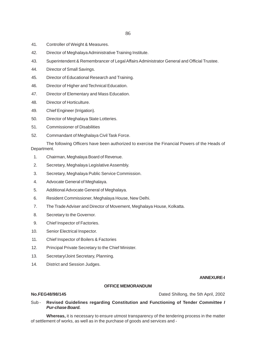86

- 41. Controller of Weight & Measures.
- 42. Director of Meghalaya Administrative Training Institute.
- 43. Superintendent & Remembrancer of Legal Affairs Administrator General and Official Trustee.
- 44. Director of Small Savings.
- 45. Director of Educational Research and Training.
- 46. Director of Higher and Technical Education.
- 47. Director of Elementary and Mass Education.
- 48. Director of Horticulture.
- 49. Chief Engineer (Irrigation).
- 50. Director of Meghalaya State Lotteries.
- 51. Commissioner of Disabilities
- 52. Commandant of Meghalaya Civil Task Force.

The following Officers have been authorized to exercise the Financial Powers of the Heads of Department.

- 1. Chairman, Meghalaya Board of Revenue.
- 2. Secretary, Meghalaya Legislative Assembly.
- 3. Secretary, Meghalaya Public Service Commission.
- 4. Advocate General of Meghalaya.
- 5. Additional Advocate General of Meghalaya.
- 6. Resident Commissioner, Meghalaya House, New Delhi.
- 7. The Trade Adviser and Director of Movement, Meghalaya House, Kolkatta.
- 8. Secretary to the Governor.
- 9. Chief Inspector of Factories.
- 10. Senior Electrical Inspector.
- 11. Chief Inspector of Boilers & Factories
- 12. Principal Private Secretary to the Chief Minister.
- 13. Secretary/Joint Secretary, Planning.
- 14. District and Session Judges.

#### **ANNEXURE-I**

#### **OFFICE MEMORANDUM**

**No.FEG48/98/145** Dated Shillong, the 5th April, 2002

#### Sub - **Revised Guidelines regarding Constitution and Functioning of Tender** *Committee I Pur-chase Board.*

**Whereas,** it is necessary to ensure utmost transparency of the tendering process in the matter of settlement of works, as well as in the purchase of goods and services and -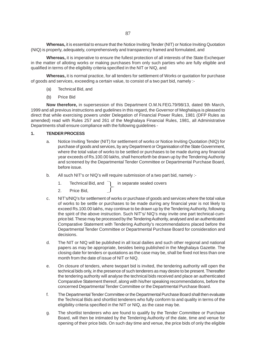**Whereas,** it is essential to ensure that the Notice Inviting Tender (NIT) or Notice Inviting Quotation (NIQ) is properly, adequately, comprehensively and transparency framed and formulated, and

**Whereas,** it is imperative to ensure the fullest protection of all interests of the State Exchequer in the matter of alloting works or making purchases from only such parties who are fully eligible and qualified in terms of the eligibility criteria specified in the NIT or NIQ, and

**Whereas,** it is normal practice, for all tenders for settlement of Works or quotation for purchase of goods and services, exceeding a certain value, to consist of a two part bid, namely :-

- (a) Technical Bid, and
- (b) Price Bid

**Now therefore,** in supersession of this Department O.M.N.FEG.79/98/13, dated 9th March, 1999 and all previous instructions and gudelines in this regard, the Governor of Meghalaya is pleased to direct that while exercising powers under Delegation of Financial Power Rules, 1981 (DFP Rules as amended) read with Rules 257 and 261 of the Meghalaya Financial Rules, 1981, all Administrative Departments shall ensure compliance with the following guidelines -

#### **1. TENDER PROCESS**

- a. Notice Inviting Tender (NIT) for settlement of works or Notice Inviting Quotation (NIQ) for purchase of goods and services, by any Department or Organisation of the State Government, where the total value of works to be settled or purchases to be made during any financial year exceeds of Rs.100.00 lakhs, shall henceforth be drawn up by the Tendering Authority and screened by the Departmental Tender Committee or Departmental Purchase Board, before issue.
- b. All such NIT's or NIQ's will require submission of a two part bid, namely :-
	- 1. Technical Bid, and  $\overline{\phantom{a}}$  in separate sealed covers
	- 2. Price Bid,
- c. NIT's/NIQ's for settlement of works or purchase of goods and services where the total value of works to be settle or purchases to be made during any financial year is not likely to exceed Rs.100.00 lakhs, may continue to be drawn up by the Tendering Authority, following the spirit of the above instruction. Such NIT's/ NIQ's may invite one part technical-cumprice bid. These may be processed by the Tendering Authority, analysed and an authenticated Comparative Statement with Tendering Authority's recommendations placed before the Departmental Tender Committee or Departmental Purchase Board for consideration and decisions.
- d. The NIT or NIQ will be published in all local dailies and such other regional and national papers as may be appropriate, besides being published in the Meghalaya Gazette. The closing date for tenders or quotations as the case may be, shall be fixed not less than one month from the date of issue of NIT or NIQ.
- e. On closure of tenders, where twopart bid is invited, the tendering authority will open the technical bids only, in the presence of such tenderers as may desire to be present. Thereafter the tendering authority will analyse the technical bids received and place an authenticated Comparative Statement thereof, along with his/her speaking recommendations, before the concerned Departmental Tender Committee or the Departmental Purchase Board.
- f. The Departmental Tender Committee or the Departmental Purchase Board shall then evaluate the Technical Bids and shortlist tenderers who fully conform to and quality in terms of the eligibility criteria specified in the NIT or NIQ, as the case may be.
- g. The shortlist tenderers who are found to qualify by the Tender Committee or Purchase Board, will then be intimated by the Tendering Authority of the date, time and venue for opening of their price bids. On such day time and venue, the price bids of only the eligible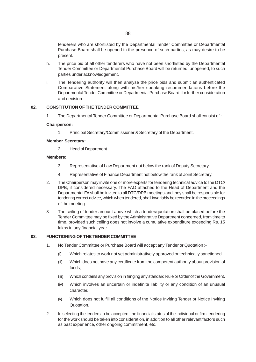tenderers who are shortlisted by the Departmental Tender Committee or Departmental Purchase Board shall be opened in the presence of such parties, as may desire to be present.

- h. The price bid of all other tenderers who have not been shortlisted by the Departmental Tender Committee or Departmental Purchase Board will be returned, unopened, to such parties under acknowledgement.
- i. The Tendering authority will then analyse the price bids and submit an authenticated Comparative Statement along with his/her speaking recommendations before the Departmental Tender Committee or Departmental Purchase Board, for further consideration and decision.

#### **02. CONSTITUTION OF THE TENDER COMMITTEE**

1. The Departmental Tender Committee or Departmental Purchase Board shall consist of :-

#### **Chairperson:**

1. Principal Secretary/Commissioner & Secretary of the Department.

#### **Member Secretary:**

2. Head of Department

#### **Members:**

- 3. Representative of Law Department not below the rank of Deputy Secretary.
- 4. Representative of Finance Department not below the rank of Joint Secretary.
- 2. The Chairperson may invite one or more experts for tendering technical advice to the DTC/ DPB, if considered necessary. The FAO attached to the Head of Department and the Departmental FA shall be invited to all DTC/DPB meetings and they shall be responsible for tendering correct advice, which when tendered, shall invariably be recorded in the proceedings of the meeting.
- 3. The ceiling of tender amount above which a tender/quotation shall be placed before the Tender Committee may be fixed by the Administrative Department concerned, from time to time, provided such ceiling does not involve a cumulative expenditure exceeding Rs. 15 lakhs in any financial year.

#### **03. FUNCTIONING OF THE TENDER COMMITTEE**

- 1. No Tender Committee or Purchase Board will accept any Tender or Quotation :-
	- (i) Which relates to work not yet administratively approved or technically sanctioned.
	- (ii) Which does not have any certificate from the competent authority about provision of funds;
	- (iii) Which contains any provision in fringing any standard Rule or Order of the Government.
	- (iv) Which involves an uncertain or indefinite liability or any condition of an unusual character.
	- (v) Which does not fulfill all conditions of the Notice Inviting Tender or Notice Inviting Quotation.
- 2. In selecting the tenders to be accepted, the financial status of the individual or firm tendering for the work should be taken into consideration, in addition to all other relevant factors such as past experience, other ongoing commitment, etc.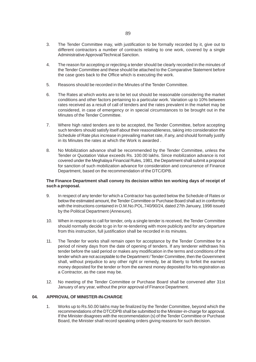- 4. The reason for accepting or rejecting a tender should be clearly recorded in the minutes of the Tender Committee and these should be attached to the Comparative Statement before the case goes back to the Office which is executing the work.
- 5. Reasons should be recorded in the Minutes of the Tender Committee.
- 6. The Rates at which works are to be let out should be reasonable considering the market conditions and other factors pertaining to a particular work. Variation up to 10% between rates received as a result of call of tenders and the rates prevalent in the market may be considered, in case of emergency or in special circumstances to be brought out in the Minutes of the Tender Committee.
- 7. Where high rated tenders are to be accepted, the Tender Committee, before accepting such tenders should satisfy itself about their reasonableness, taking into consideration the Schedule of Rate plus increase in prevailing market rate, if any, and should formally justify in its Minutes the rates at which the Work is awarded .
- 8. No Mobilization advance shall be recommended by the Tender Committee, unless the Tender or Quotation Value exceeds Rs. 100.00 lakhs. Since mobilization advance is not covered under the Meghalaya Financial Rules, 1981, the Department shall submit a proposal for sanction of such mobilization advance for consideration and concurrence of Finance Department, based on the recommendation of the DTC/DPB.

#### **The Finance Department shall convey its decision within ten working days of receipt of such a proposal.**

- 9. In respect of any tender for which a Contractor has quoted below the Schedule of Rates or below the estimated amount, the Tender Committee or Purchase Board shall act in conformity with the instructions contained in O.M.No.POL.740/90/24, dated 27th January, 1998 issued by the Political Department (Annexure).
- 10. When in response to call for tender, only a single tender is received, the Tender Committee should normally decide to go in for re-tendering with more publicity and for any departure from this instruction, full justification shall be recorded in its minutes.
- 11. The Tender for works shall remain open for acceptance by the Tender Committee for a period of ninety days from the date of opening of tenders. If any tenderer withdraws his tender before the said period or makes any modification in the terms and conditions of the tender which are not acceptable to the Department / Tender Committee, then the Government shall, without prejudice to any other right or remedy, be at liberty to forfeit the earnest money deposited for the tender or from the earnest money deposited for his registration as a Contractor, as the case may be.
- 12. No meeting of the Tender Committee or Purchase Board shall be convened after 31st January of any year, without the prior approval of Finance Department.

#### **04. APPROVAL OF MINISTER-IN-CHARGE**

1. Works up to Rs.50.00 lakhs may be finalized by the Tender Committee, beyond which the recommendations of the DTC/DPB shall be submitted to the Minister-in-charge for approval. If the Minister disagrees with the recommendation (s) of the Tender Committee or Purchase Board, the Minister shall record speaking orders giving reasons for such decision.